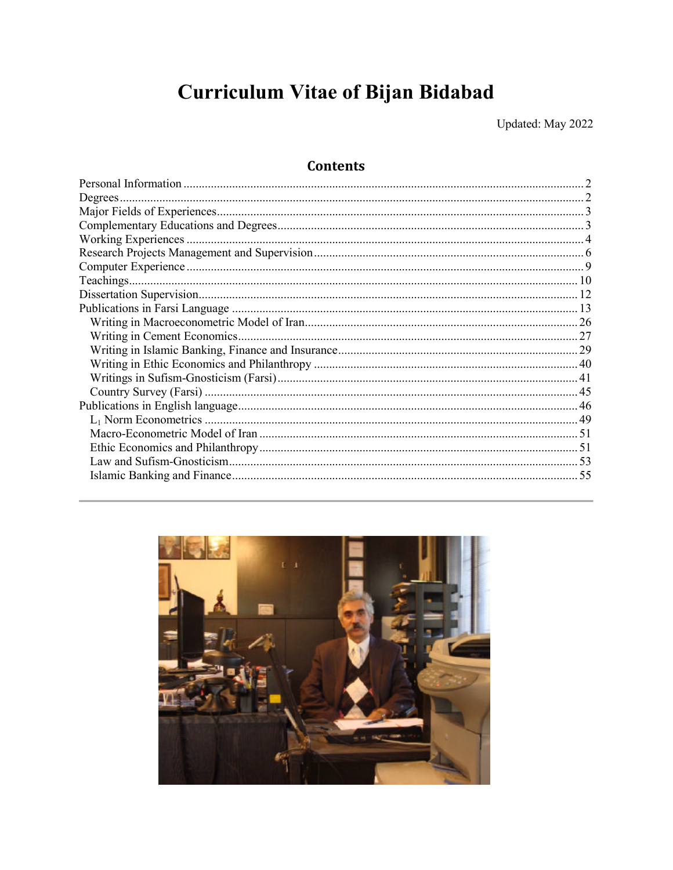# Curriculum Vitae of Bijan Bidabad

Updated: May 2022

### **Contents**

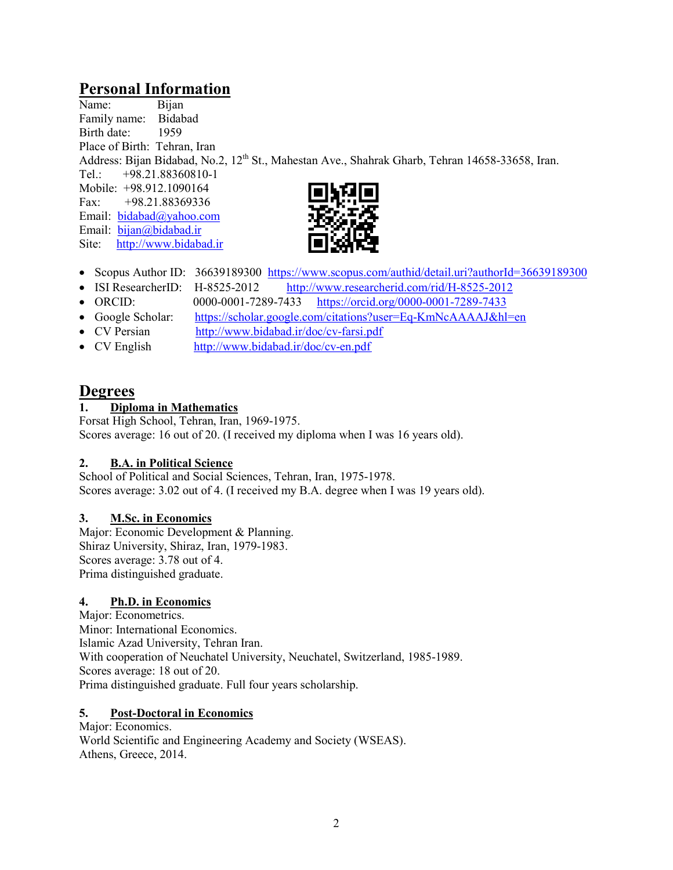### **Personal Information**

Name: Bijan Family name: Bidabad Birth date: 1959 Place of Birth: Tehran, Iran Address: Bijan Bidabad, No.2, 12<sup>th</sup> St., Mahestan Ave., Shahrak Gharb, Tehran 14658-33658, Iran. Tel.: +98.21.88360810-1 Mobile: +98.912.1090164 Fax: +98.21.88369336 Email: [bidabad@yahoo.com](mailto:bidabad@yahoo.com) Email: [bijan@bidabad.ir](mailto:bijan@bidabad.ir) Site: <http://www.bidabad.ir>

- Scopus Author ID: 36639189300 <https://www.scopus.com/authid/detail.uri?authorId=36639189300>
- ISI ResearcherID: H-8525-2012 <http://www.researcherid.com/rid/H-8525-2012>
- ORCID: 0000-0001-7289-7433 <https://orcid.org/0000-0001-7289-7433>
- Google Scholar: <https://scholar.google.com/citations?user=Eq-KmNcAAAAJ&hl=en>
- CV Persian http://www.bidabad.ir/doc/cv-farsi.pdf
- CV English http://www.bidabad.ir/doc/cv-en.pdf

### **Degrees**

### **1. Diploma in Mathematics**

Forsat High School, Tehran, Iran, 1969-1975. Scores average: 16 out of 20. (I received my diploma when I was 16 years old).

### **2. B.A. in Political Science**

School of Political and Social Sciences, Tehran, Iran, 1975-1978. Scores average: 3.02 out of 4. (I received my B.A. degree when I was 19 years old).

### **3. M.Sc. in Economics**

Major: Economic Development & Planning. Shiraz University, Shiraz, Iran, 1979-1983. Scores average: 3.78 out of 4. Prima distinguished graduate.

### **4. Ph.D. in Economics**

Major: Econometrics. Minor: International Economics. Islamic Azad University, Tehran Iran. With cooperation of Neuchatel University, Neuchatel, Switzerland, 1985-1989. Scores average: 18 out of 20. Prima distinguished graduate. Full four years scholarship.

### **5. Post-Doctoral in Economics**

Major: Economics. World Scientific and Engineering Academy and Society (WSEAS). Athens, Greece, 2014.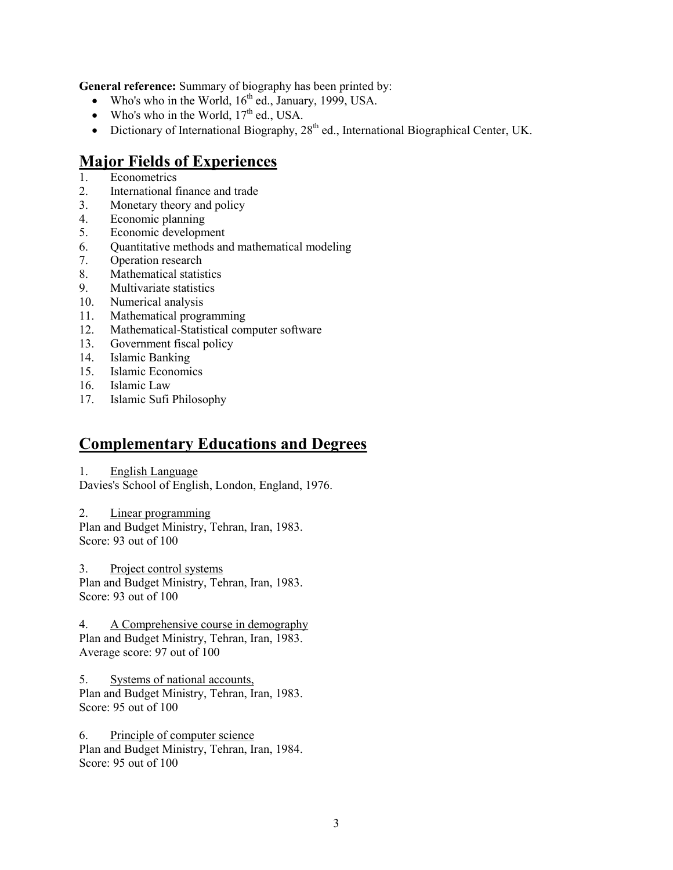**General reference:** Summary of biography has been printed by:

- Who's who in the World,  $16<sup>th</sup>$  ed., January, 1999, USA.
- Who's who in the World,  $17<sup>th</sup>$  ed., USA.
- Dictionary of International Biography,  $28<sup>th</sup>$  ed., International Biographical Center, UK.

### **Major Fields of Experiences**

- 1. Econometrics
- 2. International finance and trade
- 3. Monetary theory and policy
- 4. Economic planning
- 5. Economic development
- 6. Quantitative methods and mathematical modeling<br>7. Operation research
- Operation research
- 8. Mathematical statistics
- 9. Multivariate statistics
- 10. Numerical analysis
- 11. Mathematical programming
- 12. Mathematical-Statistical computer software
- 13. Government fiscal policy
- 14. Islamic Banking
- 15. Islamic Economics
- 16. Islamic Law
- 17. Islamic Sufi Philosophy

### **Complementary Educations and Degrees**

1. English Language Davies's School of English, London, England, 1976.

2. Linear programming Plan and Budget Ministry, Tehran, Iran, 1983. Score: 93 out of 100

3. Project control systems Plan and Budget Ministry, Tehran, Iran, 1983. Score: 93 out of 100

4. A Comprehensive course in demography Plan and Budget Ministry, Tehran, Iran, 1983. Average score: 97 out of 100

5. Systems of national accounts, Plan and Budget Ministry, Tehran, Iran, 1983. Score: 95 out of 100

6. Principle of computer science Plan and Budget Ministry, Tehran, Iran, 1984. Score: 95 out of 100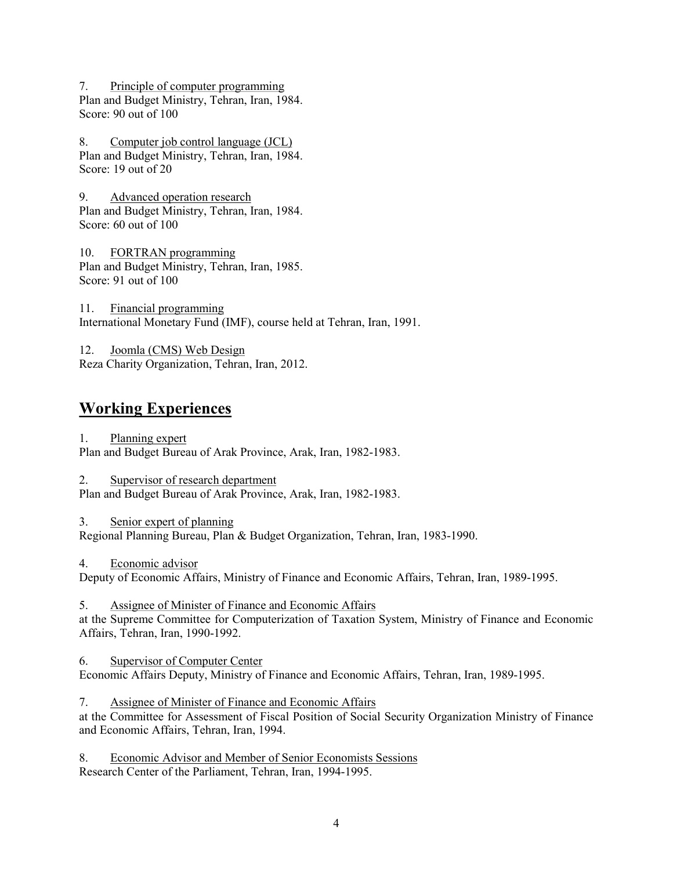7. Principle of computer programming Plan and Budget Ministry, Tehran, Iran, 1984. Score: 90 out of 100

8. Computer job control language (JCL) Plan and Budget Ministry, Tehran, Iran, 1984. Score: 19 out of 20

9. Advanced operation research Plan and Budget Ministry, Tehran, Iran, 1984. Score: 60 out of 100

10. FORTRAN programming Plan and Budget Ministry, Tehran, Iran, 1985. Score: 91 out of 100

11. Financial programming International Monetary Fund (IMF), course held at Tehran, Iran, 1991.

12. Joomla (CMS) Web Design Reza Charity Organization, Tehran, Iran, 2012.

### **Working Experiences**

1. Planning expert Plan and Budget Bureau of Arak Province, Arak, Iran, 1982-1983.

2. Supervisor of research department Plan and Budget Bureau of Arak Province, Arak, Iran, 1982-1983.

3. Senior expert of planning Regional Planning Bureau, Plan & Budget Organization, Tehran, Iran, 1983-1990.

4. Economic advisor

Deputy of Economic Affairs, Ministry of Finance and Economic Affairs, Tehran, Iran, 1989-1995.

5. Assignee of Minister of Finance and Economic Affairs at the Supreme Committee for Computerization of Taxation System, Ministry of Finance and Economic Affairs, Tehran, Iran, 1990-1992.

6. Supervisor of Computer Center Economic Affairs Deputy, Ministry of Finance and Economic Affairs, Tehran, Iran, 1989-1995.

7. Assignee of Minister of Finance and Economic Affairs at the Committee for Assessment of Fiscal Position of Social Security Organization Ministry of Finance and Economic Affairs, Tehran, Iran, 1994.

8. Economic Advisor and Member of Senior Economists Sessions Research Center of the Parliament, Tehran, Iran, 1994-1995.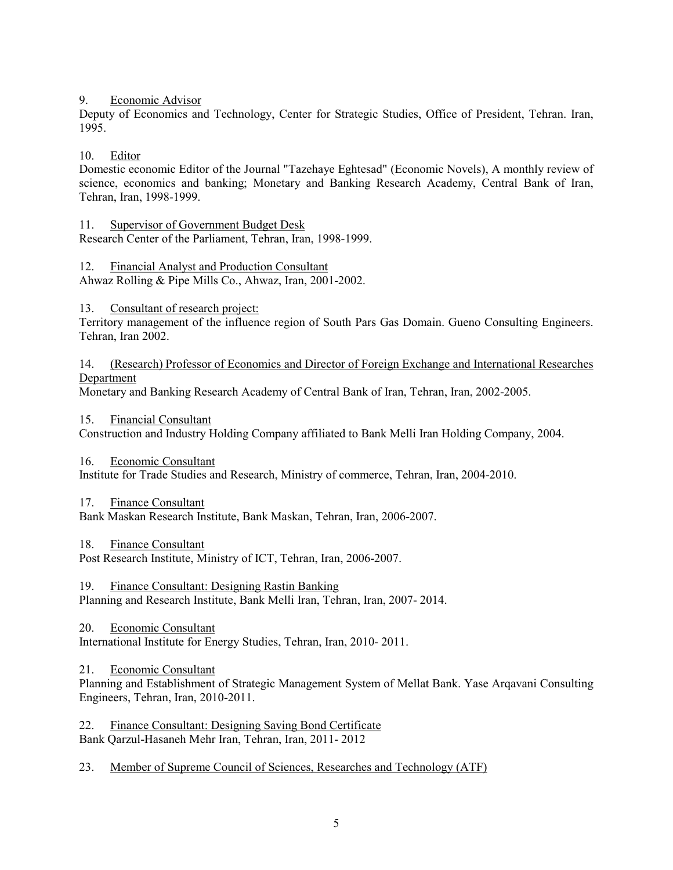9. Economic Advisor

Deputy of Economics and Technology, Center for Strategic Studies, Office of President, Tehran. Iran, 1995.

#### 10. Editor

Domestic economic Editor of the Journal "Tazehaye Eghtesad" (Economic Novels), A monthly review of science, economics and banking; Monetary and Banking Research Academy, Central Bank of Iran, Tehran, Iran, 1998-1999.

11. Supervisor of Government Budget Desk Research Center of the Parliament, Tehran, Iran, 1998-1999.

12. Financial Analyst and Production Consultant

Ahwaz Rolling & Pipe Mills Co., Ahwaz, Iran, 2001-2002.

13. Consultant of research project:

Territory management of the influence region of South Pars Gas Domain. Gueno Consulting Engineers. Tehran, Iran 2002.

14. (Research) Professor of Economics and Director of Foreign Exchange and International Researches Department

Monetary and Banking Research Academy of Central Bank of Iran, Tehran, Iran, 2002-2005.

15. Financial Consultant

Construction and Industry Holding Company affiliated to Bank Melli Iran Holding Company, 2004.

16. Economic Consultant

Institute for Trade Studies and Research, Ministry of commerce, Tehran, Iran, 2004-2010.

17. Finance Consultant

Bank Maskan Research Institute, Bank Maskan, Tehran, Iran, 2006-2007.

18. Finance Consultant

Post Research Institute, Ministry of ICT, Tehran, Iran, 2006-2007.

19. Finance Consultant: Designing Rastin Banking Planning and Research Institute, Bank Melli Iran, Tehran, Iran, 2007- 2014.

20. Economic Consultant International Institute for Energy Studies, Tehran, Iran, 2010- 2011.

21. Economic Consultant

Planning and Establishment of Strategic Management System of Mellat Bank. Yase Arqavani Consulting Engineers, Tehran, Iran, 2010-2011.

22. Finance Consultant: Designing Saving Bond Certificate Bank Qarzul-Hasaneh Mehr Iran, Tehran, Iran, 2011- 2012

23. Member of Supreme Council of Sciences, Researches and Technology (ATF)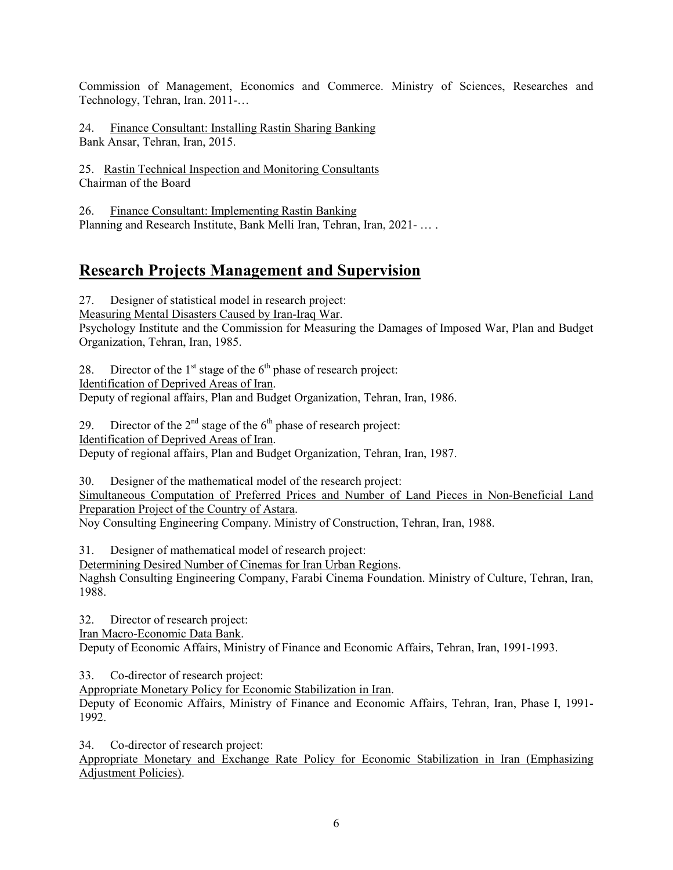Commission of Management, Economics and Commerce. Ministry of Sciences, Researches and Technology, Tehran, Iran. 2011-…

24. Finance Consultant: Installing Rastin Sharing Banking Bank Ansar, Tehran, Iran, 2015.

25. Rastin Technical Inspection and Monitoring Consultants Chairman of the Board

26. Finance Consultant: Implementing Rastin Banking Planning and Research Institute, Bank Melli Iran, Tehran, Iran, 2021- … .

## **Research Projects Management and Supervision**

27. Designer of statistical model in research project:

Measuring Mental Disasters Caused by Iran-Iraq War.

Psychology Institute and the Commission for Measuring the Damages of Imposed War, Plan and Budget Organization, Tehran, Iran, 1985.

28. Director of the  $1<sup>st</sup>$  stage of the  $6<sup>th</sup>$  phase of research project: Identification of Deprived Areas of Iran. Deputy of regional affairs, Plan and Budget Organization, Tehran, Iran, 1986.

29. Director of the  $2<sup>nd</sup>$  stage of the  $6<sup>th</sup>$  phase of research project: Identification of Deprived Areas of Iran. Deputy of regional affairs, Plan and Budget Organization, Tehran, Iran, 1987.

30. Designer of the mathematical model of the research project: Simultaneous Computation of Preferred Prices and Number of Land Pieces in Non-Beneficial Land Preparation Project of the Country of Astara. Noy Consulting Engineering Company. Ministry of Construction, Tehran, Iran, 1988.

31. Designer of mathematical model of research project:

Determining Desired Number of Cinemas for Iran Urban Regions. Naghsh Consulting Engineering Company, Farabi Cinema Foundation. Ministry of Culture, Tehran, Iran, 1988.

32. Director of research project:

Iran Macro-Economic Data Bank.

Deputy of Economic Affairs, Ministry of Finance and Economic Affairs, Tehran, Iran, 1991-1993.

33. Co-director of research project:

Appropriate Monetary Policy for Economic Stabilization in Iran.

Deputy of Economic Affairs, Ministry of Finance and Economic Affairs, Tehran, Iran, Phase I, 1991- 1992.

34. Co-director of research project:

Appropriate Monetary and Exchange Rate Policy for Economic Stabilization in Iran (Emphasizing Adjustment Policies).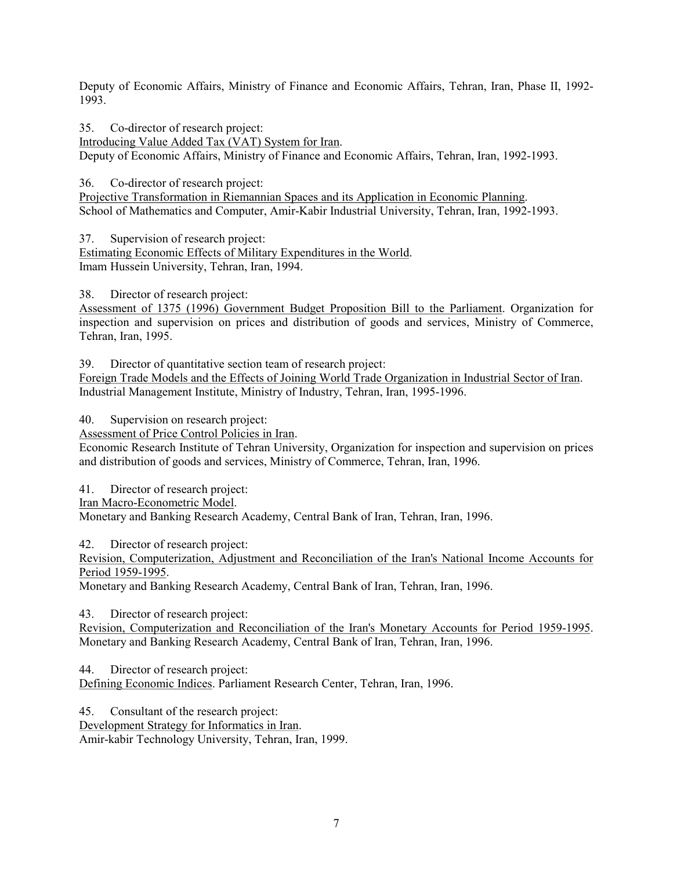Deputy of Economic Affairs, Ministry of Finance and Economic Affairs, Tehran, Iran, Phase II, 1992- 1993.

35. Co-director of research project:

Introducing Value Added Tax (VAT) System for Iran. Deputy of Economic Affairs, Ministry of Finance and Economic Affairs, Tehran, Iran, 1992-1993.

36. Co-director of research project:

Projective Transformation in Riemannian Spaces and its Application in Economic Planning. School of Mathematics and Computer, Amir-Kabir Industrial University, Tehran, Iran, 1992-1993.

37. Supervision of research project:

Estimating Economic Effects of Military Expenditures in the World. Imam Hussein University, Tehran, Iran, 1994.

38. Director of research project:

Assessment of 1375 (1996) Government Budget Proposition Bill to the Parliament. Organization for inspection and supervision on prices and distribution of goods and services, Ministry of Commerce, Tehran, Iran, 1995.

39. Director of quantitative section team of research project:

Foreign Trade Models and the Effects of Joining World Trade Organization in Industrial Sector of Iran. Industrial Management Institute, Ministry of Industry, Tehran, Iran, 1995-1996.

40. Supervision on research project:

Assessment of Price Control Policies in Iran.

Economic Research Institute of Tehran University, Organization for inspection and supervision on prices and distribution of goods and services, Ministry of Commerce, Tehran, Iran, 1996.

41. Director of research project:

Iran Macro-Econometric Model.

Monetary and Banking Research Academy, Central Bank of Iran, Tehran, Iran, 1996.

42. Director of research project:

Revision, Computerization, Adjustment and Reconciliation of the Iran's National Income Accounts for Period 1959-1995.

Monetary and Banking Research Academy, Central Bank of Iran, Tehran, Iran, 1996.

43. Director of research project:

Revision, Computerization and Reconciliation of the Iran's Monetary Accounts for Period 1959-1995. Monetary and Banking Research Academy, Central Bank of Iran, Tehran, Iran, 1996.

44. Director of research project:

Defining Economic Indices. Parliament Research Center, Tehran, Iran, 1996.

45. Consultant of the research project:

Development Strategy for Informatics in Iran.

Amir-kabir Technology University, Tehran, Iran, 1999.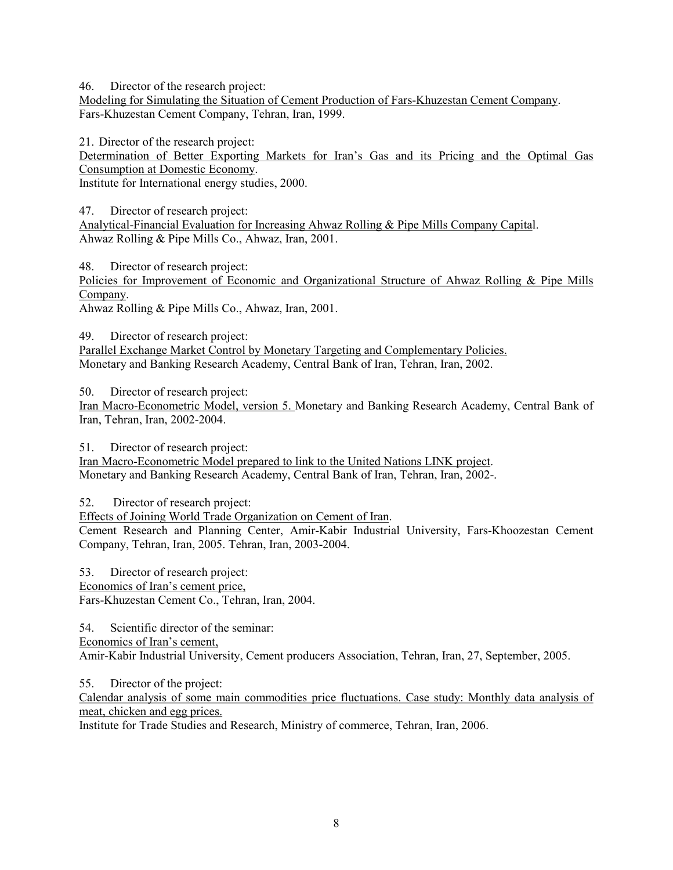46. Director of the research project:

Modeling for Simulating the Situation of Cement Production of Fars-Khuzestan Cement Company. Fars-Khuzestan Cement Company, Tehran, Iran, 1999.

21. Director of the research project:

Determination of Better Exporting Markets for Iran's Gas and its Pricing and the Optimal Gas Consumption at Domestic Economy.

Institute for International energy studies, 2000.

47. Director of research project:

Analytical-Financial Evaluation for Increasing Ahwaz Rolling & Pipe Mills Company Capital. Ahwaz Rolling & Pipe Mills Co., Ahwaz, Iran, 2001.

48. Director of research project:

Policies for Improvement of Economic and Organizational Structure of Ahwaz Rolling & Pipe Mills Company.

Ahwaz Rolling & Pipe Mills Co., Ahwaz, Iran, 2001.

49. Director of research project:

Parallel Exchange Market Control by Monetary Targeting and Complementary Policies. Monetary and Banking Research Academy, Central Bank of Iran, Tehran, Iran, 2002.

50. Director of research project:

Iran Macro-Econometric Model, version 5. Monetary and Banking Research Academy, Central Bank of Iran, Tehran, Iran, 2002-2004.

51. Director of research project:

Iran Macro-Econometric Model prepared to link to the United Nations LINK project. Monetary and Banking Research Academy, Central Bank of Iran, Tehran, Iran, 2002-.

52. Director of research project:

Effects of Joining World Trade Organization on Cement of Iran.

Cement Research and Planning Center, Amir-Kabir Industrial University, Fars-Khoozestan Cement Company, Tehran, Iran, 2005. Tehran, Iran, 2003-2004.

53. Director of research project: Economics of Iran's cement price, Fars-Khuzestan Cement Co., Tehran, Iran, 2004.

54. Scientific director of the seminar: Economics of Iran's cement, Amir-Kabir Industrial University, Cement producers Association, Tehran, Iran, 27, September, 2005.

55. Director of the project: Calendar analysis of some main commodities price fluctuations. Case study: Monthly data analysis of meat, chicken and egg prices.

Institute for Trade Studies and Research, Ministry of commerce, Tehran, Iran, 2006.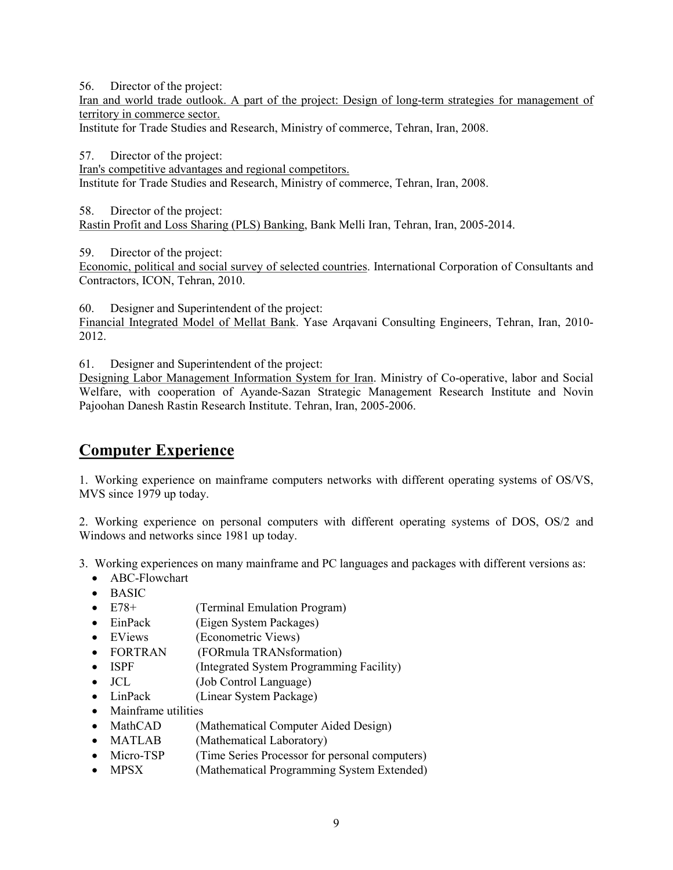56. Director of the project:

Iran and world trade outlook. A part of the project: Design of long-term strategies for management of territory in commerce sector.

Institute for Trade Studies and Research, Ministry of commerce, Tehran, Iran, 2008.

57. Director of the project:

Iran's competitive advantages and regional competitors.

Institute for Trade Studies and Research, Ministry of commerce, Tehran, Iran, 2008.

58. Director of the project:

Rastin Profit and Loss Sharing (PLS) Banking, Bank Melli Iran, Tehran, Iran, 2005-2014.

59. Director of the project:

Economic, political and social survey of selected countries. International Corporation of Consultants and Contractors, ICON, Tehran, 2010.

60. Designer and Superintendent of the project:

Financial Integrated Model of Mellat Bank. Yase Arqavani Consulting Engineers, Tehran, Iran, 2010- 2012.

61. Designer and Superintendent of the project:

Designing Labor Management Information System for Iran. Ministry of Co-operative, labor and Social Welfare, with cooperation of Ayande-Sazan Strategic Management Research Institute and Novin Pajoohan Danesh Rastin Research Institute. Tehran, Iran, 2005-2006.

### **Computer Experience**

1. Working experience on mainframe computers networks with different operating systems of OS/VS, MVS since 1979 up today.

2. Working experience on personal computers with different operating systems of DOS, OS/2 and Windows and networks since 1981 up today.

3. Working experiences on many mainframe and PC languages and packages with different versions as:

- ABC-Flowchart
- BASIC
- E78+ (Terminal Emulation Program)
- EinPack (Eigen System Packages)
- EViews (Econometric Views)
- FORTRAN (FORmula TRANsformation)
- ISPF (Integrated System Programming Facility)
- JCL (Job Control Language)
- LinPack (Linear System Package)
- Mainframe utilities
- MathCAD (Mathematical Computer Aided Design)
- MATLAB (Mathematical Laboratory)
- Micro-TSP (Time Series Processor for personal computers)
- MPSX (Mathematical Programming System Extended)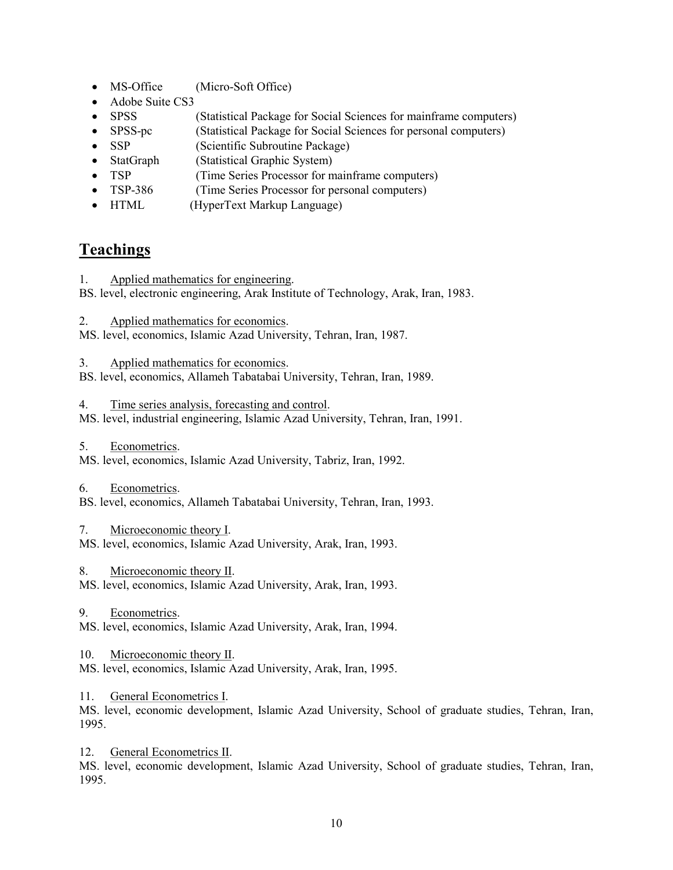- MS-Office (Micro-Soft Office)
- Adobe Suite CS3
- SPSS (Statistical Package for Social Sciences for mainframe computers)
- SPSS-pc (Statistical Package for Social Sciences for personal computers)
- SSP (Scientific Subroutine Package)
- StatGraph (Statistical Graphic System)
- TSP (Time Series Processor for mainframe computers)
- TSP-386 (Time Series Processor for personal computers)
- HTML (HyperText Markup Language)

# **Teachings**

1. Applied mathematics for engineering.

BS. level, electronic engineering, Arak Institute of Technology, Arak, Iran, 1983.

2. Applied mathematics for economics.

MS. level, economics, Islamic Azad University, Tehran, Iran, 1987.

3. Applied mathematics for economics. BS. level, economics, Allameh Tabatabai University, Tehran, Iran, 1989.

4. Time series analysis, forecasting and control.

MS. level, industrial engineering, Islamic Azad University, Tehran, Iran, 1991.

5. Econometrics.

MS. level, economics, Islamic Azad University, Tabriz, Iran, 1992.

6. Econometrics.

BS. level, economics, Allameh Tabatabai University, Tehran, Iran, 1993.

7. Microeconomic theory I. MS. level, economics, Islamic Azad University, Arak, Iran, 1993.

8. Microeconomic theory II. MS. level, economics, Islamic Azad University, Arak, Iran, 1993.

9. Econometrics. MS. level, economics, Islamic Azad University, Arak, Iran, 1994.

10. Microeconomic theory II. MS. level, economics, Islamic Azad University, Arak, Iran, 1995.

11. General Econometrics I.

MS. level, economic development, Islamic Azad University, School of graduate studies, Tehran, Iran, 1995.

12. General Econometrics II. MS. level, economic development, Islamic Azad University, School of graduate studies, Tehran, Iran, 1995.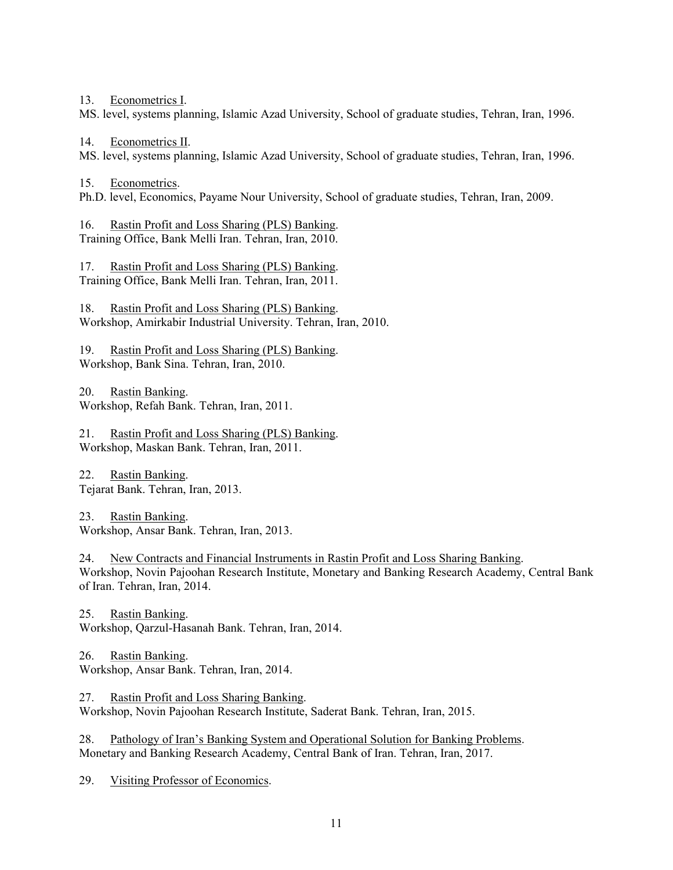13. Econometrics I.

MS. level, systems planning, Islamic Azad University, School of graduate studies, Tehran, Iran, 1996.

14. Econometrics II.

MS. level, systems planning, Islamic Azad University, School of graduate studies, Tehran, Iran, 1996.

15. Econometrics.

Ph.D. level, Economics, Payame Nour University, School of graduate studies, Tehran, Iran, 2009.

16. Rastin Profit and Loss Sharing (PLS) Banking. Training Office, Bank Melli Iran. Tehran, Iran, 2010.

17. Rastin Profit and Loss Sharing (PLS) Banking. Training Office, Bank Melli Iran. Tehran, Iran, 2011.

18. Rastin Profit and Loss Sharing (PLS) Banking. Workshop, Amirkabir Industrial University. Tehran, Iran, 2010.

19. Rastin Profit and Loss Sharing (PLS) Banking. Workshop, Bank Sina. Tehran, Iran, 2010.

20. Rastin Banking. Workshop, Refah Bank. Tehran, Iran, 2011.

21. Rastin Profit and Loss Sharing (PLS) Banking. Workshop, Maskan Bank. Tehran, Iran, 2011.

22. Rastin Banking. Tejarat Bank. Tehran, Iran, 2013.

23. Rastin Banking. Workshop, Ansar Bank. Tehran, Iran, 2013.

24. New Contracts and Financial Instruments in Rastin Profit and Loss Sharing Banking. Workshop, Novin Pajoohan Research Institute, Monetary and Banking Research Academy, Central Bank of Iran. Tehran, Iran, 2014.

25. Rastin Banking. Workshop, Qarzul-Hasanah Bank. Tehran, Iran, 2014.

26. Rastin Banking. Workshop, Ansar Bank. Tehran, Iran, 2014.

27. Rastin Profit and Loss Sharing Banking. Workshop, Novin Pajoohan Research Institute, Saderat Bank. Tehran, Iran, 2015.

28. Pathology of Iran's Banking System and Operational Solution for Banking Problems. Monetary and Banking Research Academy, Central Bank of Iran. Tehran, Iran, 2017.

29. Visiting Professor of Economics.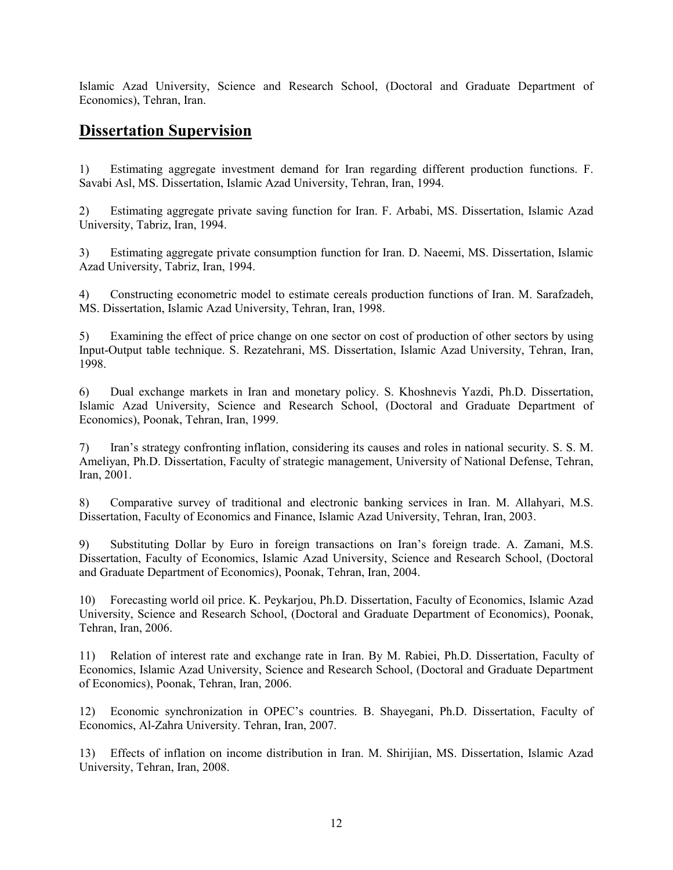Islamic Azad University, Science and Research School, (Doctoral and Graduate Department of Economics), Tehran, Iran.

### **Dissertation Supervision**

1) Estimating aggregate investment demand for Iran regarding different production functions. F. Savabi Asl, MS. Dissertation, Islamic Azad University, Tehran, Iran, 1994.

2) Estimating aggregate private saving function for Iran. F. Arbabi, MS. Dissertation, Islamic Azad University, Tabriz, Iran, 1994.

3) Estimating aggregate private consumption function for Iran. D. Naeemi, MS. Dissertation, Islamic Azad University, Tabriz, Iran, 1994.

4) Constructing econometric model to estimate cereals production functions of Iran. M. Sarafzadeh, MS. Dissertation, Islamic Azad University, Tehran, Iran, 1998.

5) Examining the effect of price change on one sector on cost of production of other sectors by using Input-Output table technique. S. Rezatehrani, MS. Dissertation, Islamic Azad University, Tehran, Iran, 1998.

6) Dual exchange markets in Iran and monetary policy. S. Khoshnevis Yazdi, Ph.D. Dissertation, Islamic Azad University, Science and Research School, (Doctoral and Graduate Department of Economics), Poonak, Tehran, Iran, 1999.

7) Iran's strategy confronting inflation, considering its causes and roles in national security. S. S. M. Ameliyan, Ph.D. Dissertation, Faculty of strategic management, University of National Defense, Tehran, Iran, 2001.

8) Comparative survey of traditional and electronic banking services in Iran. M. Allahyari, M.S. Dissertation, Faculty of Economics and Finance, Islamic Azad University, Tehran, Iran, 2003.

9) Substituting Dollar by Euro in foreign transactions on Iran's foreign trade. A. Zamani, M.S. Dissertation, Faculty of Economics, Islamic Azad University, Science and Research School, (Doctoral and Graduate Department of Economics), Poonak, Tehran, Iran, 2004.

10) Forecasting world oil price. K. Peykarjou, Ph.D. Dissertation, Faculty of Economics, Islamic Azad University, Science and Research School, (Doctoral and Graduate Department of Economics), Poonak, Tehran, Iran, 2006.

11) Relation of interest rate and exchange rate in Iran. By M. Rabiei, Ph.D. Dissertation, Faculty of Economics, Islamic Azad University, Science and Research School, (Doctoral and Graduate Department of Economics), Poonak, Tehran, Iran, 2006.

12) Economic synchronization in OPEC's countries. B. Shayegani, Ph.D. Dissertation, Faculty of Economics, Al-Zahra University. Tehran, Iran, 2007.

13) Effects of inflation on income distribution in Iran. M. Shirijian, MS. Dissertation, Islamic Azad University, Tehran, Iran, 2008.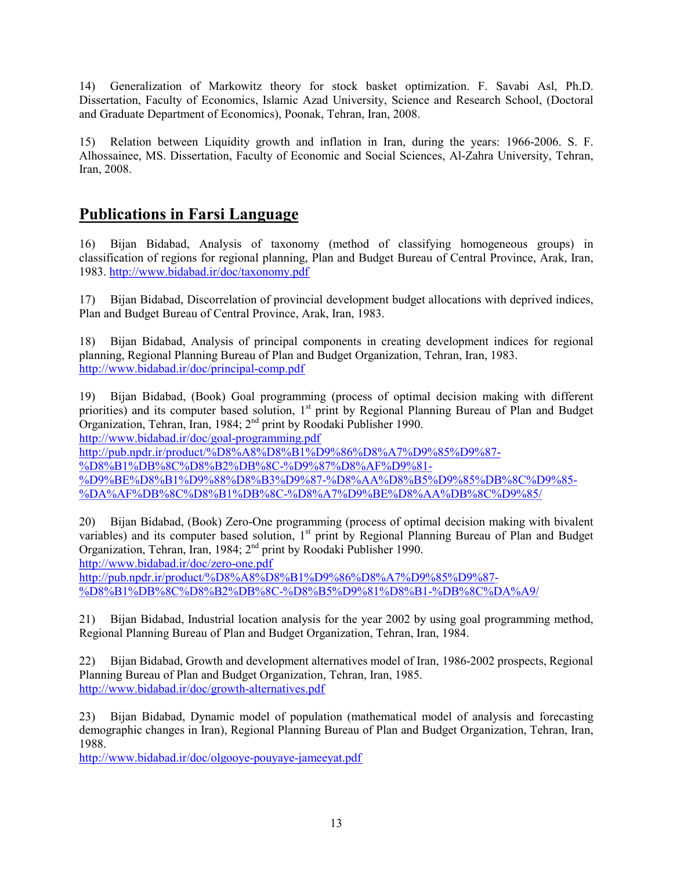14) Generalization of Markowitz theory for stock basket optimization. F. Savabi Asl, Ph.D. Dissertation, Faculty of Economics, Islamic Azad University, Science and Research School, (Doctoral and Graduate Department of Economics), Poonak, Tehran, Iran, 2008.

15) Relation between Liquidity growth and inflation in Iran, during the years: 1966-2006. S. F. Alhossainee, MS. Dissertation, Faculty of Economic and Social Sciences, Al-Zahra University, Tehran, Iran, 2008.

### **Publications in Farsi Language**

16) Bijan Bidabad, Analysis of taxonomy (method of classifying homogeneous groups) in classification of regions for regional planning, Plan and Budget Bureau of Central Province, Arak, Iran, 1983. <http://www.bidabad.ir/doc/taxonomy.pdf>

17) Bijan Bidabad, Discorrelation of provincial development budget allocations with deprived indices, Plan and Budget Bureau of Central Province, Arak, Iran, 1983.

18) Bijan Bidabad, Analysis of principal components in creating development indices for regional planning, Regional Planning Bureau of Plan and Budget Organization, Tehran, Iran, 1983. <http://www.bidabad.ir/doc/principal-comp.pdf>

19) Bijan Bidabad, (Book) Goal programming (process of optimal decision making with different priorities) and its computer based solution,  $1<sup>st</sup>$  print by Regional Planning Bureau of Plan and Budget Organization, Tehran, Iran, 1984; 2nd print by Roodaki Publisher 1990.

<http://www.bidabad.ir/doc/goal-programming.pdf>

<http://pub.npdr.ir/product/%D8%A8%D8%B1%D9%86%D8%A7%D9%85%D9%87>-

%D8%B1%DB%8C%D8%B2%DB%8C-%D9%87%D8%AF%D9%81-

%D9%BE%D8%B1%D9%88%D8%B3%D9%87-%D8%AA%D8%B5%D9%85%DB%8C%D9%85- %DA%AF%DB%8C%D8%B1%DB%8C-%D8%A7%D9%BE%D8%AA%DB%8C%D9%85/

20) Bijan Bidabad, (Book) Zero-One programming (process of optimal decision making with bivalent variables) and its computer based solution, 1<sup>st</sup> print by Regional Planning Bureau of Plan and Budget Organization, Tehran, Iran, 1984; 2<sup>nd</sup> print by Roodaki Publisher 1990.

<http://www.bidabad.ir/doc/zero-one.pdf>

<http://pub.npdr.ir/product/%D8%A8%D8%B1%D9%86%D8%A7%D9%85%D9%87>- %D8%B1%DB%8C%D8%B2%DB%8C-%D8%B5%D9%81%D8%B1-%DB%8C%DA%A9/

21) Bijan Bidabad, Industrial location analysis for the year 2002 by using goal programming method, Regional Planning Bureau of Plan and Budget Organization, Tehran, Iran, 1984.

22) Bijan Bidabad, Growth and development alternatives model of Iran, 1986-2002 prospects, Regional Planning Bureau of Plan and Budget Organization, Tehran, Iran, 1985. <http://www.bidabad.ir/doc/growth-alternatives.pdf>

23) Bijan Bidabad, Dynamic model of population (mathematical model of analysis and forecasting demographic changes in Iran), Regional Planning Bureau of Plan and Budget Organization, Tehran, Iran, 1988.

<http://www.bidabad.ir/doc/olgooye-pouyaye-jameeyat.pdf>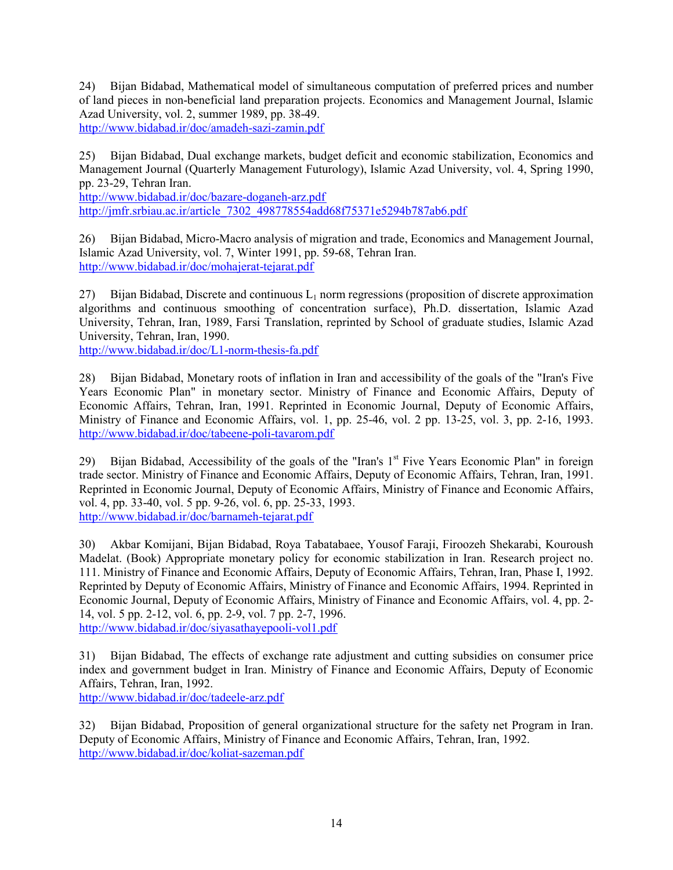24) Bijan Bidabad, Mathematical model of simultaneous computation of preferred prices and number of land pieces in non-beneficial land preparation projects. Economics and Management Journal, Islamic Azad University, vol. 2, summer 1989, pp. 38-49. <http://www.bidabad.ir/doc/amadeh-sazi-zamin.pdf>

25) Bijan Bidabad, Dual exchange markets, budget deficit and economic stabilization, Economics and Management Journal (Quarterly Management Futurology), Islamic Azad University, vol. 4, Spring 1990, pp. 23-29, Tehran Iran.

<http://www.bidabad.ir/doc/bazare-doganeh-arz.pdf> [http://jmfr.srbiau.ac.ir/article\\_7302\\_498778554add68f75371e5294b787ab6.pdf](http://jmfr.srbiau.ac.ir/article_7302_498778554add68f75371e5294b787ab6.pdf) 

26) Bijan Bidabad, Micro-Macro analysis of migration and trade, Economics and Management Journal, Islamic Azad University, vol. 7, Winter 1991, pp. 59-68, Tehran Iran. <http://www.bidabad.ir/doc/mohajerat-tejarat.pdf>

27) Bijan Bidabad, Discrete and continuous  $L_1$  norm regressions (proposition of discrete approximation algorithms and continuous smoothing of concentration surface), Ph.D. dissertation, Islamic Azad University, Tehran, Iran, 1989, Farsi Translation, reprinted by School of graduate studies, Islamic Azad University, Tehran, Iran, 1990.

<http://www.bidabad.ir/doc/L1-norm-thesis-fa.pdf>

28) Bijan Bidabad, Monetary roots of inflation in Iran and accessibility of the goals of the "Iran's Five Years Economic Plan" in monetary sector. Ministry of Finance and Economic Affairs, Deputy of Economic Affairs, Tehran, Iran, 1991. Reprinted in Economic Journal, Deputy of Economic Affairs, Ministry of Finance and Economic Affairs, vol. 1, pp. 25-46, vol. 2 pp. 13-25, vol. 3, pp. 2-16, 1993. <http://www.bidabad.ir/doc/tabeene-poli-tavarom.pdf>

29) Bijan Bidabad, Accessibility of the goals of the "Iran's  $1<sup>st</sup>$  Five Years Economic Plan" in foreign trade sector. Ministry of Finance and Economic Affairs, Deputy of Economic Affairs, Tehran, Iran, 1991. Reprinted in Economic Journal, Deputy of Economic Affairs, Ministry of Finance and Economic Affairs, vol. 4, pp. 33-40, vol. 5 pp. 9-26, vol. 6, pp. 25-33, 1993. <http://www.bidabad.ir/doc/barnameh-tejarat.pdf>

30) Akbar Komijani, Bijan Bidabad, Roya Tabatabaee, Yousof Faraji, Firoozeh Shekarabi, Kouroush Madelat. (Book) Appropriate monetary policy for economic stabilization in Iran. Research project no. 111. Ministry of Finance and Economic Affairs, Deputy of Economic Affairs, Tehran, Iran, Phase I, 1992. Reprinted by Deputy of Economic Affairs, Ministry of Finance and Economic Affairs, 1994. Reprinted in Economic Journal, Deputy of Economic Affairs, Ministry of Finance and Economic Affairs, vol. 4, pp. 2- 14, vol. 5 pp. 2-12, vol. 6, pp. 2-9, vol. 7 pp. 2-7, 1996. <http://www.bidabad.ir/doc/siyasathayepooli-vol1.pdf>

31) Bijan Bidabad, The effects of exchange rate adjustment and cutting subsidies on consumer price index and government budget in Iran. Ministry of Finance and Economic Affairs, Deputy of Economic Affairs, Tehran, Iran, 1992. <http://www.bidabad.ir/doc/tadeele-arz.pdf>

32) Bijan Bidabad, Proposition of general organizational structure for the safety net Program in Iran. Deputy of Economic Affairs, Ministry of Finance and Economic Affairs, Tehran, Iran, 1992. <http://www.bidabad.ir/doc/koliat-sazeman.pdf>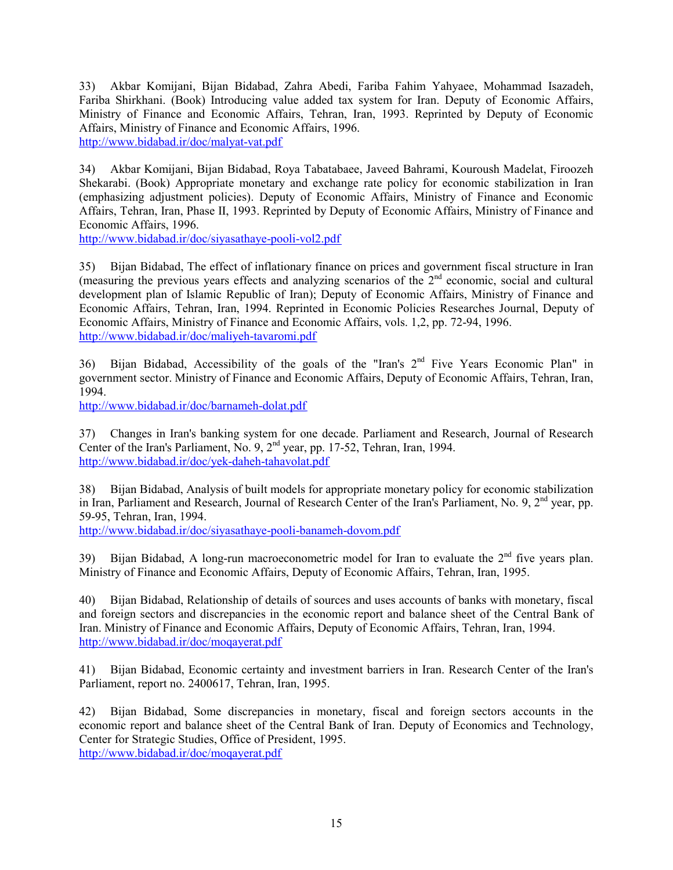33) Akbar Komijani, Bijan Bidabad, Zahra Abedi, Fariba Fahim Yahyaee, Mohammad Isazadeh, Fariba Shirkhani. (Book) Introducing value added tax system for Iran. Deputy of Economic Affairs, Ministry of Finance and Economic Affairs, Tehran, Iran, 1993. Reprinted by Deputy of Economic Affairs, Ministry of Finance and Economic Affairs, 1996.

<http://www.bidabad.ir/doc/malyat-vat.pdf>

34) Akbar Komijani, Bijan Bidabad, Roya Tabatabaee, Javeed Bahrami, Kouroush Madelat, Firoozeh Shekarabi. (Book) Appropriate monetary and exchange rate policy for economic stabilization in Iran (emphasizing adjustment policies). Deputy of Economic Affairs, Ministry of Finance and Economic Affairs, Tehran, Iran, Phase II, 1993. Reprinted by Deputy of Economic Affairs, Ministry of Finance and Economic Affairs, 1996.

<http://www.bidabad.ir/doc/siyasathaye-pooli-vol2.pdf>

35) Bijan Bidabad, The effect of inflationary finance on prices and government fiscal structure in Iran (measuring the previous years effects and analyzing scenarios of the  $2<sup>nd</sup>$  economic, social and cultural development plan of Islamic Republic of Iran); Deputy of Economic Affairs, Ministry of Finance and Economic Affairs, Tehran, Iran, 1994. Reprinted in Economic Policies Researches Journal, Deputy of Economic Affairs, Ministry of Finance and Economic Affairs, vols. 1,2, pp. 72-94, 1996. <http://www.bidabad.ir/doc/maliyeh-tavaromi.pdf>

36) Bijan Bidabad, Accessibility of the goals of the "Iran's 2nd Five Years Economic Plan" in government sector. Ministry of Finance and Economic Affairs, Deputy of Economic Affairs, Tehran, Iran, 1994.

<http://www.bidabad.ir/doc/barnameh-dolat.pdf>

37) Changes in Iran's banking system for one decade. Parliament and Research, Journal of Research Center of the Iran's Parliament, No. 9, 2<sup>nd</sup> year, pp. 17-52, Tehran, Iran, 1994. <http://www.bidabad.ir/doc/yek-daheh-tahavolat.pdf>

38) Bijan Bidabad, Analysis of built models for appropriate monetary policy for economic stabilization in Iran, Parliament and Research, Journal of Research Center of the Iran's Parliament, No. 9, 2<sup>nd</sup> year, pp. 59-95, Tehran, Iran, 1994.

<http://www.bidabad.ir/doc/siyasathaye-pooli-banameh-dovom.pdf>

39) Bijan Bidabad, A long-run macroeconometric model for Iran to evaluate the  $2<sup>nd</sup>$  five years plan. Ministry of Finance and Economic Affairs, Deputy of Economic Affairs, Tehran, Iran, 1995.

40) Bijan Bidabad, Relationship of details of sources and uses accounts of banks with monetary, fiscal and foreign sectors and discrepancies in the economic report and balance sheet of the Central Bank of Iran. Ministry of Finance and Economic Affairs, Deputy of Economic Affairs, Tehran, Iran, 1994. <http://www.bidabad.ir/doc/moqayerat.pdf>

41) Bijan Bidabad, Economic certainty and investment barriers in Iran. Research Center of the Iran's Parliament, report no. 2400617, Tehran, Iran, 1995.

42) Bijan Bidabad, Some discrepancies in monetary, fiscal and foreign sectors accounts in the economic report and balance sheet of the Central Bank of Iran. Deputy of Economics and Technology, Center for Strategic Studies, Office of President, 1995. <http://www.bidabad.ir/doc/moqayerat.pdf>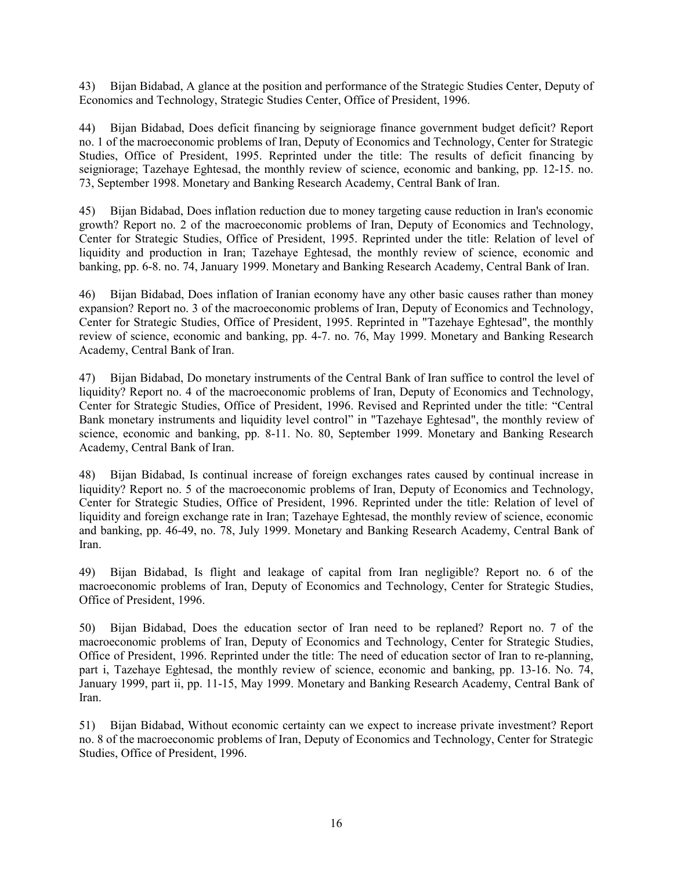43) Bijan Bidabad, A glance at the position and performance of the Strategic Studies Center, Deputy of Economics and Technology, Strategic Studies Center, Office of President, 1996.

44) Bijan Bidabad, Does deficit financing by seigniorage finance government budget deficit? Report no. 1 of the macroeconomic problems of Iran, Deputy of Economics and Technology, Center for Strategic Studies, Office of President, 1995. Reprinted under the title: The results of deficit financing by seigniorage; Tazehaye Eghtesad, the monthly review of science, economic and banking, pp. 12-15. no. 73, September 1998. Monetary and Banking Research Academy, Central Bank of Iran.

45) Bijan Bidabad, Does inflation reduction due to money targeting cause reduction in Iran's economic growth? Report no. 2 of the macroeconomic problems of Iran, Deputy of Economics and Technology, Center for Strategic Studies, Office of President, 1995. Reprinted under the title: Relation of level of liquidity and production in Iran; Tazehaye Eghtesad, the monthly review of science, economic and banking, pp. 6-8. no. 74, January 1999. Monetary and Banking Research Academy, Central Bank of Iran.

46) Bijan Bidabad, Does inflation of Iranian economy have any other basic causes rather than money expansion? Report no. 3 of the macroeconomic problems of Iran, Deputy of Economics and Technology, Center for Strategic Studies, Office of President, 1995. Reprinted in "Tazehaye Eghtesad", the monthly review of science, economic and banking, pp. 4-7. no. 76, May 1999. Monetary and Banking Research Academy, Central Bank of Iran.

47) Bijan Bidabad, Do monetary instruments of the Central Bank of Iran suffice to control the level of liquidity? Report no. 4 of the macroeconomic problems of Iran, Deputy of Economics and Technology, Center for Strategic Studies, Office of President, 1996. Revised and Reprinted under the title: "Central Bank monetary instruments and liquidity level control" in "Tazehaye Eghtesad", the monthly review of science, economic and banking, pp. 8-11. No. 80, September 1999. Monetary and Banking Research Academy, Central Bank of Iran.

48) Bijan Bidabad, Is continual increase of foreign exchanges rates caused by continual increase in liquidity? Report no. 5 of the macroeconomic problems of Iran, Deputy of Economics and Technology, Center for Strategic Studies, Office of President, 1996. Reprinted under the title: Relation of level of liquidity and foreign exchange rate in Iran; Tazehaye Eghtesad, the monthly review of science, economic and banking, pp. 46-49, no. 78, July 1999. Monetary and Banking Research Academy, Central Bank of Iran.

49) Bijan Bidabad, Is flight and leakage of capital from Iran negligible? Report no. 6 of the macroeconomic problems of Iran, Deputy of Economics and Technology, Center for Strategic Studies, Office of President, 1996.

50) Bijan Bidabad, Does the education sector of Iran need to be replaned? Report no. 7 of the macroeconomic problems of Iran, Deputy of Economics and Technology, Center for Strategic Studies, Office of President, 1996. Reprinted under the title: The need of education sector of Iran to re-planning, part i, Tazehaye Eghtesad, the monthly review of science, economic and banking, pp. 13-16. No. 74, January 1999, part ii, pp. 11-15, May 1999. Monetary and Banking Research Academy, Central Bank of Iran.

51) Bijan Bidabad, Without economic certainty can we expect to increase private investment? Report no. 8 of the macroeconomic problems of Iran, Deputy of Economics and Technology, Center for Strategic Studies, Office of President, 1996.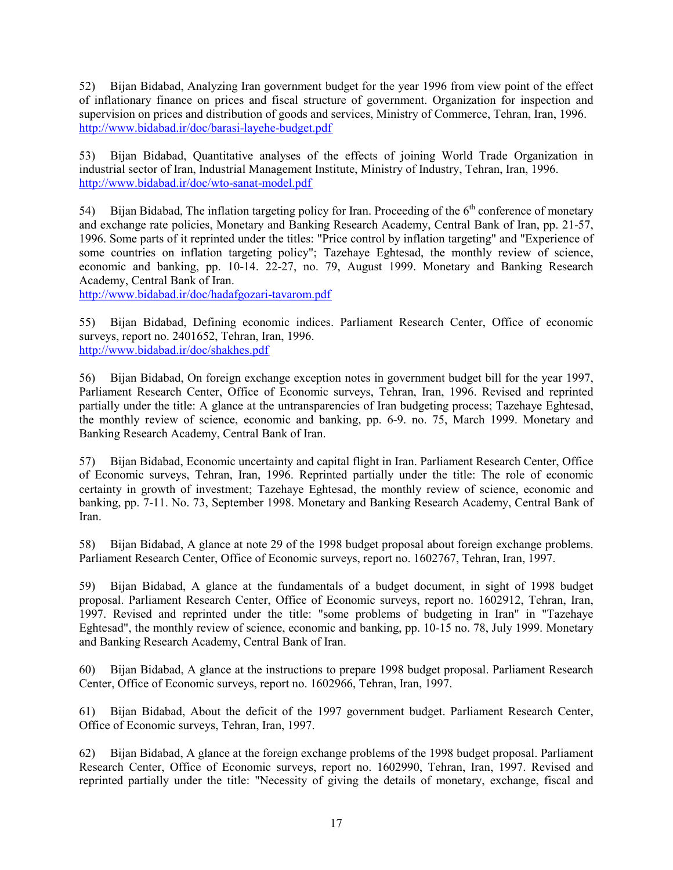52) Bijan Bidabad, Analyzing Iran government budget for the year 1996 from view point of the effect of inflationary finance on prices and fiscal structure of government. Organization for inspection and supervision on prices and distribution of goods and services, Ministry of Commerce, Tehran, Iran, 1996. <http://www.bidabad.ir/doc/barasi-layehe-budget.pdf>

53) Bijan Bidabad, Quantitative analyses of the effects of joining World Trade Organization in industrial sector of Iran, Industrial Management Institute, Ministry of Industry, Tehran, Iran, 1996. <http://www.bidabad.ir/doc/wto-sanat-model.pdf>

54) Bijan Bidabad, The inflation targeting policy for Iran. Proceeding of the  $6<sup>th</sup>$  conference of monetary and exchange rate policies, Monetary and Banking Research Academy, Central Bank of Iran, pp. 21-57, 1996. Some parts of it reprinted under the titles: "Price control by inflation targeting" and "Experience of some countries on inflation targeting policy"; Tazehaye Eghtesad, the monthly review of science, economic and banking, pp. 10-14. 22-27, no. 79, August 1999. Monetary and Banking Research Academy, Central Bank of Iran.

<http://www.bidabad.ir/doc/hadafgozari-tavarom.pdf>

55) Bijan Bidabad, Defining economic indices. Parliament Research Center, Office of economic surveys, report no. 2401652, Tehran, Iran, 1996. <http://www.bidabad.ir/doc/shakhes.pdf>

56) Bijan Bidabad, On foreign exchange exception notes in government budget bill for the year 1997, Parliament Research Center, Office of Economic surveys, Tehran, Iran, 1996. Revised and reprinted partially under the title: A glance at the untransparencies of Iran budgeting process; Tazehaye Eghtesad, the monthly review of science, economic and banking, pp. 6-9. no. 75, March 1999. Monetary and Banking Research Academy, Central Bank of Iran.

57) Bijan Bidabad, Economic uncertainty and capital flight in Iran. Parliament Research Center, Office of Economic surveys, Tehran, Iran, 1996. Reprinted partially under the title: The role of economic certainty in growth of investment; Tazehaye Eghtesad, the monthly review of science, economic and banking, pp. 7-11. No. 73, September 1998. Monetary and Banking Research Academy, Central Bank of Iran.

58) Bijan Bidabad, A glance at note 29 of the 1998 budget proposal about foreign exchange problems. Parliament Research Center, Office of Economic surveys, report no. 1602767, Tehran, Iran, 1997.

59) Bijan Bidabad, A glance at the fundamentals of a budget document, in sight of 1998 budget proposal. Parliament Research Center, Office of Economic surveys, report no. 1602912, Tehran, Iran, 1997. Revised and reprinted under the title: "some problems of budgeting in Iran" in "Tazehaye Eghtesad", the monthly review of science, economic and banking, pp. 10-15 no. 78, July 1999. Monetary and Banking Research Academy, Central Bank of Iran.

60) Bijan Bidabad, A glance at the instructions to prepare 1998 budget proposal. Parliament Research Center, Office of Economic surveys, report no. 1602966, Tehran, Iran, 1997.

61) Bijan Bidabad, About the deficit of the 1997 government budget. Parliament Research Center, Office of Economic surveys, Tehran, Iran, 1997.

62) Bijan Bidabad, A glance at the foreign exchange problems of the 1998 budget proposal. Parliament Research Center, Office of Economic surveys, report no. 1602990, Tehran, Iran, 1997. Revised and reprinted partially under the title: "Necessity of giving the details of monetary, exchange, fiscal and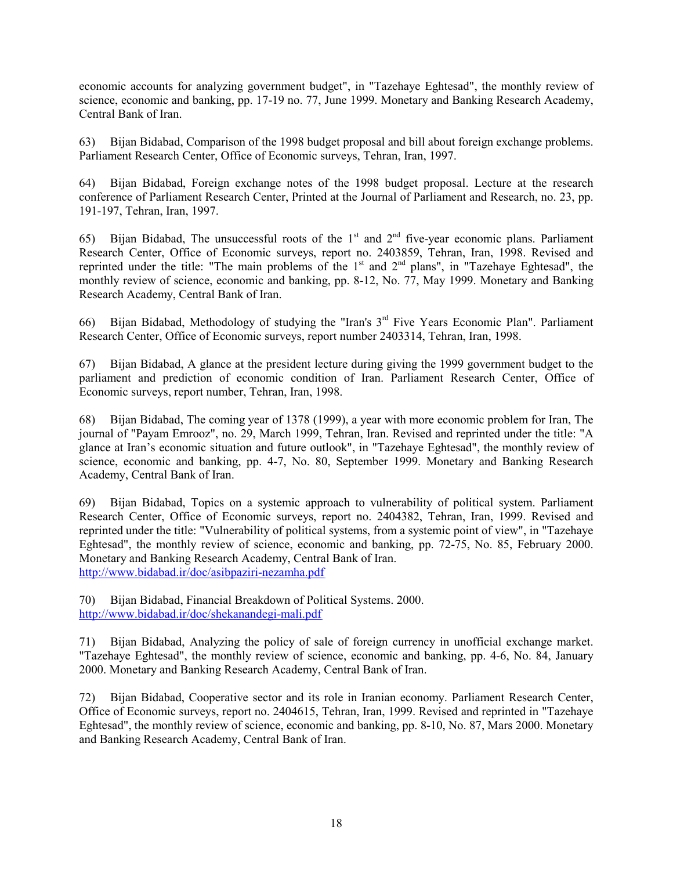economic accounts for analyzing government budget", in "Tazehaye Eghtesad", the monthly review of science, economic and banking, pp. 17-19 no. 77, June 1999. Monetary and Banking Research Academy, Central Bank of Iran.

63) Bijan Bidabad, Comparison of the 1998 budget proposal and bill about foreign exchange problems. Parliament Research Center, Office of Economic surveys, Tehran, Iran, 1997.

64) Bijan Bidabad, Foreign exchange notes of the 1998 budget proposal. Lecture at the research conference of Parliament Research Center, Printed at the Journal of Parliament and Research, no. 23, pp. 191-197, Tehran, Iran, 1997.

65) Bijan Bidabad, The unsuccessful roots of the  $1<sup>st</sup>$  and  $2<sup>nd</sup>$  five-year economic plans. Parliament Research Center, Office of Economic surveys, report no. 2403859, Tehran, Iran, 1998. Revised and reprinted under the title: "The main problems of the 1<sup>st</sup> and 2<sup>nd</sup> plans", in "Tazehaye Eghtesad", the monthly review of science, economic and banking, pp. 8-12, No. 77, May 1999. Monetary and Banking Research Academy, Central Bank of Iran.

66) Bijan Bidabad, Methodology of studying the "Iran's 3rd Five Years Economic Plan". Parliament Research Center, Office of Economic surveys, report number 2403314, Tehran, Iran, 1998.

67) Bijan Bidabad, A glance at the president lecture during giving the 1999 government budget to the parliament and prediction of economic condition of Iran. Parliament Research Center, Office of Economic surveys, report number, Tehran, Iran, 1998.

68) Bijan Bidabad, The coming year of 1378 (1999), a year with more economic problem for Iran, The journal of "Payam Emrooz", no. 29, March 1999, Tehran, Iran. Revised and reprinted under the title: "A glance at Iran's economic situation and future outlook", in "Tazehaye Eghtesad", the monthly review of science, economic and banking, pp. 4-7, No. 80, September 1999. Monetary and Banking Research Academy, Central Bank of Iran.

69) Bijan Bidabad, Topics on a systemic approach to vulnerability of political system. Parliament Research Center, Office of Economic surveys, report no. 2404382, Tehran, Iran, 1999. Revised and reprinted under the title: "Vulnerability of political systems, from a systemic point of view", in "Tazehaye Eghtesad", the monthly review of science, economic and banking, pp. 72-75, No. 85, February 2000. Monetary and Banking Research Academy, Central Bank of Iran. <http://www.bidabad.ir/doc/asibpaziri-nezamha.pdf>

70) Bijan Bidabad, Financial Breakdown of Political Systems. 2000. <http://www.bidabad.ir/doc/shekanandegi-mali.pdf>

71) Bijan Bidabad, Analyzing the policy of sale of foreign currency in unofficial exchange market. "Tazehaye Eghtesad", the monthly review of science, economic and banking, pp. 4-6, No. 84, January 2000. Monetary and Banking Research Academy, Central Bank of Iran.

72) Bijan Bidabad, Cooperative sector and its role in Iranian economy. Parliament Research Center, Office of Economic surveys, report no. 2404615, Tehran, Iran, 1999. Revised and reprinted in "Tazehaye Eghtesad", the monthly review of science, economic and banking, pp. 8-10, No. 87, Mars 2000. Monetary and Banking Research Academy, Central Bank of Iran.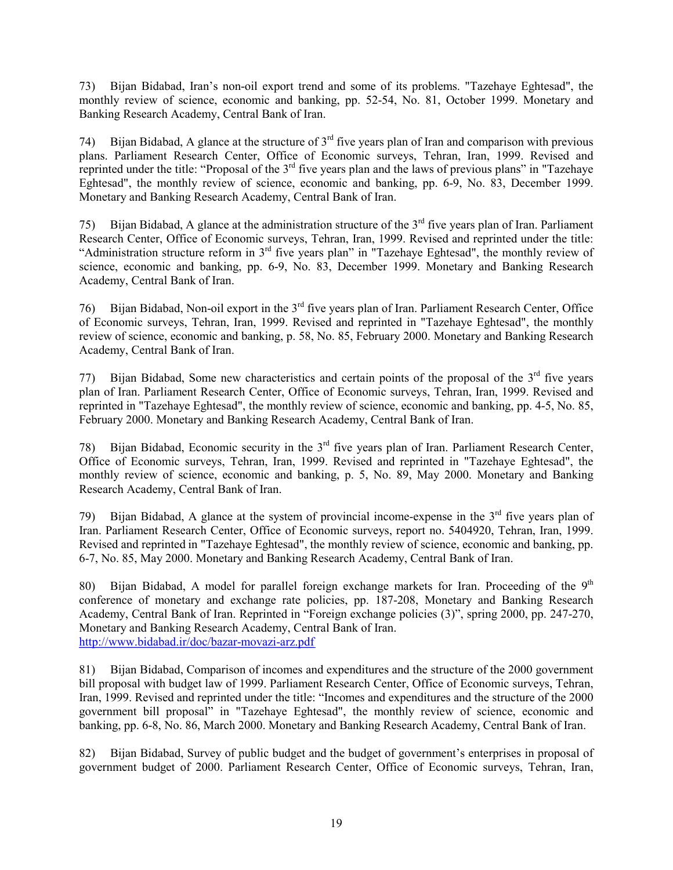73) Bijan Bidabad, Iran's non-oil export trend and some of its problems. "Tazehaye Eghtesad", the monthly review of science, economic and banking, pp. 52-54, No. 81, October 1999. Monetary and Banking Research Academy, Central Bank of Iran.

74) Bijan Bidabad, A glance at the structure of  $3<sup>rd</sup>$  five years plan of Iran and comparison with previous plans. Parliament Research Center, Office of Economic surveys, Tehran, Iran, 1999. Revised and reprinted under the title: "Proposal of the  $3<sup>rd</sup>$  five years plan and the laws of previous plans" in "Tazehaye Eghtesad", the monthly review of science, economic and banking, pp. 6-9, No. 83, December 1999. Monetary and Banking Research Academy, Central Bank of Iran.

75) Bijan Bidabad, A glance at the administration structure of the  $3<sup>rd</sup>$  five years plan of Iran. Parliament Research Center, Office of Economic surveys, Tehran, Iran, 1999. Revised and reprinted under the title: "Administration structure reform in 3rd five years plan" in "Tazehaye Eghtesad", the monthly review of science, economic and banking, pp. 6-9, No. 83, December 1999. Monetary and Banking Research Academy, Central Bank of Iran.

76) Bijan Bidabad, Non-oil export in the 3rd five years plan of Iran. Parliament Research Center, Office of Economic surveys, Tehran, Iran, 1999. Revised and reprinted in "Tazehaye Eghtesad", the monthly review of science, economic and banking, p. 58, No. 85, February 2000. Monetary and Banking Research Academy, Central Bank of Iran.

77) Bijan Bidabad, Some new characteristics and certain points of the proposal of the  $3<sup>rd</sup>$  five years plan of Iran. Parliament Research Center, Office of Economic surveys, Tehran, Iran, 1999. Revised and reprinted in "Tazehaye Eghtesad", the monthly review of science, economic and banking, pp. 4-5, No. 85, February 2000. Monetary and Banking Research Academy, Central Bank of Iran.

78) Bijan Bidabad, Economic security in the 3<sup>rd</sup> five years plan of Iran. Parliament Research Center, Office of Economic surveys, Tehran, Iran, 1999. Revised and reprinted in "Tazehaye Eghtesad", the monthly review of science, economic and banking, p. 5, No. 89, May 2000. Monetary and Banking Research Academy, Central Bank of Iran.

79) Bijan Bidabad, A glance at the system of provincial income-expense in the  $3<sup>rd</sup>$  five years plan of Iran. Parliament Research Center, Office of Economic surveys, report no. 5404920, Tehran, Iran, 1999. Revised and reprinted in "Tazehaye Eghtesad", the monthly review of science, economic and banking, pp. 6-7, No. 85, May 2000. Monetary and Banking Research Academy, Central Bank of Iran.

80) Bijan Bidabad, A model for parallel foreign exchange markets for Iran. Proceeding of the  $9<sup>th</sup>$ conference of monetary and exchange rate policies, pp. 187-208, Monetary and Banking Research Academy, Central Bank of Iran. Reprinted in "Foreign exchange policies (3)", spring 2000, pp. 247-270, Monetary and Banking Research Academy, Central Bank of Iran. <http://www.bidabad.ir/doc/bazar-movazi-arz.pdf>

81) Bijan Bidabad, Comparison of incomes and expenditures and the structure of the 2000 government bill proposal with budget law of 1999. Parliament Research Center, Office of Economic surveys, Tehran, Iran, 1999. Revised and reprinted under the title: "Incomes and expenditures and the structure of the 2000 government bill proposal" in "Tazehaye Eghtesad", the monthly review of science, economic and banking, pp. 6-8, No. 86, March 2000. Monetary and Banking Research Academy, Central Bank of Iran.

82) Bijan Bidabad, Survey of public budget and the budget of government's enterprises in proposal of government budget of 2000. Parliament Research Center, Office of Economic surveys, Tehran, Iran,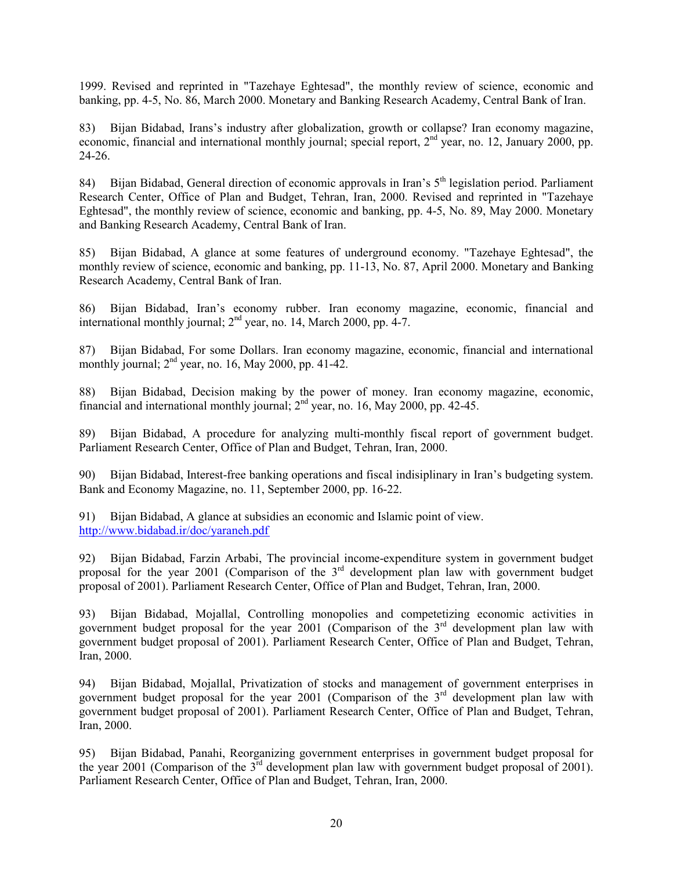1999. Revised and reprinted in "Tazehaye Eghtesad", the monthly review of science, economic and banking, pp. 4-5, No. 86, March 2000. Monetary and Banking Research Academy, Central Bank of Iran.

83) Bijan Bidabad, Irans's industry after globalization, growth or collapse? Iran economy magazine, economic, financial and international monthly journal; special report, 2<sup>nd</sup> year, no. 12, January 2000, pp. 24-26.

84) Bijan Bidabad, General direction of economic approvals in Iran's 5<sup>th</sup> legislation period. Parliament Research Center, Office of Plan and Budget, Tehran, Iran, 2000. Revised and reprinted in "Tazehaye Eghtesad", the monthly review of science, economic and banking, pp. 4-5, No. 89, May 2000. Monetary and Banking Research Academy, Central Bank of Iran.

85) Bijan Bidabad, A glance at some features of underground economy. "Tazehaye Eghtesad", the monthly review of science, economic and banking, pp. 11-13, No. 87, April 2000. Monetary and Banking Research Academy, Central Bank of Iran.

86) Bijan Bidabad, Iran's economy rubber. Iran economy magazine, economic, financial and international monthly journal;  $2<sup>nd</sup>$  year, no. 14, March 2000, pp. 4-7.

87) Bijan Bidabad, For some Dollars. Iran economy magazine, economic, financial and international monthly journal;  $2<sup>nd</sup>$  year, no. 16, May 2000, pp. 41-42.

88) Bijan Bidabad, Decision making by the power of money. Iran economy magazine, economic, financial and international monthly journal;  $2<sup>nd</sup>$  year, no. 16, May 2000, pp. 42-45.

89) Bijan Bidabad, A procedure for analyzing multi-monthly fiscal report of government budget. Parliament Research Center, Office of Plan and Budget, Tehran, Iran, 2000.

90) Bijan Bidabad, Interest-free banking operations and fiscal indisiplinary in Iran's budgeting system. Bank and Economy Magazine, no. 11, September 2000, pp. 16-22.

91) Bijan Bidabad, A glance at subsidies an economic and Islamic point of view. <http://www.bidabad.ir/doc/yaraneh.pdf>

92) Bijan Bidabad, Farzin Arbabi, The provincial income-expenditure system in government budget proposal for the year 2001 (Comparison of the  $3<sup>rd</sup>$  development plan law with government budget proposal of 2001). Parliament Research Center, Office of Plan and Budget, Tehran, Iran, 2000.

93) Bijan Bidabad, Mojallal, Controlling monopolies and competetizing economic activities in government budget proposal for the year 2001 (Comparison of the  $3<sup>rd</sup>$  development plan law with government budget proposal of 2001). Parliament Research Center, Office of Plan and Budget, Tehran, Iran, 2000.

94) Bijan Bidabad, Mojallal, Privatization of stocks and management of government enterprises in government budget proposal for the year 2001 (Comparison of the  $3<sup>rd</sup>$  development plan law with government budget proposal of 2001). Parliament Research Center, Office of Plan and Budget, Tehran, Iran, 2000.

95) Bijan Bidabad, Panahi, Reorganizing government enterprises in government budget proposal for the year 2001 (Comparison of the 3<sup>rd</sup> development plan law with government budget proposal of 2001). Parliament Research Center, Office of Plan and Budget, Tehran, Iran, 2000.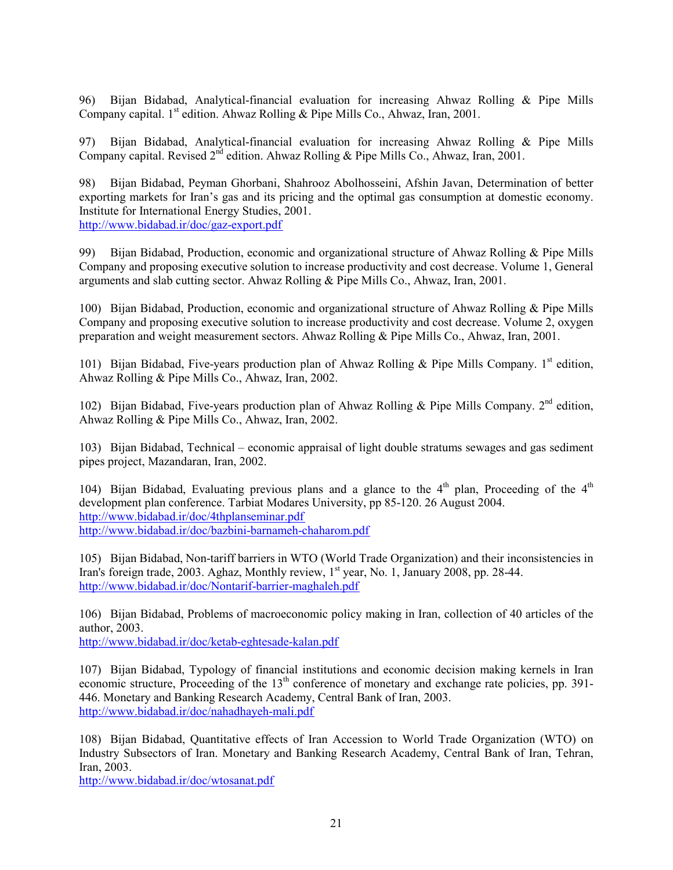96) Bijan Bidabad, Analytical-financial evaluation for increasing Ahwaz Rolling & Pipe Mills Company capital.  $1<sup>st</sup>$  edition. Ahwaz Rolling & Pipe Mills Co., Ahwaz, Iran, 2001.

97) Bijan Bidabad, Analytical-financial evaluation for increasing Ahwaz Rolling & Pipe Mills Company capital. Revised  $2<sup>nd</sup>$  edition. Ahwaz Rolling & Pipe Mills Co., Ahwaz, Iran, 2001.

98) Bijan Bidabad, Peyman Ghorbani, Shahrooz Abolhosseini, Afshin Javan, Determination of better exporting markets for Iran's gas and its pricing and the optimal gas consumption at domestic economy. Institute for International Energy Studies, 2001. <http://www.bidabad.ir/doc/gaz-export.pdf>

99) Bijan Bidabad, Production, economic and organizational structure of Ahwaz Rolling & Pipe Mills Company and proposing executive solution to increase productivity and cost decrease. Volume 1, General arguments and slab cutting sector. Ahwaz Rolling & Pipe Mills Co., Ahwaz, Iran, 2001.

100) Bijan Bidabad, Production, economic and organizational structure of Ahwaz Rolling & Pipe Mills Company and proposing executive solution to increase productivity and cost decrease. Volume 2, oxygen preparation and weight measurement sectors. Ahwaz Rolling & Pipe Mills Co., Ahwaz, Iran, 2001.

101) Bijan Bidabad, Five-years production plan of Ahwaz Rolling & Pipe Mills Company. 1<sup>st</sup> edition, Ahwaz Rolling & Pipe Mills Co., Ahwaz, Iran, 2002.

102) Bijan Bidabad, Five-years production plan of Ahwaz Rolling & Pipe Mills Company. 2<sup>nd</sup> edition, Ahwaz Rolling & Pipe Mills Co., Ahwaz, Iran, 2002.

103) Bijan Bidabad, Technical – economic appraisal of light double stratums sewages and gas sediment pipes project, Mazandaran, Iran, 2002.

104) Bijan Bidabad, Evaluating previous plans and a glance to the  $4<sup>th</sup>$  plan, Proceeding of the  $4<sup>th</sup>$ development plan conference. Tarbiat Modares University, pp 85-120. 26 August 2004. <http://www.bidabad.ir/doc/4thplanseminar.pdf> <http://www.bidabad.ir/doc/bazbini-barnameh-chaharom.pdf>

105) Bijan Bidabad, Non-tariff barriers in WTO (World Trade Organization) and their inconsistencies in Iran's foreign trade, 2003. Aghaz, Monthly review, 1<sup>st</sup> year, No. 1, January 2008, pp. 28-44. <http://www.bidabad.ir/doc/Nontarif-barrier-maghaleh.pdf>

106) Bijan Bidabad, Problems of macroeconomic policy making in Iran, collection of 40 articles of the author, 2003.

<http://www.bidabad.ir/doc/ketab-eghtesade-kalan.pdf>

107) Bijan Bidabad, Typology of financial institutions and economic decision making kernels in Iran economic structure, Proceeding of the 13<sup>th</sup> conference of monetary and exchange rate policies, pp. 391-446. Monetary and Banking Research Academy, Central Bank of Iran, 2003. <http://www.bidabad.ir/doc/nahadhayeh-mali.pdf>

108) Bijan Bidabad, Quantitative effects of Iran Accession to World Trade Organization (WTO) on Industry Subsectors of Iran. Monetary and Banking Research Academy, Central Bank of Iran, Tehran, Iran, 2003.

<http://www.bidabad.ir/doc/wtosanat.pdf>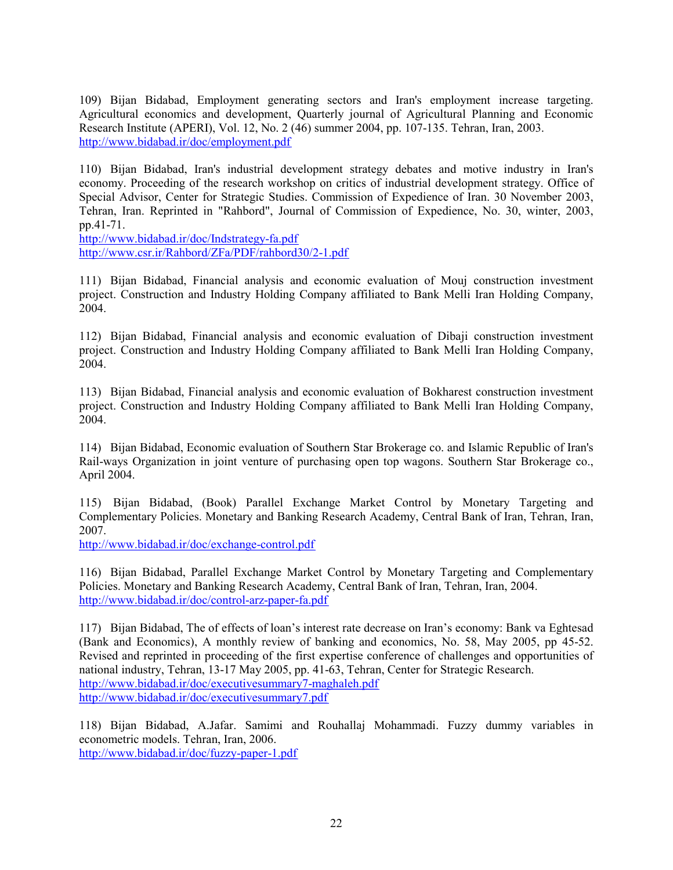109) Bijan Bidabad, Employment generating sectors and Iran's employment increase targeting. Agricultural economics and development, Quarterly journal of Agricultural Planning and Economic Research Institute (APERI), Vol. 12, No. 2 (46) summer 2004, pp. 107-135. Tehran, Iran, 2003. <http://www.bidabad.ir/doc/employment.pdf>

110) Bijan Bidabad, Iran's industrial development strategy debates and motive industry in Iran's economy. Proceeding of the research workshop on critics of industrial development strategy. Office of Special Advisor, Center for Strategic Studies. Commission of Expedience of Iran. 30 November 2003, Tehran, Iran. Reprinted in "Rahbord", Journal of Commission of Expedience, No. 30, winter, 2003, pp.41-71.

<http://www.bidabad.ir/doc/Indstrategy-fa.pdf> <http://www.csr.ir/Rahbord/ZFa/PDF/rahbord30/2-1.pdf>

111) Bijan Bidabad, Financial analysis and economic evaluation of Mouj construction investment project. Construction and Industry Holding Company affiliated to Bank Melli Iran Holding Company, 2004.

112) Bijan Bidabad, Financial analysis and economic evaluation of Dibaji construction investment project. Construction and Industry Holding Company affiliated to Bank Melli Iran Holding Company, 2004.

113) Bijan Bidabad, Financial analysis and economic evaluation of Bokharest construction investment project. Construction and Industry Holding Company affiliated to Bank Melli Iran Holding Company, 2004.

114) Bijan Bidabad, Economic evaluation of Southern Star Brokerage co. and Islamic Republic of Iran's Rail-ways Organization in joint venture of purchasing open top wagons. Southern Star Brokerage co., April 2004.

115) Bijan Bidabad, (Book) Parallel Exchange Market Control by Monetary Targeting and Complementary Policies. Monetary and Banking Research Academy, Central Bank of Iran, Tehran, Iran, 2007.

<http://www.bidabad.ir/doc/exchange-control.pdf>

116) Bijan Bidabad, Parallel Exchange Market Control by Monetary Targeting and Complementary Policies. Monetary and Banking Research Academy, Central Bank of Iran, Tehran, Iran, 2004. <http://www.bidabad.ir/doc/control-arz-paper-fa.pdf>

117) Bijan Bidabad, The of effects of loan's interest rate decrease on Iran's economy: Bank va Eghtesad (Bank and Economics), A monthly review of banking and economics, No. 58, May 2005, pp 45-52. Revised and reprinted in proceeding of the first expertise conference of challenges and opportunities of national industry, Tehran, 13-17 May 2005, pp. 41-63, Tehran, Center for Strategic Research. <http://www.bidabad.ir/doc/executivesummary7-maghaleh.pdf> <http://www.bidabad.ir/doc/executivesummary7.pdf>

118) Bijan Bidabad, A.Jafar. Samimi and Rouhallaj Mohammadi. Fuzzy dummy variables in econometric models. Tehran, Iran, 2006. <http://www.bidabad.ir/doc/fuzzy-paper-1.pdf>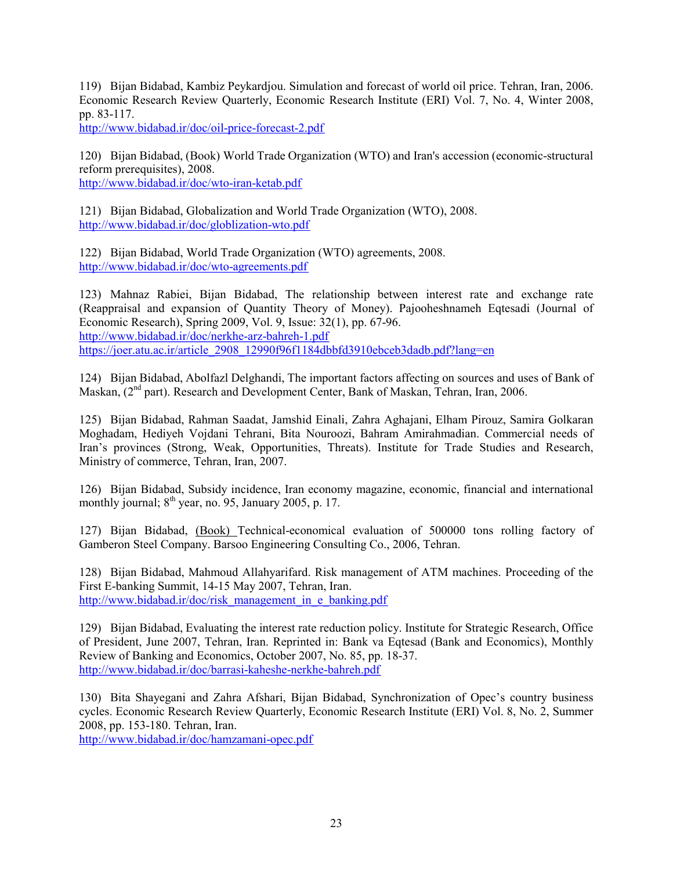119) Bijan Bidabad, Kambiz Peykardjou. Simulation and forecast of world oil price. Tehran, Iran, 2006. Economic Research Review Quarterly, Economic Research Institute (ERI) Vol. 7, No. 4, Winter 2008, pp. 83-117.

<http://www.bidabad.ir/doc/oil-price-forecast-2.pdf>

120) Bijan Bidabad, (Book) World Trade Organization (WTO) and Iran's accession (economic-structural reform prerequisites), 2008.

<http://www.bidabad.ir/doc/wto-iran-ketab.pdf>

121) Bijan Bidabad, Globalization and World Trade Organization (WTO), 2008. <http://www.bidabad.ir/doc/globlization-wto.pdf>

122) Bijan Bidabad, World Trade Organization (WTO) agreements, 2008. <http://www.bidabad.ir/doc/wto-agreements.pdf>

123) Mahnaz Rabiei, Bijan Bidabad, The relationship between interest rate and exchange rate (Reappraisal and expansion of Quantity Theory of Money). Pajooheshnameh Eqtesadi (Journal of Economic Research), Spring 2009, Vol. 9, Issue: 32(1), pp. 67-96. <http://www.bidabad.ir/doc/nerkhe-arz-bahreh-1.pdf> [https://joer.atu.ac.ir/article\\_2908\\_12990f96f1184dbbfd3910ebceb3dadb.pdf?lang=en](https://joer.atu.ac.ir/article_2908_12990f96f1184dbbfd3910ebceb3dadb.pdf?lang=en) 

124) Bijan Bidabad, Abolfazl Delghandi, The important factors affecting on sources and uses of Bank of Maskan, (2<sup>nd</sup> part). Research and Development Center, Bank of Maskan, Tehran, Iran, 2006.

125) Bijan Bidabad, Rahman Saadat, Jamshid Einali, Zahra Aghajani, Elham Pirouz, Samira Golkaran Moghadam, Hediyeh Vojdani Tehrani, Bita Nouroozi, Bahram Amirahmadian. Commercial needs of Iran's provinces (Strong, Weak, Opportunities, Threats). Institute for Trade Studies and Research, Ministry of commerce, Tehran, Iran, 2007.

126) Bijan Bidabad, Subsidy incidence, Iran economy magazine, economic, financial and international monthly journal;  $8<sup>th</sup>$  year, no. 95, January 2005, p. 17.

127) Bijan Bidabad, (Book) Technical-economical evaluation of 500000 tons rolling factory of Gamberon Steel Company. Barsoo Engineering Consulting Co., 2006, Tehran.

128) Bijan Bidabad, Mahmoud Allahyarifard. Risk management of ATM machines. Proceeding of the First E-banking Summit, 14-15 May 2007, Tehran, Iran. [http://www.bidabad.ir/doc/risk\\_management\\_in\\_e\\_banking.pdf](http://www.bidabad.ir/doc/risk_management_in_e_banking.pdf) 

129) Bijan Bidabad, Evaluating the interest rate reduction policy. Institute for Strategic Research, Office of President, June 2007, Tehran, Iran. Reprinted in: Bank va Eqtesad (Bank and Economics), Monthly Review of Banking and Economics, October 2007, No. 85, pp. 18-37. <http://www.bidabad.ir/doc/barrasi-kaheshe-nerkhe-bahreh.pdf>

130) Bita Shayegani and Zahra Afshari, Bijan Bidabad, Synchronization of Opec's country business cycles. Economic Research Review Quarterly, Economic Research Institute (ERI) Vol. 8, No. 2, Summer 2008, pp. 153-180. Tehran, Iran.

<http://www.bidabad.ir/doc/hamzamani-opec.pdf>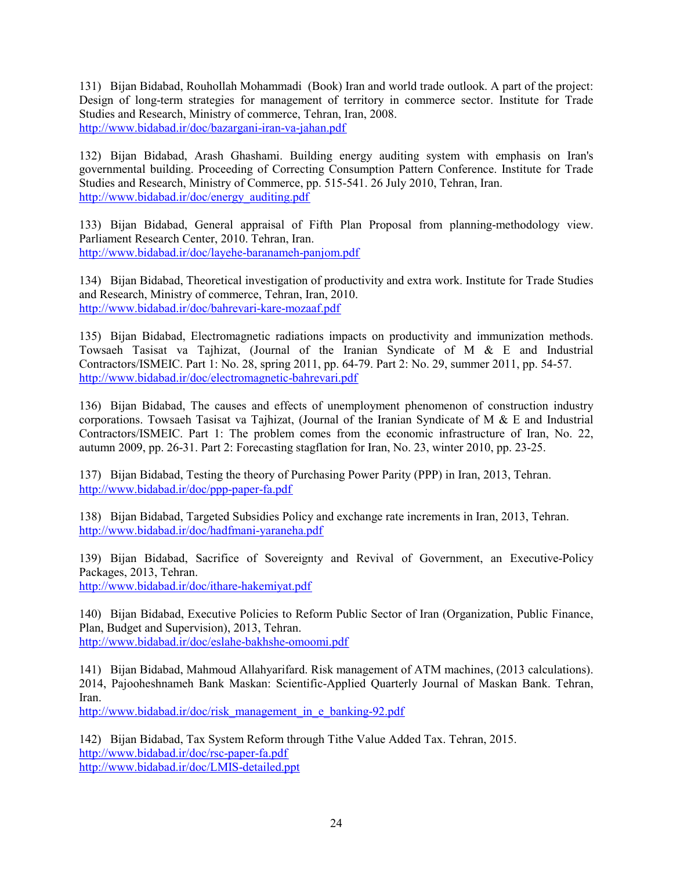131) Bijan Bidabad, Rouhollah Mohammadi (Book) Iran and world trade outlook. A part of the project: Design of long-term strategies for management of territory in commerce sector. Institute for Trade Studies and Research, Ministry of commerce, Tehran, Iran, 2008. <http://www.bidabad.ir/doc/bazargani-iran-va-jahan.pdf>

132) Bijan Bidabad, Arash Ghashami. Building energy auditing system with emphasis on Iran's governmental building. Proceeding of Correcting Consumption Pattern Conference. Institute for Trade Studies and Research, Ministry of Commerce, pp. 515-541. 26 July 2010, Tehran, Iran. [http://www.bidabad.ir/doc/energy\\_auditing.pdf](http://www.bidabad.ir/doc/energy_auditing.pdf)

133) Bijan Bidabad, General appraisal of Fifth Plan Proposal from planning-methodology view. Parliament Research Center, 2010. Tehran, Iran. <http://www.bidabad.ir/doc/layehe-baranameh-panjom.pdf>

134) Bijan Bidabad, Theoretical investigation of productivity and extra work. Institute for Trade Studies and Research, Ministry of commerce, Tehran, Iran, 2010. <http://www.bidabad.ir/doc/bahrevari-kare-mozaaf.pdf>

135) Bijan Bidabad, Electromagnetic radiations impacts on productivity and immunization methods. Towsaeh Tasisat va Tajhizat, (Journal of the Iranian Syndicate of M & E and Industrial Contractors/ISMEIC. Part 1: No. 28, spring 2011, pp. 64-79. Part 2: No. 29, summer 2011, pp. 54-57. <http://www.bidabad.ir/doc/electromagnetic-bahrevari.pdf>

136) Bijan Bidabad, The causes and effects of unemployment phenomenon of construction industry corporations. Towsaeh Tasisat va Tajhizat, (Journal of the Iranian Syndicate of M & E and Industrial Contractors/ISMEIC. Part 1: The problem comes from the economic infrastructure of Iran, No. 22, autumn 2009, pp. 26-31. Part 2: Forecasting stagflation for Iran, No. 23, winter 2010, pp. 23-25.

137) Bijan Bidabad, Testing the theory of Purchasing Power Parity (PPP) in Iran, 2013, Tehran. <http://www.bidabad.ir/doc/ppp-paper-fa.pdf>

138) Bijan Bidabad, Targeted Subsidies Policy and exchange rate increments in Iran, 2013, Tehran. <http://www.bidabad.ir/doc/hadfmani-yaraneha.pdf>

139) Bijan Bidabad, Sacrifice of Sovereignty and Revival of Government, an Executive-Policy Packages, 2013, Tehran.

<http://www.bidabad.ir/doc/ithare-hakemiyat.pdf>

140) Bijan Bidabad, Executive Policies to Reform Public Sector of Iran (Organization, Public Finance, Plan, Budget and Supervision), 2013, Tehran. <http://www.bidabad.ir/doc/eslahe-bakhshe-omoomi.pdf>

141) Bijan Bidabad, Mahmoud Allahyarifard. Risk management of ATM machines, (2013 calculations). 2014, Pajooheshnameh Bank Maskan: Scientific-Applied Quarterly Journal of Maskan Bank. Tehran, Iran.

[http://www.bidabad.ir/doc/risk\\_management\\_in\\_e\\_banking-92.pdf](http://www.bidabad.ir/doc/risk_management_in_e_banking-92.pdf)

142) Bijan Bidabad, Tax System Reform through Tithe Value Added Tax. Tehran, 2015. <http://www.bidabad.ir/doc/rsc-paper-fa.pdf> <http://www.bidabad.ir/doc/LMIS-detailed.ppt>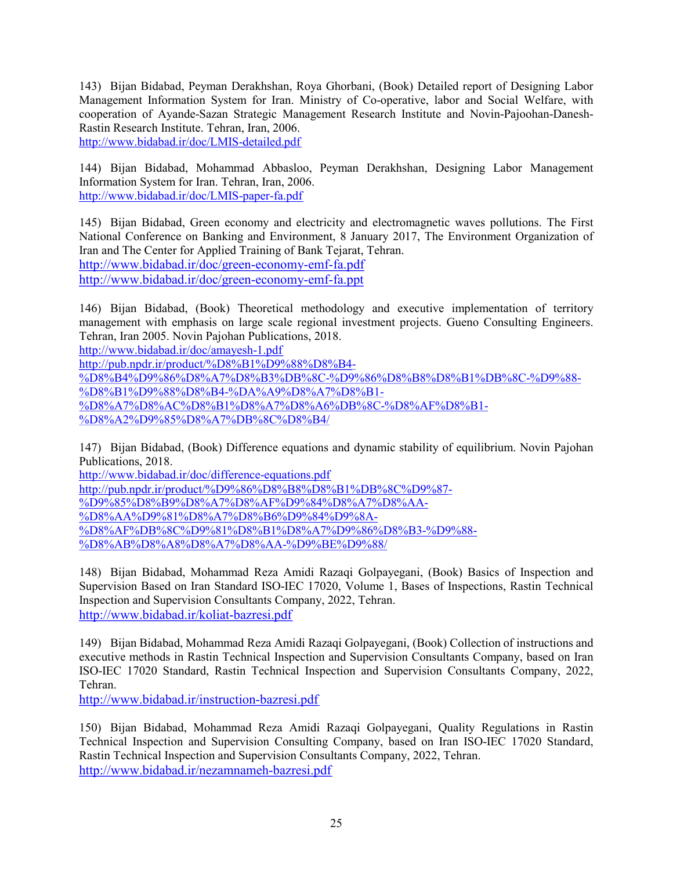143) Bijan Bidabad, Peyman Derakhshan, Roya Ghorbani, (Book) Detailed report of Designing Labor Management Information System for Iran. Ministry of Co-operative, labor and Social Welfare, with cooperation of Ayande-Sazan Strategic Management Research Institute and Novin-Pajoohan-Danesh-Rastin Research Institute. Tehran, Iran, 2006.

<http://www.bidabad.ir/doc/LMIS-detailed.pdf>

144) Bijan Bidabad, Mohammad Abbasloo, Peyman Derakhshan, Designing Labor Management Information System for Iran. Tehran, Iran, 2006. <http://www.bidabad.ir/doc/LMIS-paper-fa.pdf>

145) Bijan Bidabad, Green economy and electricity and electromagnetic waves pollutions. The First National Conference on Banking and Environment, 8 January 2017, The Environment Organization of Iran and The Center for Applied Training of Bank Tejarat, Tehran. <http://www.bidabad.ir/doc/green-economy-emf-fa.pdf> <http://www.bidabad.ir/doc/green-economy-emf-fa.ppt>

146) Bijan Bidabad, (Book) Theoretical methodology and executive implementation of territory management with emphasis on large scale regional investment projects. Gueno Consulting Engineers. Tehran, Iran 2005. Novin Pajohan Publications, 2018.

<http://www.bidabad.ir/doc/amayesh-1.pdf>

<http://pub.npdr.ir/product/%D8%B1%D9%88%D8%B4>- %D8%B4%D9%86%D8%A7%D8%B3%DB%8C-%D9%86%D8%B8%D8%B1%DB%8C-%D9%88- %D8%B1%D9%88%D8%B4-%DA%A9%D8%A7%D8%B1- %D8%A7%D8%AC%D8%B1%D8%A7%D8%A6%DB%8C-%D8%AF%D8%B1- %D8%A2%D9%85%D8%A7%DB%8C%D8%B4/

147) Bijan Bidabad, (Book) Difference equations and dynamic stability of equilibrium. Novin Pajohan Publications, 2018.

<http://www.bidabad.ir/doc/difference-equations.pdf> <http://pub.npdr.ir/product/%D9%86%D8%B8%D8%B1%DB%8C%D9%87>- %D9%85%D8%B9%D8%A7%D8%AF%D9%84%D8%A7%D8%AA- %D8%AA%D9%81%D8%A7%D8%B6%D9%84%D9%8A- %D8%AF%DB%8C%D9%81%D8%B1%D8%A7%D9%86%D8%B3-%D9%88- %D8%AB%D8%A8%D8%A7%D8%AA-%D9%BE%D9%88/

148) Bijan Bidabad, Mohammad Reza Amidi Razaqi Golpayegani, (Book) Basics of Inspection and Supervision Based on Iran Standard ISO-IEC 17020, Volume 1, Bases of Inspections, Rastin Technical Inspection and Supervision Consultants Company, 2022, Tehran. <http://www.bidabad.ir/koliat-bazresi.pdf>

149) Bijan Bidabad, Mohammad Reza Amidi Razaqi Golpayegani, (Book) Collection of instructions and executive methods in Rastin Technical Inspection and Supervision Consultants Company, based on Iran ISO-IEC 17020 Standard, Rastin Technical Inspection and Supervision Consultants Company, 2022, Tehran.

<http://www.bidabad.ir/instruction-bazresi.pdf>

150) Bijan Bidabad, Mohammad Reza Amidi Razaqi Golpayegani, Quality Regulations in Rastin Technical Inspection and Supervision Consulting Company, based on Iran ISO-IEC 17020 Standard, Rastin Technical Inspection and Supervision Consultants Company, 2022, Tehran. <http://www.bidabad.ir/nezamnameh-bazresi.pdf>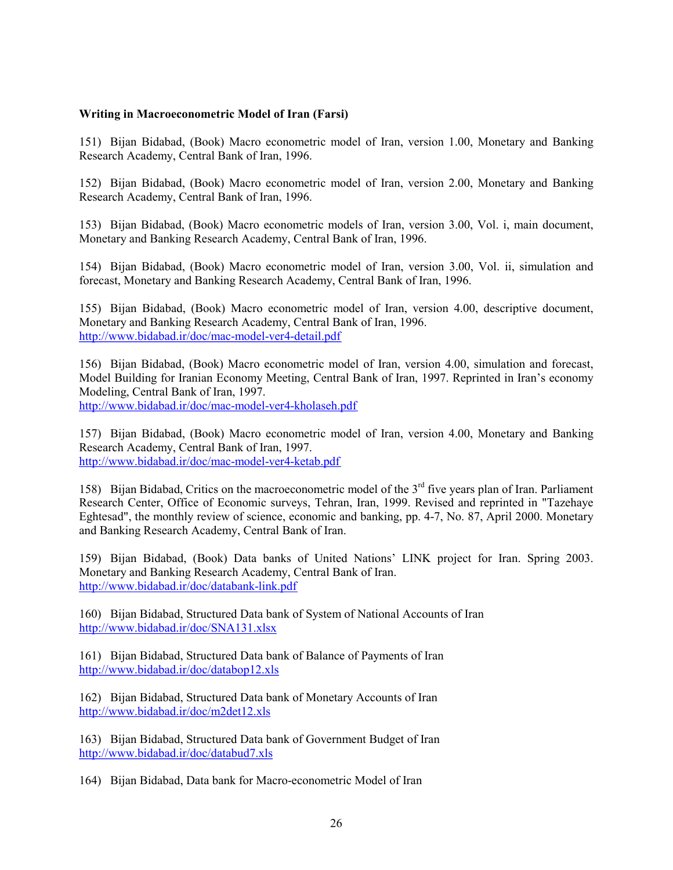#### **Writing in Macroeconometric Model of Iran (Farsi)**

151) Bijan Bidabad, (Book) Macro econometric model of Iran, version 1.00, Monetary and Banking Research Academy, Central Bank of Iran, 1996.

152) Bijan Bidabad, (Book) Macro econometric model of Iran, version 2.00, Monetary and Banking Research Academy, Central Bank of Iran, 1996.

153) Bijan Bidabad, (Book) Macro econometric models of Iran, version 3.00, Vol. i, main document, Monetary and Banking Research Academy, Central Bank of Iran, 1996.

154) Bijan Bidabad, (Book) Macro econometric model of Iran, version 3.00, Vol. ii, simulation and forecast, Monetary and Banking Research Academy, Central Bank of Iran, 1996.

155) Bijan Bidabad, (Book) Macro econometric model of Iran, version 4.00, descriptive document, Monetary and Banking Research Academy, Central Bank of Iran, 1996. <http://www.bidabad.ir/doc/mac-model-ver4-detail.pdf>

156) Bijan Bidabad, (Book) Macro econometric model of Iran, version 4.00, simulation and forecast, Model Building for Iranian Economy Meeting, Central Bank of Iran, 1997. Reprinted in Iran's economy Modeling, Central Bank of Iran, 1997.

<http://www.bidabad.ir/doc/mac-model-ver4-kholaseh.pdf>

157) Bijan Bidabad, (Book) Macro econometric model of Iran, version 4.00, Monetary and Banking Research Academy, Central Bank of Iran, 1997. <http://www.bidabad.ir/doc/mac-model-ver4-ketab.pdf>

158) Bijan Bidabad, Critics on the macroeconometric model of the  $3<sup>rd</sup>$  five years plan of Iran. Parliament Research Center, Office of Economic surveys, Tehran, Iran, 1999. Revised and reprinted in "Tazehaye Eghtesad", the monthly review of science, economic and banking, pp. 4-7, No. 87, April 2000. Monetary and Banking Research Academy, Central Bank of Iran.

159) Bijan Bidabad, (Book) Data banks of United Nations' LINK project for Iran. Spring 2003. Monetary and Banking Research Academy, Central Bank of Iran. <http://www.bidabad.ir/doc/databank-link.pdf>

160) Bijan Bidabad, Structured Data bank of System of National Accounts of Iran <http://www.bidabad.ir/doc/SNA131.xlsx>

161) Bijan Bidabad, Structured Data bank of Balance of Payments of Iran <http://www.bidabad.ir/doc/databop12.xls>

162) Bijan Bidabad, Structured Data bank of Monetary Accounts of Iran <http://www.bidabad.ir/doc/m2det12.xls>

163) Bijan Bidabad, Structured Data bank of Government Budget of Iran <http://www.bidabad.ir/doc/databud7.xls>

164) Bijan Bidabad, Data bank for Macro-econometric Model of Iran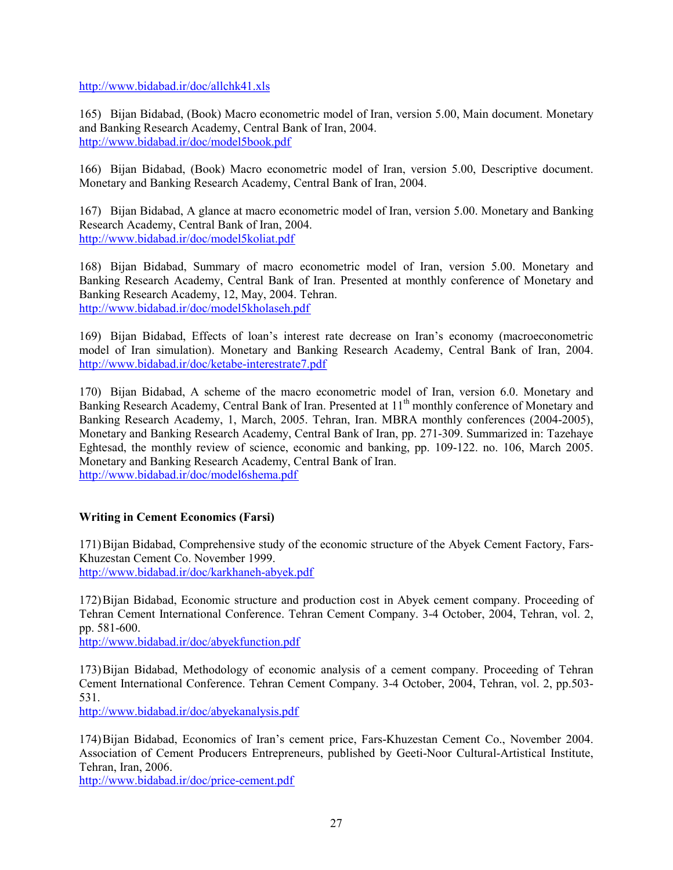<http://www.bidabad.ir/doc/allchk41.xls>

165) Bijan Bidabad, (Book) Macro econometric model of Iran, version 5.00, Main document. Monetary and Banking Research Academy, Central Bank of Iran, 2004. <http://www.bidabad.ir/doc/model5book.pdf>

166) Bijan Bidabad, (Book) Macro econometric model of Iran, version 5.00, Descriptive document. Monetary and Banking Research Academy, Central Bank of Iran, 2004.

167) Bijan Bidabad, A glance at macro econometric model of Iran, version 5.00. Monetary and Banking Research Academy, Central Bank of Iran, 2004. <http://www.bidabad.ir/doc/model5koliat.pdf>

168) Bijan Bidabad, Summary of macro econometric model of Iran, version 5.00. Monetary and Banking Research Academy, Central Bank of Iran. Presented at monthly conference of Monetary and Banking Research Academy, 12, May, 2004. Tehran. <http://www.bidabad.ir/doc/model5kholaseh.pdf>

169) Bijan Bidabad, Effects of loan's interest rate decrease on Iran's economy (macroeconometric model of Iran simulation). Monetary and Banking Research Academy, Central Bank of Iran, 2004. <http://www.bidabad.ir/doc/ketabe-interestrate7.pdf>

170) Bijan Bidabad, A scheme of the macro econometric model of Iran, version 6.0. Monetary and Banking Research Academy, Central Bank of Iran. Presented at 11<sup>th</sup> monthly conference of Monetary and Banking Research Academy, 1, March, 2005. Tehran, Iran. MBRA monthly conferences (2004-2005), Monetary and Banking Research Academy, Central Bank of Iran, pp. 271-309. Summarized in: Tazehaye Eghtesad, the monthly review of science, economic and banking, pp. 109-122. no. 106, March 2005. Monetary and Banking Research Academy, Central Bank of Iran. <http://www.bidabad.ir/doc/model6shema.pdf>

### **Writing in Cement Economics (Farsi)**

171)Bijan Bidabad, Comprehensive study of the economic structure of the Abyek Cement Factory, Fars-Khuzestan Cement Co. November 1999. <http://www.bidabad.ir/doc/karkhaneh-abyek.pdf>

172)Bijan Bidabad, Economic structure and production cost in Abyek cement company. Proceeding of Tehran Cement International Conference. Tehran Cement Company. 3-4 October, 2004, Tehran, vol. 2, pp. 581-600.

<http://www.bidabad.ir/doc/abyekfunction.pdf>

173)Bijan Bidabad, Methodology of economic analysis of a cement company. Proceeding of Tehran Cement International Conference. Tehran Cement Company. 3-4 October, 2004, Tehran, vol. 2, pp.503- 531.

<http://www.bidabad.ir/doc/abyekanalysis.pdf>

174)Bijan Bidabad, Economics of Iran's cement price, Fars-Khuzestan Cement Co., November 2004. Association of Cement Producers Entrepreneurs, published by Geeti-Noor Cultural-Artistical Institute, Tehran, Iran, 2006.

<http://www.bidabad.ir/doc/price-cement.pdf>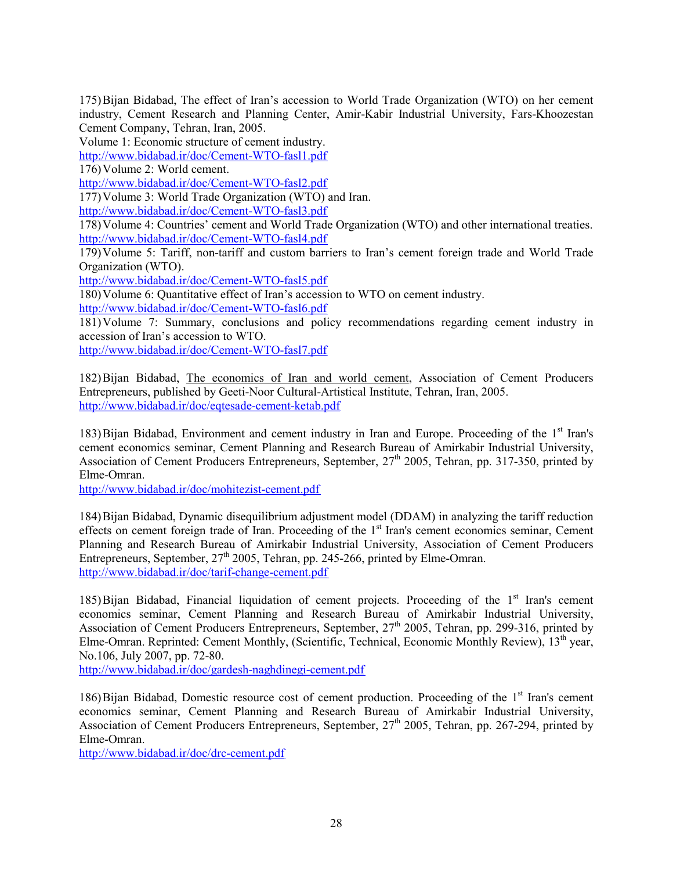175)Bijan Bidabad, The effect of Iran's accession to World Trade Organization (WTO) on her cement industry, Cement Research and Planning Center, Amir-Kabir Industrial University, Fars-Khoozestan Cement Company, Tehran, Iran, 2005.

Volume 1: Economic structure of cement industry.

<http://www.bidabad.ir/doc/Cement-WTO-fasl1.pdf>

176)Volume 2: World cement.

<http://www.bidabad.ir/doc/Cement-WTO-fasl2.pdf>

177)Volume 3: World Trade Organization (WTO) and Iran.

<http://www.bidabad.ir/doc/Cement-WTO-fasl3.pdf>

178)Volume 4: Countries' cement and World Trade Organization (WTO) and other international treaties. <http://www.bidabad.ir/doc/Cement-WTO-fasl4.pdf>

179)Volume 5: Tariff, non-tariff and custom barriers to Iran's cement foreign trade and World Trade Organization (WTO).

<http://www.bidabad.ir/doc/Cement-WTO-fasl5.pdf>

180)Volume 6: Quantitative effect of Iran's accession to WTO on cement industry.

<http://www.bidabad.ir/doc/Cement-WTO-fasl6.pdf>

181)Volume 7: Summary, conclusions and policy recommendations regarding cement industry in accession of Iran's accession to WTO.

<http://www.bidabad.ir/doc/Cement-WTO-fasl7.pdf>

182)Bijan Bidabad, The economics of Iran and world cement, Association of Cement Producers Entrepreneurs, published by Geeti-Noor Cultural-Artistical Institute, Tehran, Iran, 2005. <http://www.bidabad.ir/doc/eqtesade-cement-ketab.pdf>

183)Bijan Bidabad, Environment and cement industry in Iran and Europe. Proceeding of the 1<sup>st</sup> Iran's cement economics seminar, Cement Planning and Research Bureau of Amirkabir Industrial University, Association of Cement Producers Entrepreneurs, September, 27<sup>th</sup> 2005, Tehran, pp. 317-350, printed by Elme-Omran.

<http://www.bidabad.ir/doc/mohitezist-cement.pdf>

184)Bijan Bidabad, Dynamic disequilibrium adjustment model (DDAM) in analyzing the tariff reduction effects on cement foreign trade of Iran. Proceeding of the 1<sup>st</sup> Iran's cement economics seminar, Cement Planning and Research Bureau of Amirkabir Industrial University, Association of Cement Producers Entrepreneurs, September,  $27<sup>th</sup>$  2005, Tehran, pp. 245-266, printed by Elme-Omran. <http://www.bidabad.ir/doc/tarif-change-cement.pdf>

185)Bijan Bidabad, Financial liquidation of cement projects. Proceeding of the 1<sup>st</sup> Iran's cement economics seminar, Cement Planning and Research Bureau of Amirkabir Industrial University, Association of Cement Producers Entrepreneurs, September, 27<sup>th</sup> 2005, Tehran, pp. 299-316, printed by Elme-Omran. Reprinted: Cement Monthly, (Scientific, Technical, Economic Monthly Review),  $13<sup>th</sup>$  year, No.106, July 2007, pp. 72-80.

<http://www.bidabad.ir/doc/gardesh-naghdinegi-cement.pdf>

186)Bijan Bidabad, Domestic resource cost of cement production. Proceeding of the  $1<sup>st</sup>$  Iran's cement economics seminar, Cement Planning and Research Bureau of Amirkabir Industrial University, Association of Cement Producers Entrepreneurs, September, 27<sup>th</sup> 2005, Tehran, pp. 267-294, printed by Elme-Omran.

<http://www.bidabad.ir/doc/drc-cement.pdf>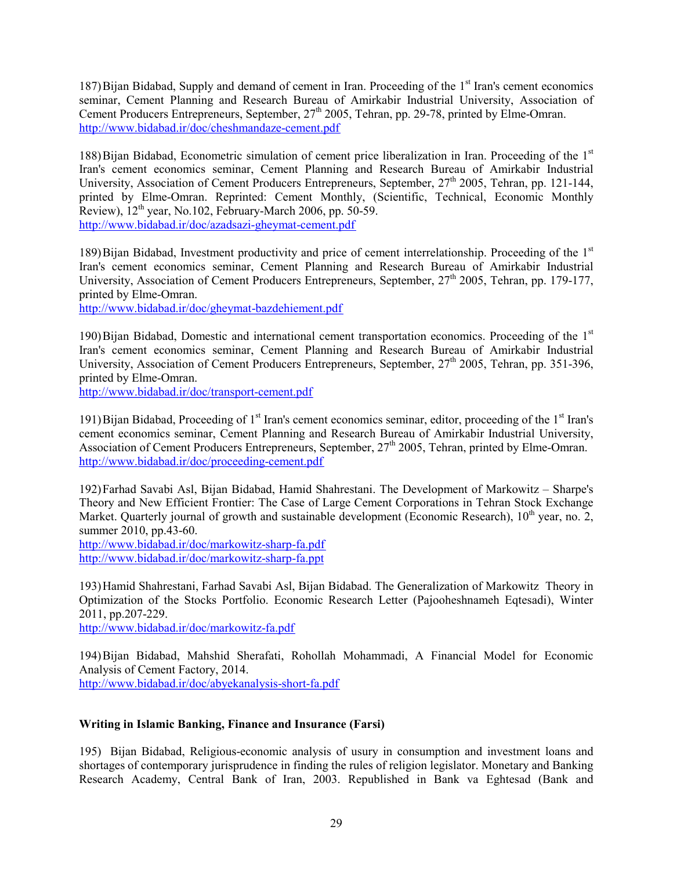187)Bijan Bidabad, Supply and demand of cement in Iran. Proceeding of the 1<sup>st</sup> Iran's cement economics seminar, Cement Planning and Research Bureau of Amirkabir Industrial University, Association of Cement Producers Entrepreneurs, September, 27<sup>th</sup> 2005, Tehran, pp. 29-78, printed by Elme-Omran. <http://www.bidabad.ir/doc/cheshmandaze-cement.pdf>

188)Bijan Bidabad, Econometric simulation of cement price liberalization in Iran. Proceeding of the 1st Iran's cement economics seminar, Cement Planning and Research Bureau of Amirkabir Industrial University, Association of Cement Producers Entrepreneurs, September,  $27<sup>th</sup>$  2005, Tehran, pp. 121-144, printed by Elme-Omran. Reprinted: Cement Monthly, (Scientific, Technical, Economic Monthly Review),  $12<sup>th</sup>$  year, No.102, February-March 2006, pp. 50-59. <http://www.bidabad.ir/doc/azadsazi-gheymat-cement.pdf>

189)Bijan Bidabad, Investment productivity and price of cement interrelationship. Proceeding of the 1st Iran's cement economics seminar, Cement Planning and Research Bureau of Amirkabir Industrial University, Association of Cement Producers Entrepreneurs, September,  $27<sup>th</sup>$  2005, Tehran, pp. 179-177, printed by Elme-Omran.

<http://www.bidabad.ir/doc/gheymat-bazdehiement.pdf>

190)Bijan Bidabad, Domestic and international cement transportation economics. Proceeding of the  $1<sup>st</sup>$ Iran's cement economics seminar, Cement Planning and Research Bureau of Amirkabir Industrial University, Association of Cement Producers Entrepreneurs, September, 27<sup>th</sup> 2005, Tehran, pp. 351-396, printed by Elme-Omran.

<http://www.bidabad.ir/doc/transport-cement.pdf>

191)Bijan Bidabad, Proceeding of 1<sup>st</sup> Iran's cement economics seminar, editor, proceeding of the 1<sup>st</sup> Iran's cement economics seminar, Cement Planning and Research Bureau of Amirkabir Industrial University, Association of Cement Producers Entrepreneurs, September, 27<sup>th</sup> 2005, Tehran, printed by Elme-Omran. <http://www.bidabad.ir/doc/proceeding-cement.pdf>

192)Farhad Savabi Asl, Bijan Bidabad, Hamid Shahrestani. The Development of Markowitz – Sharpe's Theory and New Efficient Frontier: The Case of Large Cement Corporations in Tehran Stock Exchange Market. Quarterly journal of growth and sustainable development (Economic Research),  $10^{th}$  year, no. 2, summer 2010, pp.43-60.

<http://www.bidabad.ir/doc/markowitz-sharp-fa.pdf> <http://www.bidabad.ir/doc/markowitz-sharp-fa.ppt>

193)Hamid Shahrestani, Farhad Savabi Asl, Bijan Bidabad. The Generalization of Markowitz Theory in Optimization of the Stocks Portfolio. Economic Research Letter (Pajooheshnameh Eqtesadi), Winter 2011, pp.207-229.

<http://www.bidabad.ir/doc/markowitz-fa.pdf>

194)Bijan Bidabad, Mahshid Sherafati, Rohollah Mohammadi, A Financial Model for Economic Analysis of Cement Factory, 2014. <http://www.bidabad.ir/doc/abyekanalysis-short-fa.pdf>

#### **Writing in Islamic Banking, Finance and Insurance (Farsi)**

195) Bijan Bidabad, Religious-economic analysis of usury in consumption and investment loans and shortages of contemporary jurisprudence in finding the rules of religion legislator. Monetary and Banking Research Academy, Central Bank of Iran, 2003. Republished in Bank va Eghtesad (Bank and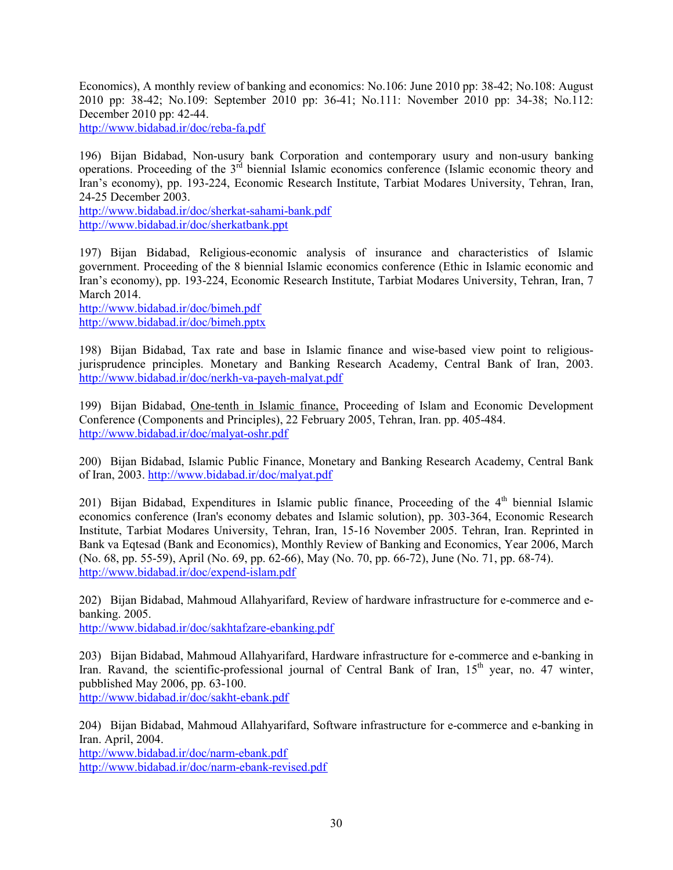Economics), A monthly review of banking and economics: No.106: June 2010 pp: 38-42; No.108: August 2010 pp: 38-42; No.109: September 2010 pp: 36-41; No.111: November 2010 pp: 34-38; No.112: December 2010 pp: 42-44.

<http://www.bidabad.ir/doc/reba-fa.pdf>

196) Bijan Bidabad, Non-usury bank Corporation and contemporary usury and non-usury banking operations. Proceeding of the 3rd biennial Islamic economics conference (Islamic economic theory and Iran's economy), pp. 193-224, Economic Research Institute, Tarbiat Modares University, Tehran, Iran, 24-25 December 2003.

<http://www.bidabad.ir/doc/sherkat-sahami-bank.pdf> <http://www.bidabad.ir/doc/sherkatbank.ppt>

197) Bijan Bidabad, Religious-economic analysis of insurance and characteristics of Islamic government. Proceeding of the 8 biennial Islamic economics conference (Ethic in Islamic economic and Iran's economy), pp. 193-224, Economic Research Institute, Tarbiat Modares University, Tehran, Iran, 7 March 2014.

<http://www.bidabad.ir/doc/bimeh.pdf> <http://www.bidabad.ir/doc/bimeh.pptx>

198) Bijan Bidabad, Tax rate and base in Islamic finance and wise-based view point to religiousjurisprudence principles. Monetary and Banking Research Academy, Central Bank of Iran, 2003. <http://www.bidabad.ir/doc/nerkh-va-payeh-malyat.pdf>

199) Bijan Bidabad, One-tenth in Islamic finance, Proceeding of Islam and Economic Development Conference (Components and Principles), 22 February 2005, Tehran, Iran. pp. 405-484. <http://www.bidabad.ir/doc/malyat-oshr.pdf>

200) Bijan Bidabad, Islamic Public Finance, Monetary and Banking Research Academy, Central Bank of Iran, 2003. <http://www.bidabad.ir/doc/malyat.pdf>

201) Bijan Bidabad, Expenditures in Islamic public finance, Proceeding of the 4<sup>th</sup> biennial Islamic economics conference (Iran's economy debates and Islamic solution), pp. 303-364, Economic Research Institute, Tarbiat Modares University, Tehran, Iran, 15-16 November 2005. Tehran, Iran. Reprinted in Bank va Eqtesad (Bank and Economics), Monthly Review of Banking and Economics, Year 2006, March (No. 68, pp. 55-59), April (No. 69, pp. 62-66), May (No. 70, pp. 66-72), June (No. 71, pp. 68-74). <http://www.bidabad.ir/doc/expend-islam.pdf>

202) Bijan Bidabad, Mahmoud Allahyarifard, Review of hardware infrastructure for e-commerce and ebanking. 2005.

<http://www.bidabad.ir/doc/sakhtafzare-ebanking.pdf>

203) Bijan Bidabad, Mahmoud Allahyarifard, Hardware infrastructure for e-commerce and e-banking in Iran. Ravand, the scientific-professional journal of Central Bank of Iran, 15<sup>th</sup> year, no. 47 winter, pubblished May 2006, pp. 63-100. <http://www.bidabad.ir/doc/sakht-ebank.pdf>

204) Bijan Bidabad, Mahmoud Allahyarifard, Software infrastructure for e-commerce and e-banking in Iran. April, 2004.

<http://www.bidabad.ir/doc/narm-ebank.pdf> <http://www.bidabad.ir/doc/narm-ebank-revised.pdf>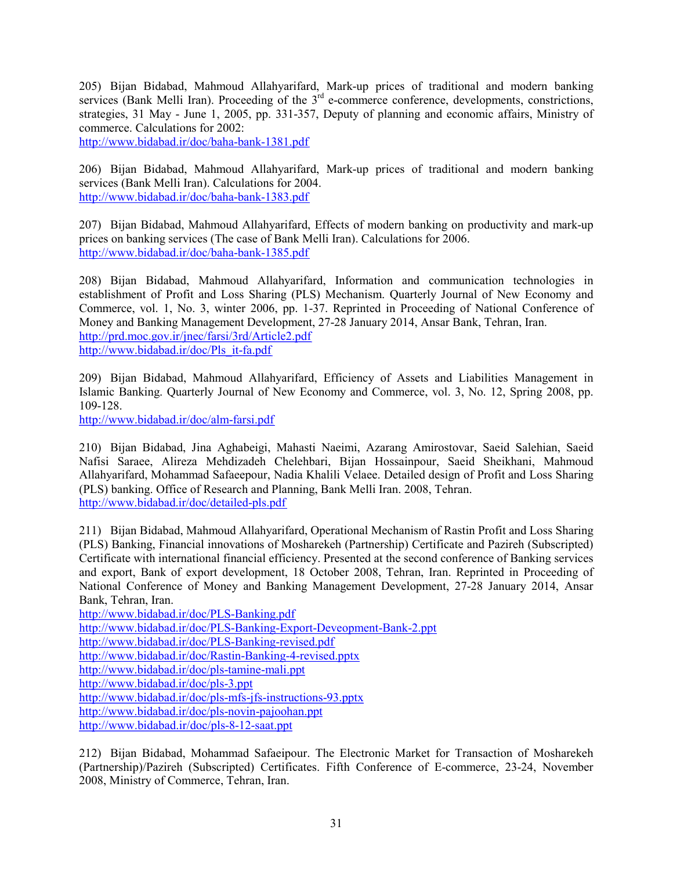205) Bijan Bidabad, Mahmoud Allahyarifard, Mark-up prices of traditional and modern banking services (Bank Melli Iran). Proceeding of the 3<sup>rd</sup> e-commerce conference, developments, constrictions, strategies, 31 May - June 1, 2005, pp. 331-357, Deputy of planning and economic affairs, Ministry of commerce. Calculations for 2002:

<http://www.bidabad.ir/doc/baha-bank-1381.pdf>

206) Bijan Bidabad, Mahmoud Allahyarifard, Mark-up prices of traditional and modern banking services (Bank Melli Iran). Calculations for 2004. <http://www.bidabad.ir/doc/baha-bank-1383.pdf>

207) Bijan Bidabad, Mahmoud Allahyarifard, Effects of modern banking on productivity and mark-up prices on banking services (The case of Bank Melli Iran). Calculations for 2006. <http://www.bidabad.ir/doc/baha-bank-1385.pdf>

208) Bijan Bidabad, Mahmoud Allahyarifard, Information and communication technologies in establishment of Profit and Loss Sharing (PLS) Mechanism. Quarterly Journal of New Economy and Commerce, vol. 1, No. 3, winter 2006, pp. 1-37. Reprinted in Proceeding of National Conference of Money and Banking Management Development, 27-28 January 2014, Ansar Bank, Tehran, Iran. <http://prd.moc.gov.ir/jnec/farsi/3rd/Article2.pdf> [http://www.bidabad.ir/doc/Pls\\_it-fa.pdf](http://www.bidabad.ir/doc/Pls_it-fa.pdf) 

209) Bijan Bidabad, Mahmoud Allahyarifard, Efficiency of Assets and Liabilities Management in Islamic Banking. Quarterly Journal of New Economy and Commerce, vol. 3, No. 12, Spring 2008, pp. 109-128.

<http://www.bidabad.ir/doc/alm-farsi.pdf>

210) Bijan Bidabad, Jina Aghabeigi, Mahasti Naeimi, Azarang Amirostovar, Saeid Salehian, Saeid Nafisi Saraee, Alireza Mehdizadeh Chelehbari, Bijan Hossainpour, Saeid Sheikhani, Mahmoud Allahyarifard, Mohammad Safaeepour, Nadia Khalili Velaee. Detailed design of Profit and Loss Sharing (PLS) banking. Office of Research and Planning, Bank Melli Iran. 2008, Tehran. <http://www.bidabad.ir/doc/detailed-pls.pdf>

211) Bijan Bidabad, Mahmoud Allahyarifard, Operational Mechanism of Rastin Profit and Loss Sharing (PLS) Banking, Financial innovations of Mosharekeh (Partnership) Certificate and Pazireh (Subscripted) Certificate with international financial efficiency. Presented at the second conference of Banking services and export, Bank of export development, 18 October 2008, Tehran, Iran. Reprinted in Proceeding of National Conference of Money and Banking Management Development, 27-28 January 2014, Ansar Bank, Tehran, Iran.

<http://www.bidabad.ir/doc/PLS-Banking.pdf> <http://www.bidabad.ir/doc/PLS-Banking-Export-Deveopment-Bank-2.ppt> <http://www.bidabad.ir/doc/PLS-Banking-revised.pdf> <http://www.bidabad.ir/doc/Rastin-Banking-4-revised.pptx> <http://www.bidabad.ir/doc/pls-tamine-mali.ppt> <http://www.bidabad.ir/doc/pls-3.ppt> <http://www.bidabad.ir/doc/pls-mfs-jfs-instructions-93.pptx> <http://www.bidabad.ir/doc/pls-novin-pajoohan.ppt> <http://www.bidabad.ir/doc/pls-8-12-saat.ppt>

212) Bijan Bidabad, Mohammad Safaeipour. The Electronic Market for Transaction of Mosharekeh (Partnership)/Pazireh (Subscripted) Certificates. Fifth Conference of E-commerce, 23-24, November 2008, Ministry of Commerce, Tehran, Iran.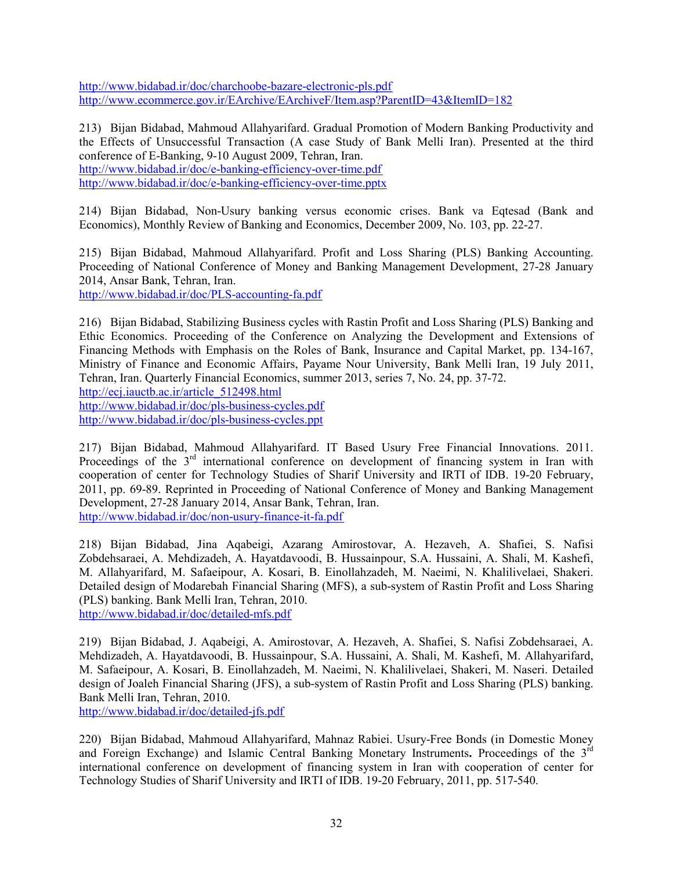<http://www.bidabad.ir/doc/charchoobe-bazare-electronic-pls.pdf> <http://www.ecommerce.gov.ir/EArchive/EArchiveF/Item.asp?ParentID=43&ItemID=182>

213) Bijan Bidabad, Mahmoud Allahyarifard. Gradual Promotion of Modern Banking Productivity and the Effects of Unsuccessful Transaction (A case Study of Bank Melli Iran). Presented at the third conference of E-Banking, 9-10 August 2009, Tehran, Iran. <http://www.bidabad.ir/doc/e-banking-efficiency-over-time.pdf> <http://www.bidabad.ir/doc/e-banking-efficiency-over-time.pptx>

214) Bijan Bidabad, Non-Usury banking versus economic crises. Bank va Eqtesad (Bank and Economics), Monthly Review of Banking and Economics, December 2009, No. 103, pp. 22-27.

215) Bijan Bidabad, Mahmoud Allahyarifard. Profit and Loss Sharing (PLS) Banking Accounting. Proceeding of National Conference of Money and Banking Management Development, 27-28 January 2014, Ansar Bank, Tehran, Iran.

<http://www.bidabad.ir/doc/PLS-accounting-fa.pdf>

216) Bijan Bidabad, Stabilizing Business cycles with Rastin Profit and Loss Sharing (PLS) Banking and Ethic Economics. Proceeding of the Conference on Analyzing the Development and Extensions of Financing Methods with Emphasis on the Roles of Bank, Insurance and Capital Market, pp. 134-167, Ministry of Finance and Economic Affairs, Payame Nour University, Bank Melli Iran, 19 July 2011, Tehran, Iran. Quarterly Financial Economics, summer 2013, series 7, No. 24, pp. 37-72. [http://ecj.iauctb.ac.ir/article\\_512498.html](http://ecj.iauctb.ac.ir/article_512498.html) <http://www.bidabad.ir/doc/pls-business-cycles.pdf> <http://www.bidabad.ir/doc/pls-business-cycles.ppt>

217) Bijan Bidabad, Mahmoud Allahyarifard. IT Based Usury Free Financial Innovations. 2011. Proceedings of the  $3<sup>rd</sup>$  international conference on development of financing system in Iran with cooperation of center for Technology Studies of Sharif University and IRTI of IDB. 19-20 February, 2011, pp. 69-89. Reprinted in Proceeding of National Conference of Money and Banking Management Development, 27-28 January 2014, Ansar Bank, Tehran, Iran. <http://www.bidabad.ir/doc/non-usury-finance-it-fa.pdf>

218) Bijan Bidabad, Jina Aqabeigi, Azarang Amirostovar, A. Hezaveh, A. Shafiei, S. Nafisi Zobdehsaraei, A. Mehdizadeh, A. Hayatdavoodi, B. Hussainpour, S.A. Hussaini, A. Shali, M. Kashefi, M. Allahyarifard, M. Safaeipour, A. Kosari, B. Einollahzadeh, M. Naeimi, N. Khalilivelaei, Shakeri. Detailed design of Modarebah Financial Sharing (MFS), a sub-system of Rastin Profit and Loss Sharing (PLS) banking. Bank Melli Iran, Tehran, 2010.

<http://www.bidabad.ir/doc/detailed-mfs.pdf>

219) Bijan Bidabad, J. Aqabeigi, A. Amirostovar, A. Hezaveh, A. Shafiei, S. Nafisi Zobdehsaraei, A. Mehdizadeh, A. Hayatdavoodi, B. Hussainpour, S.A. Hussaini, A. Shali, M. Kashefi, M. Allahyarifard, M. Safaeipour, A. Kosari, B. Einollahzadeh, M. Naeimi, N. Khalilivelaei, Shakeri, M. Naseri. Detailed design of Joaleh Financial Sharing (JFS), a sub-system of Rastin Profit and Loss Sharing (PLS) banking. Bank Melli Iran, Tehran, 2010.

<http://www.bidabad.ir/doc/detailed-jfs.pdf>

220) Bijan Bidabad, Mahmoud Allahyarifard, Mahnaz Rabiei. Usury-Free Bonds (in Domestic Money and Foreign Exchange) and Islamic Central Banking Monetary Instruments**.** Proceedings of the 3rd international conference on development of financing system in Iran with cooperation of center for Technology Studies of Sharif University and IRTI of IDB. 19-20 February, 2011, pp. 517-540.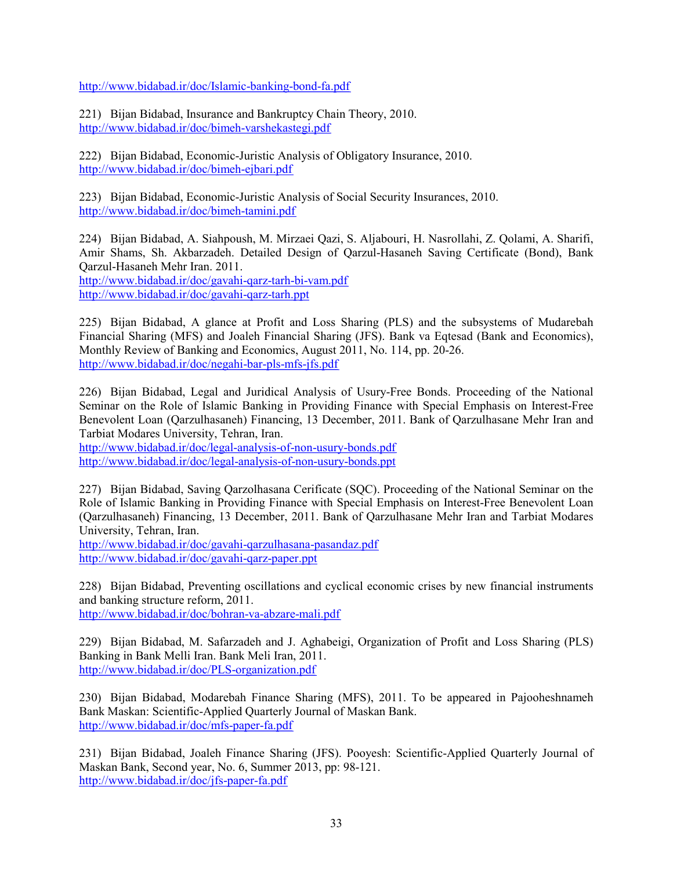<http://www.bidabad.ir/doc/Islamic-banking-bond-fa.pdf>

221) Bijan Bidabad, Insurance and Bankruptcy Chain Theory, 2010. <http://www.bidabad.ir/doc/bimeh-varshekastegi.pdf>

222) Bijan Bidabad, Economic-Juristic Analysis of Obligatory Insurance, 2010. <http://www.bidabad.ir/doc/bimeh-ejbari.pdf>

223) Bijan Bidabad, Economic-Juristic Analysis of Social Security Insurances, 2010. <http://www.bidabad.ir/doc/bimeh-tamini.pdf>

224) Bijan Bidabad, A. Siahpoush, M. Mirzaei Qazi, S. Aljabouri, H. Nasrollahi, Z. Qolami, A. Sharifi, Amir Shams, Sh. Akbarzadeh. Detailed Design of Qarzul-Hasaneh Saving Certificate (Bond), Bank Qarzul-Hasaneh Mehr Iran. 2011. <http://www.bidabad.ir/doc/gavahi-qarz-tarh-bi-vam.pdf>

<http://www.bidabad.ir/doc/gavahi-qarz-tarh.ppt>

225) Bijan Bidabad, A glance at Profit and Loss Sharing (PLS) and the subsystems of Mudarebah Financial Sharing (MFS) and Joaleh Financial Sharing (JFS). Bank va Eqtesad (Bank and Economics), Monthly Review of Banking and Economics, August 2011, No. 114, pp. 20-26. <http://www.bidabad.ir/doc/negahi-bar-pls-mfs-jfs.pdf>

226) Bijan Bidabad, Legal and Juridical Analysis of Usury-Free Bonds. Proceeding of the National Seminar on the Role of Islamic Banking in Providing Finance with Special Emphasis on Interest-Free Benevolent Loan (Qarzulhasaneh) Financing, 13 December, 2011. Bank of Qarzulhasane Mehr Iran and Tarbiat Modares University, Tehran, Iran.

<http://www.bidabad.ir/doc/legal-analysis-of-non-usury-bonds.pdf> <http://www.bidabad.ir/doc/legal-analysis-of-non-usury-bonds.ppt>

227) Bijan Bidabad, Saving Qarzolhasana Cerificate (SQC). Proceeding of the National Seminar on the Role of Islamic Banking in Providing Finance with Special Emphasis on Interest-Free Benevolent Loan (Qarzulhasaneh) Financing, 13 December, 2011. Bank of Qarzulhasane Mehr Iran and Tarbiat Modares University, Tehran, Iran.

<http://www.bidabad.ir/doc/gavahi-qarzulhasana-pasandaz.pdf> <http://www.bidabad.ir/doc/gavahi-qarz-paper.ppt>

228) Bijan Bidabad, Preventing oscillations and cyclical economic crises by new financial instruments and banking structure reform, 2011.

<http://www.bidabad.ir/doc/bohran-va-abzare-mali.pdf>

229) Bijan Bidabad, M. Safarzadeh and J. Aghabeigi, Organization of Profit and Loss Sharing (PLS) Banking in Bank Melli Iran. Bank Meli Iran, 2011. <http://www.bidabad.ir/doc/PLS-organization.pdf>

230) Bijan Bidabad, Modarebah Finance Sharing (MFS), 2011. To be appeared in Pajooheshnameh Bank Maskan: Scientific-Applied Quarterly Journal of Maskan Bank. <http://www.bidabad.ir/doc/mfs-paper-fa.pdf>

231) Bijan Bidabad, Joaleh Finance Sharing (JFS). Pooyesh: Scientific-Applied Quarterly Journal of Maskan Bank, Second year, No. 6, Summer 2013, pp: 98-121. <http://www.bidabad.ir/doc/jfs-paper-fa.pdf>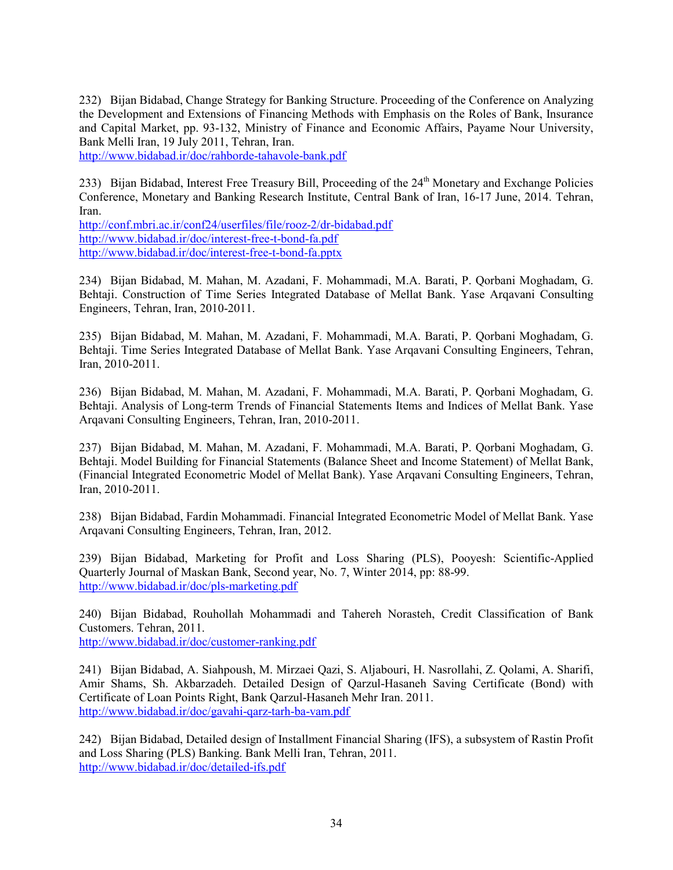232) Bijan Bidabad, Change Strategy for Banking Structure. Proceeding of the Conference on Analyzing the Development and Extensions of Financing Methods with Emphasis on the Roles of Bank, Insurance and Capital Market, pp. 93-132, Ministry of Finance and Economic Affairs, Payame Nour University, Bank Melli Iran, 19 July 2011, Tehran, Iran.

<http://www.bidabad.ir/doc/rahborde-tahavole-bank.pdf>

233) Bijan Bidabad, Interest Free Treasury Bill, Proceeding of the 24<sup>th</sup> Monetary and Exchange Policies Conference, Monetary and Banking Research Institute, Central Bank of Iran, 16-17 June, 2014. Tehran, Iran.

<http://conf.mbri.ac.ir/conf24/userfiles/file/rooz-2/dr-bidabad.pdf> <http://www.bidabad.ir/doc/interest-free-t-bond-fa.pdf> <http://www.bidabad.ir/doc/interest-free-t-bond-fa.pptx>

234) Bijan Bidabad, M. Mahan, M. Azadani, F. Mohammadi, M.A. Barati, P. Qorbani Moghadam, G. Behtaji. Construction of Time Series Integrated Database of Mellat Bank. Yase Arqavani Consulting Engineers, Tehran, Iran, 2010-2011.

235) Bijan Bidabad, M. Mahan, M. Azadani, F. Mohammadi, M.A. Barati, P. Qorbani Moghadam, G. Behtaji. Time Series Integrated Database of Mellat Bank. Yase Arqavani Consulting Engineers, Tehran, Iran, 2010-2011.

236) Bijan Bidabad, M. Mahan, M. Azadani, F. Mohammadi, M.A. Barati, P. Qorbani Moghadam, G. Behtaji. Analysis of Long-term Trends of Financial Statements Items and Indices of Mellat Bank. Yase Arqavani Consulting Engineers, Tehran, Iran, 2010-2011.

237) Bijan Bidabad, M. Mahan, M. Azadani, F. Mohammadi, M.A. Barati, P. Qorbani Moghadam, G. Behtaji. Model Building for Financial Statements (Balance Sheet and Income Statement) of Mellat Bank, (Financial Integrated Econometric Model of Mellat Bank). Yase Arqavani Consulting Engineers, Tehran, Iran, 2010-2011.

238) Bijan Bidabad, Fardin Mohammadi. Financial Integrated Econometric Model of Mellat Bank. Yase Arqavani Consulting Engineers, Tehran, Iran, 2012.

239) Bijan Bidabad, Marketing for Profit and Loss Sharing (PLS), Pooyesh: Scientific-Applied Quarterly Journal of Maskan Bank, Second year, No. 7, Winter 2014, pp: 88-99. <http://www.bidabad.ir/doc/pls-marketing.pdf>

240) Bijan Bidabad, Rouhollah Mohammadi and Tahereh Norasteh, Credit Classification of Bank Customers. Tehran, 2011.

<http://www.bidabad.ir/doc/customer-ranking.pdf>

241) Bijan Bidabad, A. Siahpoush, M. Mirzaei Qazi, S. Aljabouri, H. Nasrollahi, Z. Qolami, A. Sharifi, Amir Shams, Sh. Akbarzadeh. Detailed Design of Qarzul-Hasaneh Saving Certificate (Bond) with Certificate of Loan Points Right, Bank Qarzul-Hasaneh Mehr Iran. 2011. <http://www.bidabad.ir/doc/gavahi-qarz-tarh-ba-vam.pdf>

242) Bijan Bidabad, Detailed design of Installment Financial Sharing (IFS), a subsystem of Rastin Profit and Loss Sharing (PLS) Banking. Bank Melli Iran, Tehran, 2011. <http://www.bidabad.ir/doc/detailed-ifs.pdf>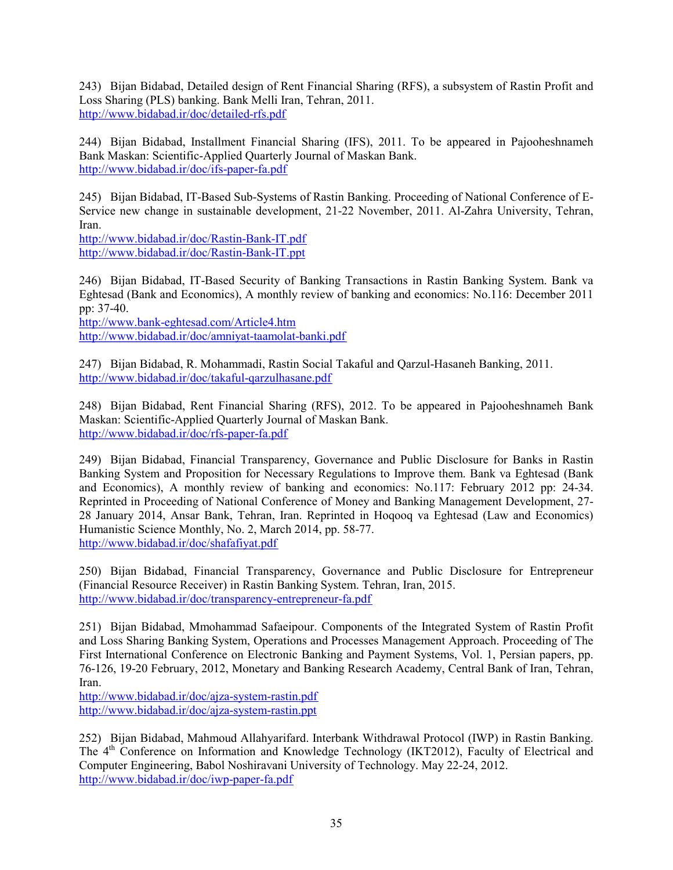243) Bijan Bidabad, Detailed design of Rent Financial Sharing (RFS), a subsystem of Rastin Profit and Loss Sharing (PLS) banking. Bank Melli Iran, Tehran, 2011. <http://www.bidabad.ir/doc/detailed-rfs.pdf>

244) Bijan Bidabad, Installment Financial Sharing (IFS), 2011. To be appeared in Pajooheshnameh Bank Maskan: Scientific-Applied Quarterly Journal of Maskan Bank. <http://www.bidabad.ir/doc/ifs-paper-fa.pdf>

245) Bijan Bidabad, IT-Based Sub-Systems of Rastin Banking. Proceeding of National Conference of E-Service new change in sustainable development, 21-22 November, 2011. Al-Zahra University, Tehran, Iran.

<http://www.bidabad.ir/doc/Rastin-Bank-IT.pdf> <http://www.bidabad.ir/doc/Rastin-Bank-IT.ppt>

246) Bijan Bidabad, IT-Based Security of Banking Transactions in Rastin Banking System. Bank va Eghtesad (Bank and Economics), A monthly review of banking and economics: No.116: December 2011 pp: 37-40.

<http://www.bank-eghtesad.com/Article4.htm> <http://www.bidabad.ir/doc/amniyat-taamolat-banki.pdf>

247) Bijan Bidabad, R. Mohammadi, Rastin Social Takaful and Qarzul-Hasaneh Banking, 2011. <http://www.bidabad.ir/doc/takaful-qarzulhasane.pdf>

248) Bijan Bidabad, Rent Financial Sharing (RFS), 2012. To be appeared in Pajooheshnameh Bank Maskan: Scientific-Applied Quarterly Journal of Maskan Bank. <http://www.bidabad.ir/doc/rfs-paper-fa.pdf>

249) Bijan Bidabad, Financial Transparency, Governance and Public Disclosure for Banks in Rastin Banking System and Proposition for Necessary Regulations to Improve them. Bank va Eghtesad (Bank and Economics), A monthly review of banking and economics: No.117: February 2012 pp: 24-34. Reprinted in Proceeding of National Conference of Money and Banking Management Development, 27- 28 January 2014, Ansar Bank, Tehran, Iran. Reprinted in Hoqooq va Eghtesad (Law and Economics) Humanistic Science Monthly, No. 2, March 2014, pp. 58-77. <http://www.bidabad.ir/doc/shafafiyat.pdf>

250) Bijan Bidabad, Financial Transparency, Governance and Public Disclosure for Entrepreneur (Financial Resource Receiver) in Rastin Banking System. Tehran, Iran, 2015. <http://www.bidabad.ir/doc/transparency-entrepreneur-fa.pdf>

251) Bijan Bidabad, Mmohammad Safaeipour. Components of the Integrated System of Rastin Profit and Loss Sharing Banking System, Operations and Processes Management Approach. Proceeding of The First International Conference on Electronic Banking and Payment Systems, Vol. 1, Persian papers, pp. 76-126, 19-20 February, 2012, Monetary and Banking Research Academy, Central Bank of Iran, Tehran, Iran.

<http://www.bidabad.ir/doc/ajza-system-rastin.pdf> <http://www.bidabad.ir/doc/ajza-system-rastin.ppt>

252) Bijan Bidabad, Mahmoud Allahyarifard. Interbank Withdrawal Protocol (IWP) in Rastin Banking. The 4<sup>th</sup> Conference on Information and Knowledge Technology (IKT2012), Faculty of Electrical and Computer Engineering, Babol Noshiravani University of Technology. May 22-24, 2012. <http://www.bidabad.ir/doc/iwp-paper-fa.pdf>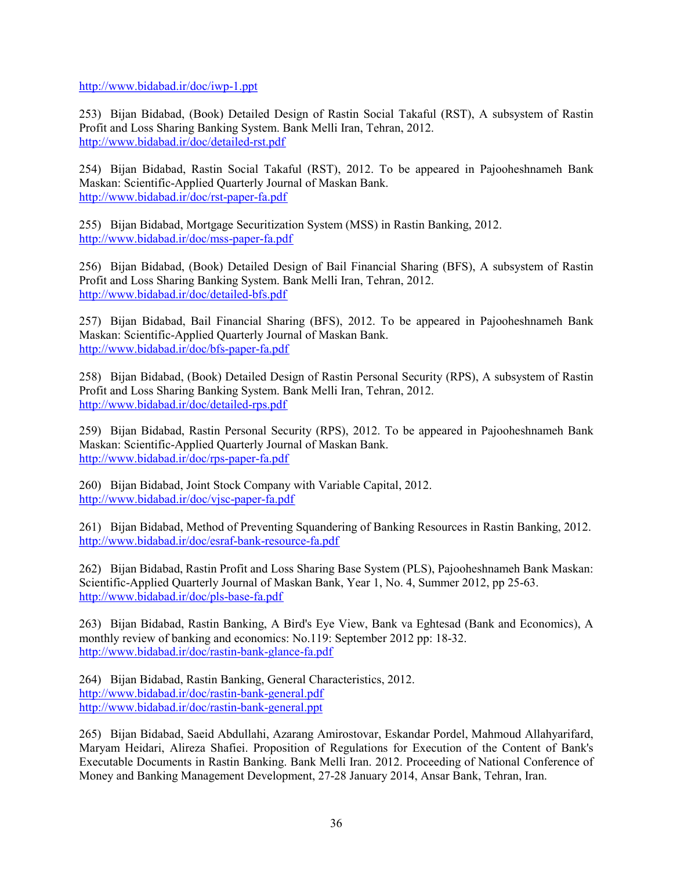<http://www.bidabad.ir/doc/iwp-1.ppt>

253) Bijan Bidabad, (Book) Detailed Design of Rastin Social Takaful (RST), A subsystem of Rastin Profit and Loss Sharing Banking System. Bank Melli Iran, Tehran, 2012. <http://www.bidabad.ir/doc/detailed-rst.pdf>

254) Bijan Bidabad, Rastin Social Takaful (RST), 2012. To be appeared in Pajooheshnameh Bank Maskan: Scientific-Applied Quarterly Journal of Maskan Bank. <http://www.bidabad.ir/doc/rst-paper-fa.pdf>

255) Bijan Bidabad, Mortgage Securitization System (MSS) in Rastin Banking, 2012. <http://www.bidabad.ir/doc/mss-paper-fa.pdf>

256) Bijan Bidabad, (Book) Detailed Design of Bail Financial Sharing (BFS), A subsystem of Rastin Profit and Loss Sharing Banking System. Bank Melli Iran, Tehran, 2012. <http://www.bidabad.ir/doc/detailed-bfs.pdf>

257) Bijan Bidabad, Bail Financial Sharing (BFS), 2012. To be appeared in Pajooheshnameh Bank Maskan: Scientific-Applied Quarterly Journal of Maskan Bank. <http://www.bidabad.ir/doc/bfs-paper-fa.pdf>

258) Bijan Bidabad, (Book) Detailed Design of Rastin Personal Security (RPS), A subsystem of Rastin Profit and Loss Sharing Banking System. Bank Melli Iran, Tehran, 2012. <http://www.bidabad.ir/doc/detailed-rps.pdf>

259) Bijan Bidabad, Rastin Personal Security (RPS), 2012. To be appeared in Pajooheshnameh Bank Maskan: Scientific-Applied Quarterly Journal of Maskan Bank. <http://www.bidabad.ir/doc/rps-paper-fa.pdf>

260) Bijan Bidabad, Joint Stock Company with Variable Capital, 2012. <http://www.bidabad.ir/doc/vjsc-paper-fa.pdf>

261) Bijan Bidabad, Method of Preventing Squandering of Banking Resources in Rastin Banking, 2012. <http://www.bidabad.ir/doc/esraf-bank-resource-fa.pdf>

262) Bijan Bidabad, Rastin Profit and Loss Sharing Base System (PLS), Pajooheshnameh Bank Maskan: Scientific-Applied Quarterly Journal of Maskan Bank, Year 1, No. 4, Summer 2012, pp 25-63. <http://www.bidabad.ir/doc/pls-base-fa.pdf>

263) Bijan Bidabad, Rastin Banking, A Bird's Eye View, Bank va Eghtesad (Bank and Economics), A monthly review of banking and economics: No.119: September 2012 pp: 18-32. <http://www.bidabad.ir/doc/rastin-bank-glance-fa.pdf>

264) Bijan Bidabad, Rastin Banking, General Characteristics, 2012. <http://www.bidabad.ir/doc/rastin-bank-general.pdf> <http://www.bidabad.ir/doc/rastin-bank-general.ppt>

265) Bijan Bidabad, Saeid Abdullahi, Azarang Amirostovar, Eskandar Pordel, Mahmoud Allahyarifard, Maryam Heidari, Alireza Shafiei. Proposition of Regulations for Execution of the Content of Bank's Executable Documents in Rastin Banking. Bank Melli Iran. 2012. Proceeding of National Conference of Money and Banking Management Development, 27-28 January 2014, Ansar Bank, Tehran, Iran.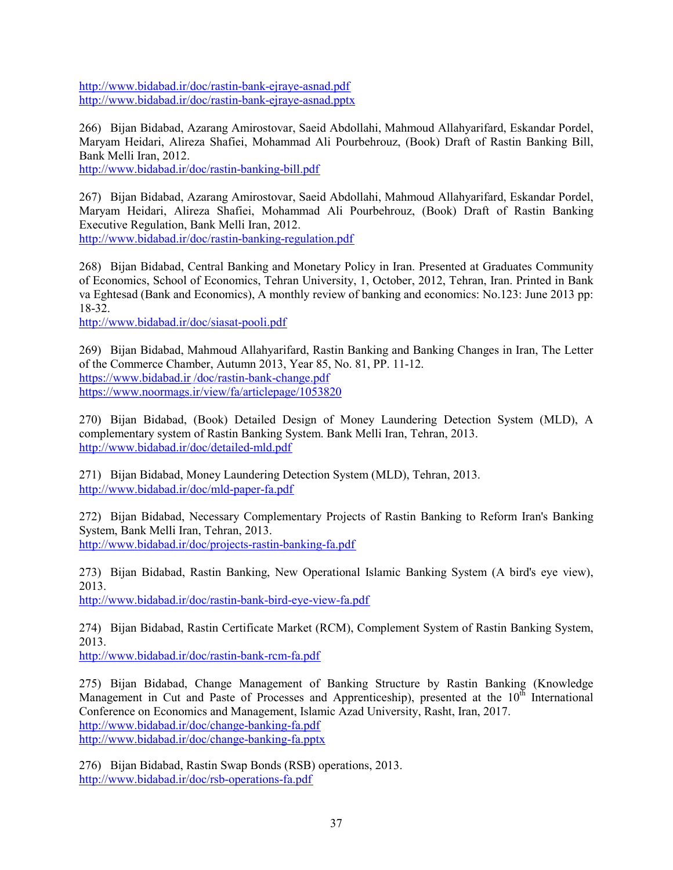<http://www.bidabad.ir/doc/rastin-bank-ejraye-asnad.pdf> <http://www.bidabad.ir/doc/rastin-bank-ejraye-asnad.pptx>

266) Bijan Bidabad, Azarang Amirostovar, Saeid Abdollahi, Mahmoud Allahyarifard, Eskandar Pordel, Maryam Heidari, Alireza Shafiei, Mohammad Ali Pourbehrouz, (Book) Draft of Rastin Banking Bill, Bank Melli Iran, 2012.

<http://www.bidabad.ir/doc/rastin-banking-bill.pdf>

267) Bijan Bidabad, Azarang Amirostovar, Saeid Abdollahi, Mahmoud Allahyarifard, Eskandar Pordel, Maryam Heidari, Alireza Shafiei, Mohammad Ali Pourbehrouz, (Book) Draft of Rastin Banking Executive Regulation, Bank Melli Iran, 2012. <http://www.bidabad.ir/doc/rastin-banking-regulation.pdf>

268) Bijan Bidabad, Central Banking and Monetary Policy in Iran. Presented at Graduates Community of Economics, School of Economics, Tehran University, 1, October, 2012, Tehran, Iran. Printed in Bank va Eghtesad (Bank and Economics), A monthly review of banking and economics: No.123: June 2013 pp: 18-32.

<http://www.bidabad.ir/doc/siasat-pooli.pdf>

269) Bijan Bidabad, Mahmoud Allahyarifard, Rastin Banking and Banking Changes in Iran, The Letter of the Commerce Chamber, Autumn 2013, Year 85, No. 81, PP. 11-12. <https://www.bidabad.ir>/doc/rastin-bank-change.pdf <https://www.noormags.ir/view/fa/articlepage/1053820>

270) Bijan Bidabad, (Book) Detailed Design of Money Laundering Detection System (MLD), A complementary system of Rastin Banking System. Bank Melli Iran, Tehran, 2013. <http://www.bidabad.ir/doc/detailed-mld.pdf>

271) Bijan Bidabad, Money Laundering Detection System (MLD), Tehran, 2013. <http://www.bidabad.ir/doc/mld-paper-fa.pdf>

272) Bijan Bidabad, Necessary Complementary Projects of Rastin Banking to Reform Iran's Banking System, Bank Melli Iran, Tehran, 2013. <http://www.bidabad.ir/doc/projects-rastin-banking-fa.pdf>

273) Bijan Bidabad, Rastin Banking, New Operational Islamic Banking System (A bird's eye view), 2013.

<http://www.bidabad.ir/doc/rastin-bank-bird-eye-view-fa.pdf>

274) Bijan Bidabad, Rastin Certificate Market (RCM), Complement System of Rastin Banking System, 2013.

<http://www.bidabad.ir/doc/rastin-bank-rcm-fa.pdf>

275) Bijan Bidabad, Change Management of Banking Structure by Rastin Banking (Knowledge Management in Cut and Paste of Processes and Apprenticeship), presented at the  $10<sup>th</sup>$  International Conference on Economics and Management, Islamic Azad University, Rasht, Iran, 2017. <http://www.bidabad.ir/doc/change-banking-fa.pdf> <http://www.bidabad.ir/doc/change-banking-fa.pptx>

276) Bijan Bidabad, Rastin Swap Bonds (RSB) operations, 2013. <http://www.bidabad.ir/doc/rsb-operations-fa.pdf>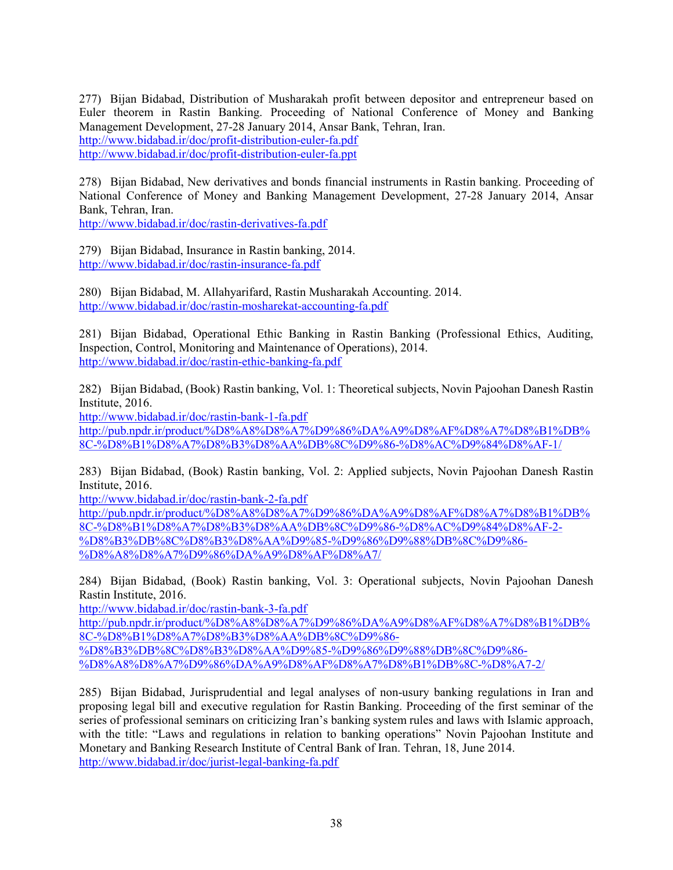277) Bijan Bidabad, Distribution of Musharakah profit between depositor and entrepreneur based on Euler theorem in Rastin Banking. Proceeding of National Conference of Money and Banking Management Development, 27-28 January 2014, Ansar Bank, Tehran, Iran. <http://www.bidabad.ir/doc/profit-distribution-euler-fa.pdf> <http://www.bidabad.ir/doc/profit-distribution-euler-fa.ppt>

278) Bijan Bidabad, New derivatives and bonds financial instruments in Rastin banking. Proceeding of National Conference of Money and Banking Management Development, 27-28 January 2014, Ansar Bank, Tehran, Iran.

<http://www.bidabad.ir/doc/rastin-derivatives-fa.pdf>

279) Bijan Bidabad, Insurance in Rastin banking, 2014. <http://www.bidabad.ir/doc/rastin-insurance-fa.pdf>

280) Bijan Bidabad, M. Allahyarifard, Rastin Musharakah Accounting. 2014. <http://www.bidabad.ir/doc/rastin-mosharekat-accounting-fa.pdf>

281) Bijan Bidabad, Operational Ethic Banking in Rastin Banking (Professional Ethics, Auditing, Inspection, Control, Monitoring and Maintenance of Operations), 2014. <http://www.bidabad.ir/doc/rastin-ethic-banking-fa.pdf>

282) Bijan Bidabad, (Book) Rastin banking, Vol. 1: Theoretical subjects, Novin Pajoohan Danesh Rastin Institute, 2016.

<http://www.bidabad.ir/doc/rastin-bank-1-fa.pdf> [http://pub.npdr.ir/product/%D8%A8%D8%A7%D9%86%DA%A9%D8%AF%D8%A7%D8%B1%DB%](http://pub.npdr.ir/product/%D8%A8%D8%A7%D9%86%DA%A9%D8%AF%D8%A7%D8%B1%DB) 8C-%D8%B1%D8%A7%D8%B3%D8%AA%DB%8C%D9%86-%D8%AC%D9%84%D8%AF-1/

283) Bijan Bidabad, (Book) Rastin banking, Vol. 2: Applied subjects, Novin Pajoohan Danesh Rastin Institute, 2016.

<http://www.bidabad.ir/doc/rastin-bank-2-fa.pdf>

[http://pub.npdr.ir/product/%D8%A8%D8%A7%D9%86%DA%A9%D8%AF%D8%A7%D8%B1%DB%](http://pub.npdr.ir/product/%D8%A8%D8%A7%D9%86%DA%A9%D8%AF%D8%A7%D8%B1%DB) 8C-%D8%B1%D8%A7%D8%B3%D8%AA%DB%8C%D9%86-%D8%AC%D9%84%D8%AF-2- %D8%B3%DB%8C%D8%B3%D8%AA%D9%85-%D9%86%D9%88%DB%8C%D9%86- %D8%A8%D8%A7%D9%86%DA%A9%D8%AF%D8%A7/

284) Bijan Bidabad, (Book) Rastin banking, Vol. 3: Operational subjects, Novin Pajoohan Danesh Rastin Institute, 2016.

<http://www.bidabad.ir/doc/rastin-bank-3-fa.pdf>

[http://pub.npdr.ir/product/%D8%A8%D8%A7%D9%86%DA%A9%D8%AF%D8%A7%D8%B1%DB%](http://pub.npdr.ir/product/%D8%A8%D8%A7%D9%86%DA%A9%D8%AF%D8%A7%D8%B1%DB) 8C-%D8%B1%D8%A7%D8%B3%D8%AA%DB%8C%D9%86-

%D8%B3%DB%8C%D8%B3%D8%AA%D9%85-%D9%86%D9%88%DB%8C%D9%86- %D8%A8%D8%A7%D9%86%DA%A9%D8%AF%D8%A7%D8%B1%DB%8C-%D8%A7-2/

285) Bijan Bidabad, Jurisprudential and legal analyses of non-usury banking regulations in Iran and proposing legal bill and executive regulation for Rastin Banking. Proceeding of the first seminar of the series of professional seminars on criticizing Iran's banking system rules and laws with Islamic approach, with the title: "Laws and regulations in relation to banking operations" Novin Pajoohan Institute and Monetary and Banking Research Institute of Central Bank of Iran. Tehran, 18, June 2014. <http://www.bidabad.ir/doc/jurist-legal-banking-fa.pdf>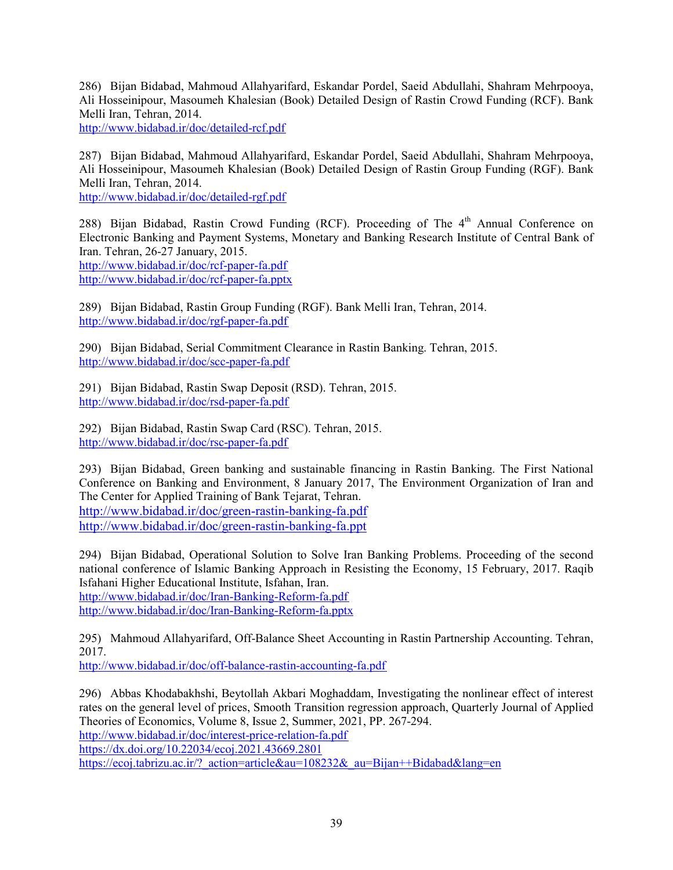286) Bijan Bidabad, Mahmoud Allahyarifard, Eskandar Pordel, Saeid Abdullahi, Shahram Mehrpooya, Ali Hosseinipour, Masoumeh Khalesian (Book) Detailed Design of Rastin Crowd Funding (RCF). Bank Melli Iran, Tehran, 2014.

<http://www.bidabad.ir/doc/detailed-rcf.pdf>

287) Bijan Bidabad, Mahmoud Allahyarifard, Eskandar Pordel, Saeid Abdullahi, Shahram Mehrpooya, Ali Hosseinipour, Masoumeh Khalesian (Book) Detailed Design of Rastin Group Funding (RGF). Bank Melli Iran, Tehran, 2014.

<http://www.bidabad.ir/doc/detailed-rgf.pdf>

288) Bijan Bidabad, Rastin Crowd Funding (RCF). Proceeding of The  $4<sup>th</sup>$  Annual Conference on Electronic Banking and Payment Systems, Monetary and Banking Research Institute of Central Bank of Iran. Tehran, 26-27 January, 2015. <http://www.bidabad.ir/doc/rcf-paper-fa.pdf>

<http://www.bidabad.ir/doc/rcf-paper-fa.pptx>

289) Bijan Bidabad, Rastin Group Funding (RGF). Bank Melli Iran, Tehran, 2014. <http://www.bidabad.ir/doc/rgf-paper-fa.pdf>

290) Bijan Bidabad, Serial Commitment Clearance in Rastin Banking. Tehran, 2015. <http://www.bidabad.ir/doc/scc-paper-fa.pdf>

291) Bijan Bidabad, Rastin Swap Deposit (RSD). Tehran, 2015. <http://www.bidabad.ir/doc/rsd-paper-fa.pdf>

292) Bijan Bidabad, Rastin Swap Card (RSC). Tehran, 2015. <http://www.bidabad.ir/doc/rsc-paper-fa.pdf>

293) Bijan Bidabad, Green banking and sustainable financing in Rastin Banking. The First National Conference on Banking and Environment, 8 January 2017, The Environment Organization of Iran and The Center for Applied Training of Bank Tejarat, Tehran.

<http://www.bidabad.ir/doc/green-rastin-banking-fa.pdf> <http://www.bidabad.ir/doc/green-rastin-banking-fa.ppt>

294) Bijan Bidabad, Operational Solution to Solve Iran Banking Problems. Proceeding of the second national conference of Islamic Banking Approach in Resisting the Economy, 15 February, 2017. Raqib Isfahani Higher Educational Institute, Isfahan, Iran. <http://www.bidabad.ir/doc/Iran-Banking-Reform-fa.pdf>

<http://www.bidabad.ir/doc/Iran-Banking-Reform-fa.pptx>

295) Mahmoud Allahyarifard, Off-Balance Sheet Accounting in Rastin Partnership Accounting. Tehran, 2017.

<http://www.bidabad.ir/doc/off-balance-rastin-accounting-fa.pdf>

296) Abbas Khodabakhshi, Beytollah Akbari Moghaddam, Investigating the nonlinear effect of interest rates on the general level of prices, Smooth Transition regression approach, Quarterly Journal of Applied Theories of Economics, Volume 8, Issue 2, Summer, 2021, PP. 267-294. <http://www.bidabad.ir/doc/interest-price-relation-fa.pdf>

<https://dx.doi.org/10.22034/ecoj.2021.43669.2801>

[https://ecoj.tabrizu.ac.ir/?\\_action=article&au=108232&\\_au=Bijan++Bidabad&lang=en](https://ecoj.tabrizu.ac.ir/?_action=article&au=108232&_au=Bijan++Bidabad&lang=en)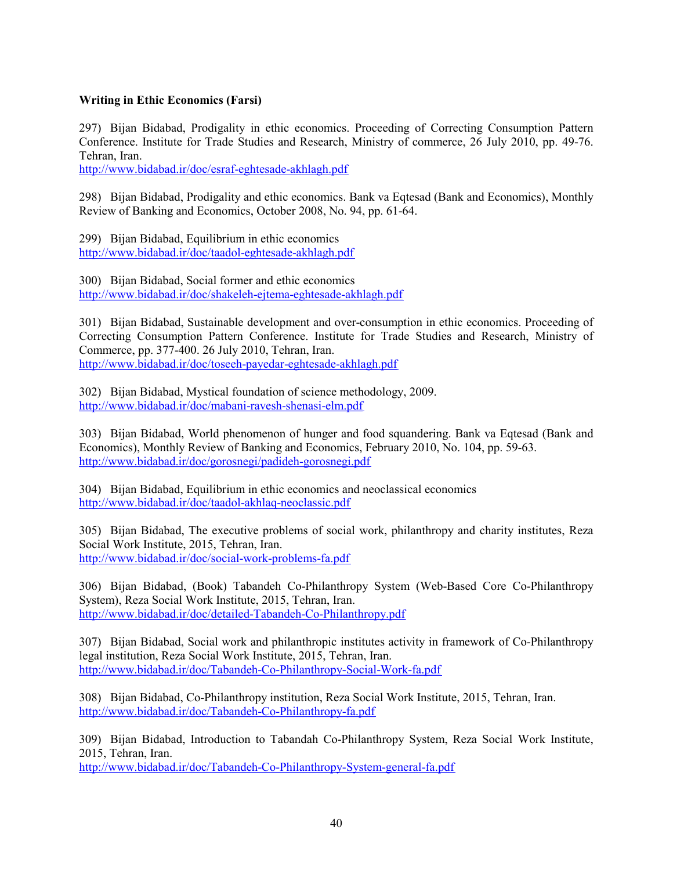#### **Writing in Ethic Economics (Farsi)**

297) Bijan Bidabad, Prodigality in ethic economics. Proceeding of Correcting Consumption Pattern Conference. Institute for Trade Studies and Research, Ministry of commerce, 26 July 2010, pp. 49-76. Tehran, Iran.

<http://www.bidabad.ir/doc/esraf-eghtesade-akhlagh.pdf>

298) Bijan Bidabad, Prodigality and ethic economics. Bank va Eqtesad (Bank and Economics), Monthly Review of Banking and Economics, October 2008, No. 94, pp. 61-64.

299) Bijan Bidabad, Equilibrium in ethic economics <http://www.bidabad.ir/doc/taadol-eghtesade-akhlagh.pdf>

300) Bijan Bidabad, Social former and ethic economics <http://www.bidabad.ir/doc/shakeleh-ejtema-eghtesade-akhlagh.pdf>

301) Bijan Bidabad, Sustainable development and over-consumption in ethic economics. Proceeding of Correcting Consumption Pattern Conference. Institute for Trade Studies and Research, Ministry of Commerce, pp. 377-400. 26 July 2010, Tehran, Iran. <http://www.bidabad.ir/doc/toseeh-payedar-eghtesade-akhlagh.pdf>

302) Bijan Bidabad, Mystical foundation of science methodology, 2009. <http://www.bidabad.ir/doc/mabani-ravesh-shenasi-elm.pdf>

303) Bijan Bidabad, World phenomenon of hunger and food squandering. Bank va Eqtesad (Bank and Economics), Monthly Review of Banking and Economics, February 2010, No. 104, pp. 59-63. <http://www.bidabad.ir/doc/gorosnegi/padideh-gorosnegi.pdf>

304) Bijan Bidabad, Equilibrium in ethic economics and neoclassical economics <http://www.bidabad.ir/doc/taadol-akhlaq-neoclassic.pdf>

305) Bijan Bidabad, The executive problems of social work, philanthropy and charity institutes, Reza Social Work Institute, 2015, Tehran, Iran. <http://www.bidabad.ir/doc/social-work-problems-fa.pdf>

306) Bijan Bidabad, (Book) Tabandeh Co-Philanthropy System (Web-Based Core Co-Philanthropy System), Reza Social Work Institute, 2015, Tehran, Iran. <http://www.bidabad.ir/doc/detailed-Tabandeh-Co-Philanthropy.pdf>

307) Bijan Bidabad, Social work and philanthropic institutes activity in framework of Co-Philanthropy legal institution, Reza Social Work Institute, 2015, Tehran, Iran. <http://www.bidabad.ir/doc/Tabandeh-Co-Philanthropy-Social-Work-fa.pdf>

308) Bijan Bidabad, Co-Philanthropy institution, Reza Social Work Institute, 2015, Tehran, Iran. <http://www.bidabad.ir/doc/Tabandeh-Co-Philanthropy-fa.pdf>

309) Bijan Bidabad, Introduction to Tabandah Co-Philanthropy System, Reza Social Work Institute, 2015, Tehran, Iran.

<http://www.bidabad.ir/doc/Tabandeh-Co-Philanthropy-System-general-fa.pdf>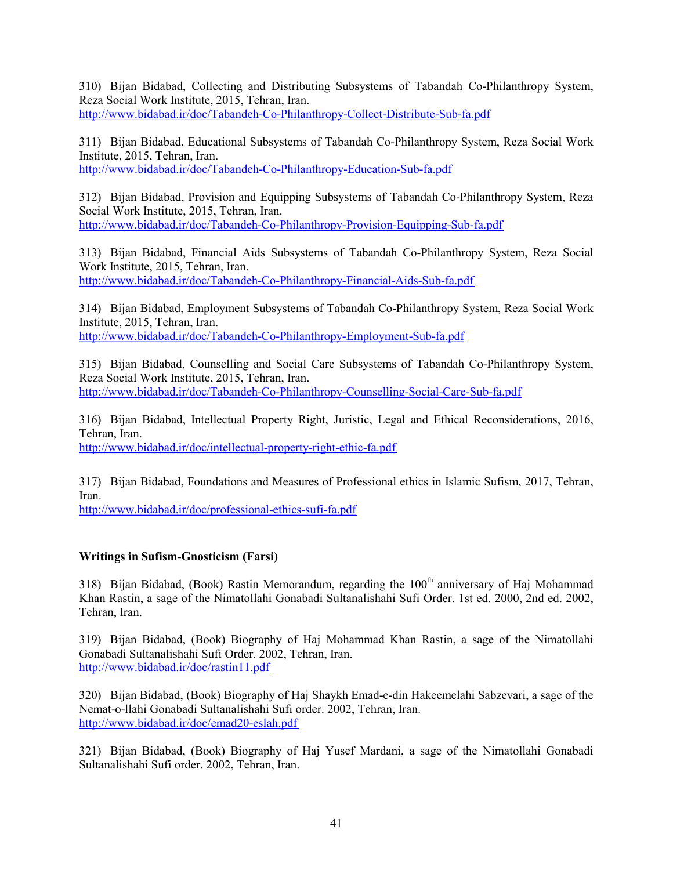310) Bijan Bidabad, Collecting and Distributing Subsystems of Tabandah Co-Philanthropy System, Reza Social Work Institute, 2015, Tehran, Iran. <http://www.bidabad.ir/doc/Tabandeh-Co-Philanthropy-Collect-Distribute-Sub-fa.pdf>

311) Bijan Bidabad, Educational Subsystems of Tabandah Co-Philanthropy System, Reza Social Work Institute, 2015, Tehran, Iran. <http://www.bidabad.ir/doc/Tabandeh-Co-Philanthropy-Education-Sub-fa.pdf>

312) Bijan Bidabad, Provision and Equipping Subsystems of Tabandah Co-Philanthropy System, Reza Social Work Institute, 2015, Tehran, Iran. <http://www.bidabad.ir/doc/Tabandeh-Co-Philanthropy-Provision-Equipping-Sub-fa.pdf>

313) Bijan Bidabad, Financial Aids Subsystems of Tabandah Co-Philanthropy System, Reza Social Work Institute, 2015, Tehran, Iran. <http://www.bidabad.ir/doc/Tabandeh-Co-Philanthropy-Financial-Aids-Sub-fa.pdf>

314) Bijan Bidabad, Employment Subsystems of Tabandah Co-Philanthropy System, Reza Social Work Institute, 2015, Tehran, Iran. <http://www.bidabad.ir/doc/Tabandeh-Co-Philanthropy-Employment-Sub-fa.pdf>

315) Bijan Bidabad, Counselling and Social Care Subsystems of Tabandah Co-Philanthropy System, Reza Social Work Institute, 2015, Tehran, Iran. <http://www.bidabad.ir/doc/Tabandeh-Co-Philanthropy-Counselling-Social-Care-Sub-fa.pdf>

316) Bijan Bidabad, Intellectual Property Right, Juristic, Legal and Ethical Reconsiderations, 2016, Tehran, Iran. <http://www.bidabad.ir/doc/intellectual-property-right-ethic-fa.pdf>

317) Bijan Bidabad, Foundations and Measures of Professional ethics in Islamic Sufism, 2017, Tehran, Iran.

<http://www.bidabad.ir/doc/professional-ethics-sufi-fa.pdf>

### **Writings in Sufism-Gnosticism (Farsi)**

318) Bijan Bidabad, (Book) Rastin Memorandum, regarding the  $100<sup>th</sup>$  anniversary of Haj Mohammad Khan Rastin, a sage of the Nimatollahi Gonabadi Sultanalishahi Sufi Order. 1st ed. 2000, 2nd ed. 2002, Tehran, Iran.

319) Bijan Bidabad, (Book) Biography of Haj Mohammad Khan Rastin, a sage of the Nimatollahi Gonabadi Sultanalishahi Sufi Order. 2002, Tehran, Iran. <http://www.bidabad.ir/doc/rastin11.pdf>

320) Bijan Bidabad, (Book) Biography of Haj Shaykh Emad-e-din Hakeemelahi Sabzevari, a sage of the Nemat-o-llahi Gonabadi Sultanalishahi Sufi order. 2002, Tehran, Iran. <http://www.bidabad.ir/doc/emad20-eslah.pdf>

321) Bijan Bidabad, (Book) Biography of Haj Yusef Mardani, a sage of the Nimatollahi Gonabadi Sultanalishahi Sufi order. 2002, Tehran, Iran.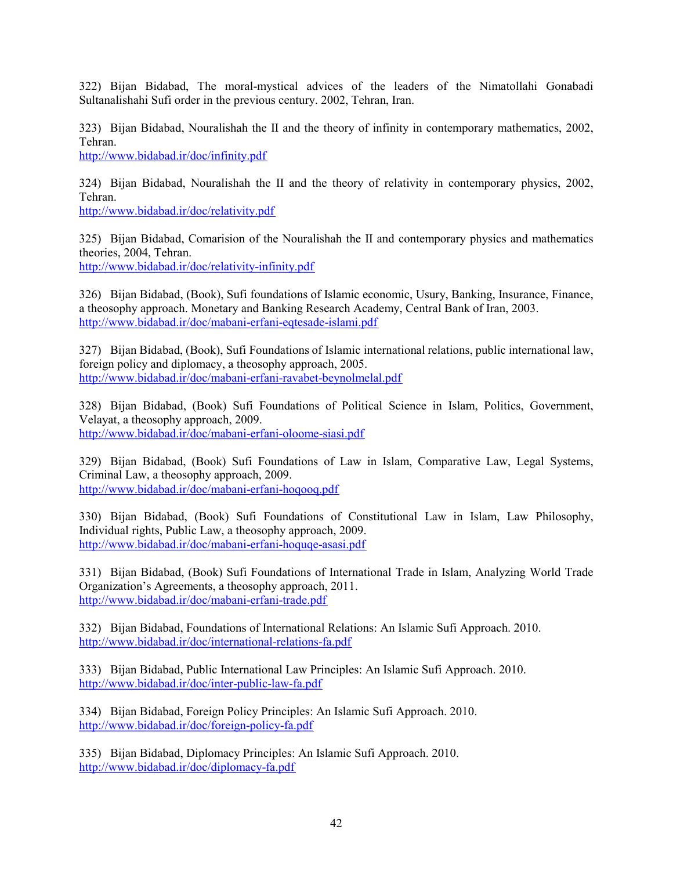322) Bijan Bidabad, The moral-mystical advices of the leaders of the Nimatollahi Gonabadi Sultanalishahi Sufi order in the previous century. 2002, Tehran, Iran.

323) Bijan Bidabad, Nouralishah the II and the theory of infinity in contemporary mathematics, 2002, Tehran.

<http://www.bidabad.ir/doc/infinity.pdf>

324) Bijan Bidabad, Nouralishah the II and the theory of relativity in contemporary physics, 2002, Tehran.

<http://www.bidabad.ir/doc/relativity.pdf>

325) Bijan Bidabad, Comarision of the Nouralishah the II and contemporary physics and mathematics theories, 2004, Tehran. <http://www.bidabad.ir/doc/relativity-infinity.pdf>

326) Bijan Bidabad, (Book), Sufi foundations of Islamic economic, Usury, Banking, Insurance, Finance, a theosophy approach. Monetary and Banking Research Academy, Central Bank of Iran, 2003. <http://www.bidabad.ir/doc/mabani-erfani-eqtesade-islami.pdf>

327) Bijan Bidabad, (Book), Sufi Foundations of Islamic international relations, public international law, foreign policy and diplomacy, a theosophy approach, 2005. <http://www.bidabad.ir/doc/mabani-erfani-ravabet-beynolmelal.pdf>

328) Bijan Bidabad, (Book) Sufi Foundations of Political Science in Islam, Politics, Government, Velayat, a theosophy approach, 2009. <http://www.bidabad.ir/doc/mabani-erfani-oloome-siasi.pdf>

329) Bijan Bidabad, (Book) Sufi Foundations of Law in Islam, Comparative Law, Legal Systems, Criminal Law, a theosophy approach, 2009. <http://www.bidabad.ir/doc/mabani-erfani-hoqooq.pdf>

330) Bijan Bidabad, (Book) Sufi Foundations of Constitutional Law in Islam, Law Philosophy, Individual rights, Public Law, a theosophy approach, 2009. <http://www.bidabad.ir/doc/mabani-erfani-hoquqe-asasi.pdf>

331) Bijan Bidabad, (Book) Sufi Foundations of International Trade in Islam, Analyzing World Trade Organization's Agreements, a theosophy approach, 2011. <http://www.bidabad.ir/doc/mabani-erfani-trade.pdf>

332) Bijan Bidabad, Foundations of International Relations: An Islamic Sufi Approach. 2010. <http://www.bidabad.ir/doc/international-relations-fa.pdf>

333) Bijan Bidabad, Public International Law Principles: An Islamic Sufi Approach. 2010. <http://www.bidabad.ir/doc/inter-public-law-fa.pdf>

334) Bijan Bidabad, Foreign Policy Principles: An Islamic Sufi Approach. 2010. <http://www.bidabad.ir/doc/foreign-policy-fa.pdf>

335) Bijan Bidabad, Diplomacy Principles: An Islamic Sufi Approach. 2010. <http://www.bidabad.ir/doc/diplomacy-fa.pdf>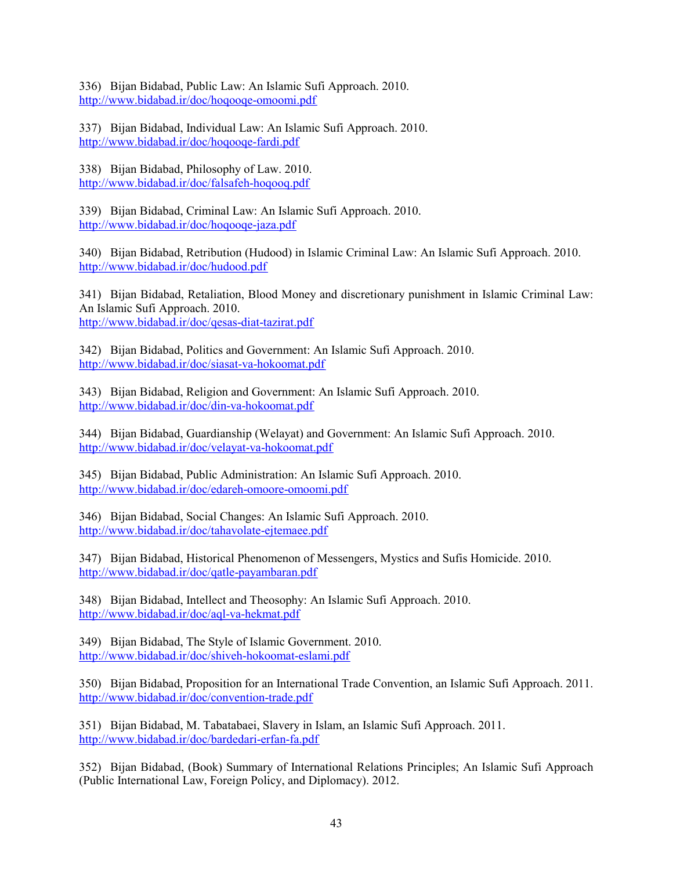336) Bijan Bidabad, Public Law: An Islamic Sufi Approach. 2010. <http://www.bidabad.ir/doc/hoqooqe-omoomi.pdf>

337) Bijan Bidabad, Individual Law: An Islamic Sufi Approach. 2010. <http://www.bidabad.ir/doc/hoqooqe-fardi.pdf>

338) Bijan Bidabad, Philosophy of Law. 2010. <http://www.bidabad.ir/doc/falsafeh-hoqooq.pdf>

339) Bijan Bidabad, Criminal Law: An Islamic Sufi Approach. 2010. <http://www.bidabad.ir/doc/hoqooqe-jaza.pdf>

340) Bijan Bidabad, Retribution (Hudood) in Islamic Criminal Law: An Islamic Sufi Approach. 2010. <http://www.bidabad.ir/doc/hudood.pdf>

341) Bijan Bidabad, Retaliation, Blood Money and discretionary punishment in Islamic Criminal Law: An Islamic Sufi Approach. 2010. <http://www.bidabad.ir/doc/qesas-diat-tazirat.pdf>

342) Bijan Bidabad, Politics and Government: An Islamic Sufi Approach. 2010. <http://www.bidabad.ir/doc/siasat-va-hokoomat.pdf>

343) Bijan Bidabad, Religion and Government: An Islamic Sufi Approach. 2010. <http://www.bidabad.ir/doc/din-va-hokoomat.pdf>

344) Bijan Bidabad, Guardianship (Welayat) and Government: An Islamic Sufi Approach. 2010. <http://www.bidabad.ir/doc/velayat-va-hokoomat.pdf>

345) Bijan Bidabad, Public Administration: An Islamic Sufi Approach. 2010. <http://www.bidabad.ir/doc/edareh-omoore-omoomi.pdf>

346) Bijan Bidabad, Social Changes: An Islamic Sufi Approach. 2010. <http://www.bidabad.ir/doc/tahavolate-ejtemaee.pdf>

347) Bijan Bidabad, Historical Phenomenon of Messengers, Mystics and Sufis Homicide. 2010. <http://www.bidabad.ir/doc/qatle-payambaran.pdf>

348) Bijan Bidabad, Intellect and Theosophy: An Islamic Sufi Approach. 2010. <http://www.bidabad.ir/doc/aql-va-hekmat.pdf>

349) Bijan Bidabad, The Style of Islamic Government. 2010. <http://www.bidabad.ir/doc/shiveh-hokoomat-eslami.pdf>

350) Bijan Bidabad, Proposition for an International Trade Convention, an Islamic Sufi Approach. 2011. <http://www.bidabad.ir/doc/convention-trade.pdf>

351) Bijan Bidabad, M. Tabatabaei, Slavery in Islam, an Islamic Sufi Approach. 2011. <http://www.bidabad.ir/doc/bardedari-erfan-fa.pdf>

352) Bijan Bidabad, (Book) Summary of International Relations Principles; An Islamic Sufi Approach (Public International Law, Foreign Policy, and Diplomacy). 2012.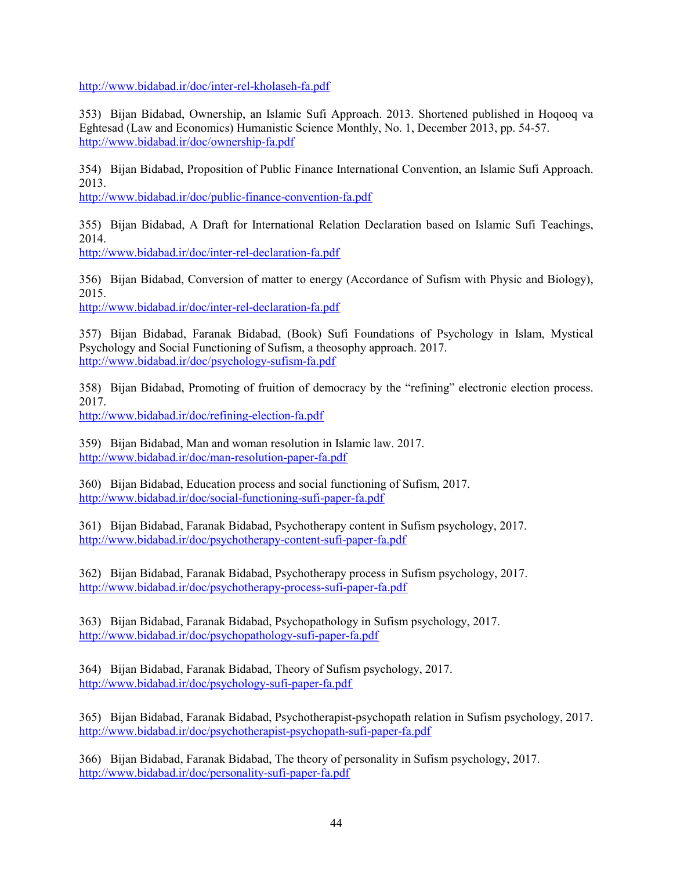<http://www.bidabad.ir/doc/inter-rel-kholaseh-fa.pdf>

353) Bijan Bidabad, Ownership, an Islamic Sufi Approach. 2013. Shortened published in Hoqooq va Eghtesad (Law and Economics) Humanistic Science Monthly, No. 1, December 2013, pp. 54-57. <http://www.bidabad.ir/doc/ownership-fa.pdf>

354) Bijan Bidabad, Proposition of Public Finance International Convention, an Islamic Sufi Approach. 2013.

<http://www.bidabad.ir/doc/public-finance-convention-fa.pdf>

355) Bijan Bidabad, A Draft for International Relation Declaration based on Islamic Sufi Teachings, 2014.

<http://www.bidabad.ir/doc/inter-rel-declaration-fa.pdf>

356) Bijan Bidabad, Conversion of matter to energy (Accordance of Sufism with Physic and Biology), 2015.

<http://www.bidabad.ir/doc/inter-rel-declaration-fa.pdf>

357) Bijan Bidabad, Faranak Bidabad, (Book) Sufi Foundations of Psychology in Islam, Mystical Psychology and Social Functioning of Sufism, a theosophy approach. 2017. <http://www.bidabad.ir/doc/psychology-sufism-fa.pdf>

358) Bijan Bidabad, Promoting of fruition of democracy by the "refining" electronic election process. 2017.

<http://www.bidabad.ir/doc/refining-election-fa.pdf>

359) Bijan Bidabad, Man and woman resolution in Islamic law. 2017. <http://www.bidabad.ir/doc/man-resolution-paper-fa.pdf>

360) Bijan Bidabad, Education process and social functioning of Sufism, 2017. <http://www.bidabad.ir/doc/social-functioning-sufi-paper-fa.pdf>

361) Bijan Bidabad, Faranak Bidabad, Psychotherapy content in Sufism psychology, 2017. <http://www.bidabad.ir/doc/psychotherapy-content-sufi-paper-fa.pdf>

362) Bijan Bidabad, Faranak Bidabad, Psychotherapy process in Sufism psychology, 2017. <http://www.bidabad.ir/doc/psychotherapy-process-sufi-paper-fa.pdf>

363) Bijan Bidabad, Faranak Bidabad, Psychopathology in Sufism psychology, 2017. <http://www.bidabad.ir/doc/psychopathology-sufi-paper-fa.pdf>

364) Bijan Bidabad, Faranak Bidabad, Theory of Sufism psychology, 2017. <http://www.bidabad.ir/doc/psychology-sufi-paper-fa.pdf>

365) Bijan Bidabad, Faranak Bidabad, Psychotherapist-psychopath relation in Sufism psychology, 2017. <http://www.bidabad.ir/doc/psychotherapist-psychopath-sufi-paper-fa.pdf>

366) Bijan Bidabad, Faranak Bidabad, The theory of personality in Sufism psychology, 2017. <http://www.bidabad.ir/doc/personality-sufi-paper-fa.pdf>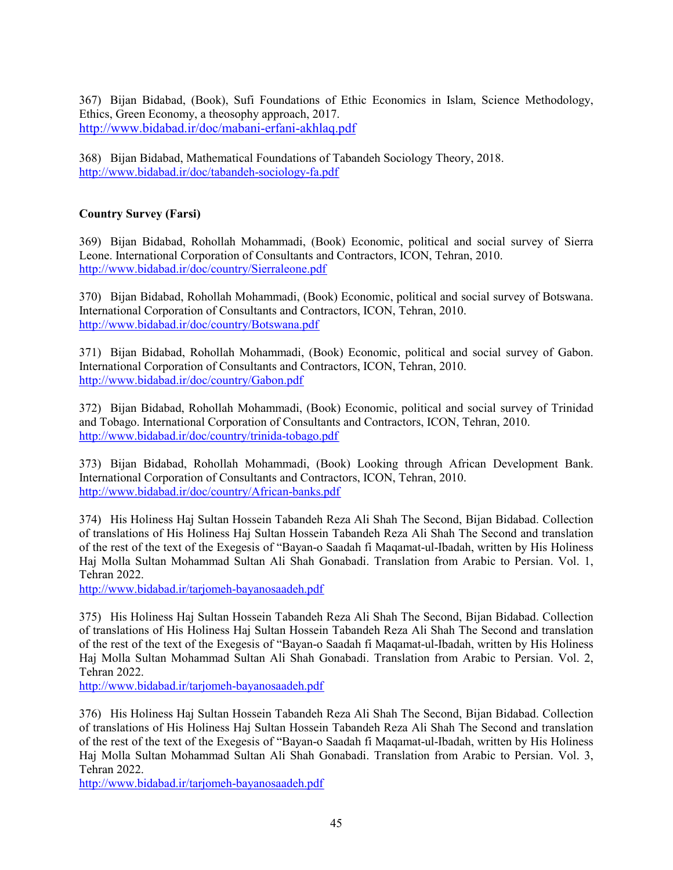367) Bijan Bidabad, (Book), Sufi Foundations of Ethic Economics in Islam, Science Methodology, Ethics, Green Economy, a theosophy approach, 2017. <http://www.bidabad.ir/doc/mabani-erfani-akhlaq.pdf>

368) Bijan Bidabad, Mathematical Foundations of Tabandeh Sociology Theory, 2018. <http://www.bidabad.ir/doc/tabandeh-sociology-fa.pdf>

### **Country Survey (Farsi)**

369) Bijan Bidabad, Rohollah Mohammadi, (Book) Economic, political and social survey of Sierra Leone. International Corporation of Consultants and Contractors, ICON, Tehran, 2010. <http://www.bidabad.ir/doc/country/Sierraleone.pdf>

370) Bijan Bidabad, Rohollah Mohammadi, (Book) Economic, political and social survey of Botswana. International Corporation of Consultants and Contractors, ICON, Tehran, 2010. <http://www.bidabad.ir/doc/country/Botswana.pdf>

371) Bijan Bidabad, Rohollah Mohammadi, (Book) Economic, political and social survey of Gabon. International Corporation of Consultants and Contractors, ICON, Tehran, 2010. <http://www.bidabad.ir/doc/country/Gabon.pdf>

372) Bijan Bidabad, Rohollah Mohammadi, (Book) Economic, political and social survey of Trinidad and Tobago. International Corporation of Consultants and Contractors, ICON, Tehran, 2010. <http://www.bidabad.ir/doc/country/trinida-tobago.pdf>

373) Bijan Bidabad, Rohollah Mohammadi, (Book) Looking through African Development Bank. International Corporation of Consultants and Contractors, ICON, Tehran, 2010. <http://www.bidabad.ir/doc/country/African-banks.pdf>

374) His Holiness Haj Sultan Hossein Tabandeh Reza Ali Shah The Second, Bijan Bidabad. Collection of translations of His Holiness Haj Sultan Hossein Tabandeh Reza Ali Shah The Second and translation of the rest of the text of the Exegesis of "Bayan-o Saadah fi Maqamat-ul-Ibadah, written by His Holiness Haj Molla Sultan Mohammad Sultan Ali Shah Gonabadi. Translation from Arabic to Persian. Vol. 1, Tehran 2022.

<http://www.bidabad.ir/tarjomeh-bayanosaadeh.pdf>

375) His Holiness Haj Sultan Hossein Tabandeh Reza Ali Shah The Second, Bijan Bidabad. Collection of translations of His Holiness Haj Sultan Hossein Tabandeh Reza Ali Shah The Second and translation of the rest of the text of the Exegesis of "Bayan-o Saadah fi Maqamat-ul-Ibadah, written by His Holiness Haj Molla Sultan Mohammad Sultan Ali Shah Gonabadi. Translation from Arabic to Persian. Vol. 2, Tehran 2022.

<http://www.bidabad.ir/tarjomeh-bayanosaadeh.pdf>

376) His Holiness Haj Sultan Hossein Tabandeh Reza Ali Shah The Second, Bijan Bidabad. Collection of translations of His Holiness Haj Sultan Hossein Tabandeh Reza Ali Shah The Second and translation of the rest of the text of the Exegesis of "Bayan-o Saadah fi Maqamat-ul-Ibadah, written by His Holiness Haj Molla Sultan Mohammad Sultan Ali Shah Gonabadi. Translation from Arabic to Persian. Vol. 3, Tehran 2022.

<http://www.bidabad.ir/tarjomeh-bayanosaadeh.pdf>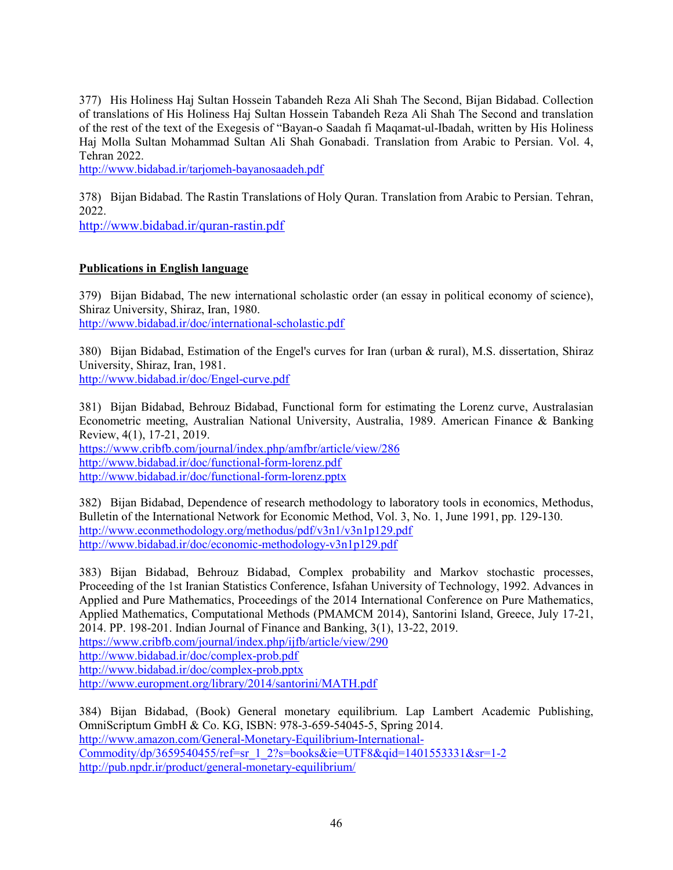377) His Holiness Haj Sultan Hossein Tabandeh Reza Ali Shah The Second, Bijan Bidabad. Collection of translations of His Holiness Haj Sultan Hossein Tabandeh Reza Ali Shah The Second and translation of the rest of the text of the Exegesis of "Bayan-o Saadah fi Maqamat-ul-Ibadah, written by His Holiness Haj Molla Sultan Mohammad Sultan Ali Shah Gonabadi. Translation from Arabic to Persian. Vol. 4, Tehran 2022.

<http://www.bidabad.ir/tarjomeh-bayanosaadeh.pdf>

378) Bijan Bidabad. The Rastin Translations of Holy Quran. Translation from Arabic to Persian. Tehran, 2022.

<http://www.bidabad.ir/quran-rastin.pdf>

#### **Publications in English language**

379) Bijan Bidabad, The new international scholastic order (an essay in political economy of science), Shiraz University, Shiraz, Iran, 1980. <http://www.bidabad.ir/doc/international-scholastic.pdf>

380) Bijan Bidabad, Estimation of the Engel's curves for Iran (urban & rural), M.S. dissertation, Shiraz University, Shiraz, Iran, 1981.

<http://www.bidabad.ir/doc/Engel-curve.pdf>

381) Bijan Bidabad, Behrouz Bidabad, Functional form for estimating the Lorenz curve, Australasian Econometric meeting, Australian National University, Australia, 1989. American Finance & Banking Review, 4(1), 17-21, 2019.

<https://www.cribfb.com/journal/index.php/amfbr/article/view/286> <http://www.bidabad.ir/doc/functional-form-lorenz.pdf> <http://www.bidabad.ir/doc/functional-form-lorenz.pptx>

382) Bijan Bidabad, Dependence of research methodology to laboratory tools in economics, Methodus, Bulletin of the International Network for Economic Method, Vol. 3, No. 1, June 1991, pp. 129-130. <http://www.econmethodology.org/methodus/pdf/v3n1/v3n1p129.pdf> <http://www.bidabad.ir/doc/economic-methodology-v3n1p129.pdf>

383) Bijan Bidabad, Behrouz Bidabad, Complex probability and Markov stochastic processes, Proceeding of the 1st Iranian Statistics Conference, Isfahan University of Technology, 1992. Advances in Applied and Pure Mathematics, Proceedings of the 2014 International Conference on Pure Mathematics, Applied Mathematics, Computational Methods (PMAMCM 2014), Santorini Island, Greece, July 17-21, 2014. PP. 198-201. Indian Journal of Finance and Banking, 3(1), 13-22, 2019.

<https://www.cribfb.com/journal/index.php/ijfb/article/view/290> <http://www.bidabad.ir/doc/complex-prob.pdf>

<http://www.bidabad.ir/doc/complex-prob.pptx>

<http://www.europment.org/library/2014/santorini/MATH.pdf>

384) Bijan Bidabad, (Book) General monetary equilibrium. Lap Lambert Academic Publishing, OmniScriptum GmbH & Co. KG, ISBN: 978-3-659-54045-5, Spring 2014. <http://www.amazon.com/General-Monetary-Equilibrium-International>-Commodity/dp/3659540455/ref=sr\_1\_2?s=books&ie=UTF8&qid=1401553331&sr=1-2 <http://pub.npdr.ir/product/general-monetary-equilibrium/>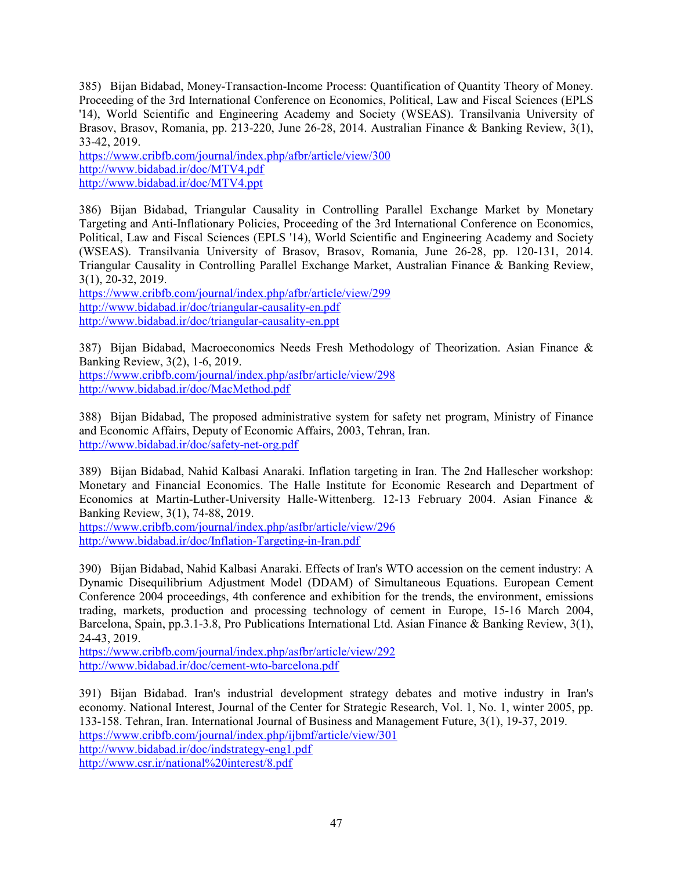385) Bijan Bidabad, Money-Transaction-Income Process: Quantification of Quantity Theory of Money. Proceeding of the 3rd International Conference on Economics, Political, Law and Fiscal Sciences (EPLS '14), World Scientific and Engineering Academy and Society (WSEAS). Transilvania University of Brasov, Brasov, Romania, pp. 213-220, June 26-28, 2014. Australian Finance & Banking Review, 3(1), 33-42, 2019.

<https://www.cribfb.com/journal/index.php/afbr/article/view/300> <http://www.bidabad.ir/doc/MTV4.pdf> <http://www.bidabad.ir/doc/MTV4.ppt>

386) Bijan Bidabad, Triangular Causality in Controlling Parallel Exchange Market by Monetary Targeting and Anti-Inflationary Policies, Proceeding of the 3rd International Conference on Economics, Political, Law and Fiscal Sciences (EPLS '14), World Scientific and Engineering Academy and Society (WSEAS). Transilvania University of Brasov, Brasov, Romania, June 26-28, pp. 120-131, 2014. Triangular Causality in Controlling Parallel Exchange Market, Australian Finance & Banking Review, 3(1), 20-32, 2019.

<https://www.cribfb.com/journal/index.php/afbr/article/view/299> <http://www.bidabad.ir/doc/triangular-causality-en.pdf> <http://www.bidabad.ir/doc/triangular-causality-en.ppt>

387) Bijan Bidabad, Macroeconomics Needs Fresh Methodology of Theorization. Asian Finance & Banking Review, 3(2), 1-6, 2019. <https://www.cribfb.com/journal/index.php/asfbr/article/view/298> <http://www.bidabad.ir/doc/MacMethod.pdf>

388) Bijan Bidabad, The proposed administrative system for safety net program, Ministry of Finance and Economic Affairs, Deputy of Economic Affairs, 2003, Tehran, Iran. <http://www.bidabad.ir/doc/safety-net-org.pdf>

389) Bijan Bidabad, Nahid Kalbasi Anaraki. Inflation targeting in Iran. The 2nd Hallescher workshop: Monetary and Financial Economics. The Halle Institute for Economic Research and Department of Economics at Martin-Luther-University Halle-Wittenberg. 12-13 February 2004. Asian Finance & Banking Review, 3(1), 74-88, 2019.

<https://www.cribfb.com/journal/index.php/asfbr/article/view/296> <http://www.bidabad.ir/doc/Inflation-Targeting-in-Iran.pdf>

390) Bijan Bidabad, Nahid Kalbasi Anaraki. Effects of Iran's WTO accession on the cement industry: A Dynamic Disequilibrium Adjustment Model (DDAM) of Simultaneous Equations. European Cement Conference 2004 proceedings, 4th conference and exhibition for the trends, the environment, emissions trading, markets, production and processing technology of cement in Europe, 15-16 March 2004, Barcelona, Spain, pp.3.1-3.8, Pro Publications International Ltd. Asian Finance & Banking Review, 3(1), 24-43, 2019.

<https://www.cribfb.com/journal/index.php/asfbr/article/view/292> <http://www.bidabad.ir/doc/cement-wto-barcelona.pdf>

391) Bijan Bidabad. Iran's industrial development strategy debates and motive industry in Iran's economy. National Interest, Journal of the Center for Strategic Research, Vol. 1, No. 1, winter 2005, pp. 133-158. Tehran, Iran. International Journal of Business and Management Future, 3(1), 19-37, 2019. <https://www.cribfb.com/journal/index.php/ijbmf/article/view/301> <http://www.bidabad.ir/doc/indstrategy-eng1.pdf> <http://www.csr.ir/national%20interest/8.pdf>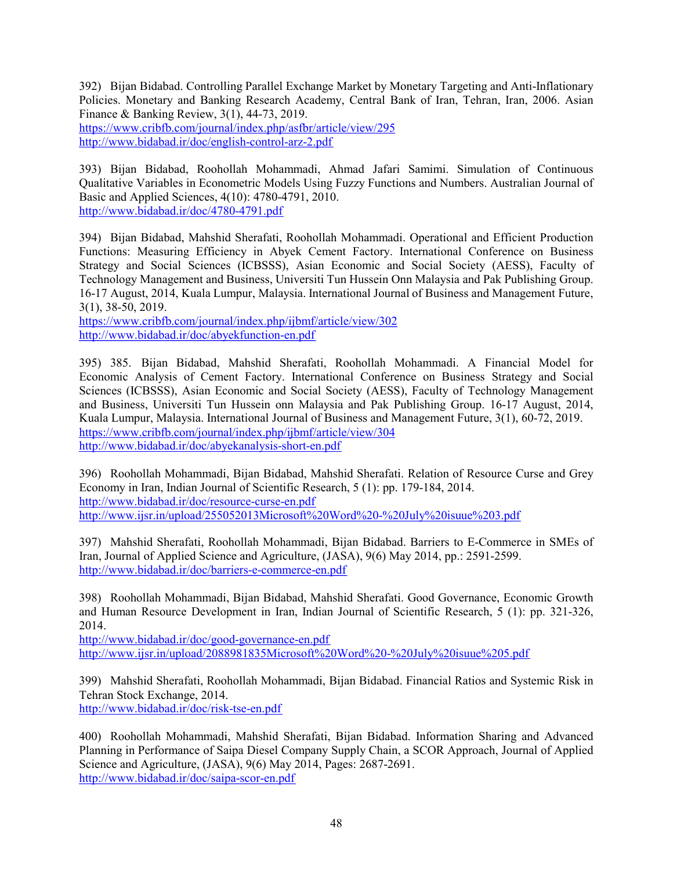392) Bijan Bidabad. Controlling Parallel Exchange Market by Monetary Targeting and Anti-Inflationary Policies. Monetary and Banking Research Academy, Central Bank of Iran, Tehran, Iran, 2006. Asian Finance & Banking Review, 3(1), 44-73, 2019. <https://www.cribfb.com/journal/index.php/asfbr/article/view/295>

<http://www.bidabad.ir/doc/english-control-arz-2.pdf>

393) Bijan Bidabad, Roohollah Mohammadi, Ahmad Jafari Samimi. Simulation of Continuous Qualitative Variables in Econometric Models Using Fuzzy Functions and Numbers. Australian Journal of Basic and Applied Sciences, 4(10): 4780-4791, 2010. <http://www.bidabad.ir/doc/4780-4791.pdf>

394) Bijan Bidabad, Mahshid Sherafati, Roohollah Mohammadi. Operational and Efficient Production Functions: Measuring Efficiency in Abyek Cement Factory. International Conference on Business Strategy and Social Sciences (ICBSSS), Asian Economic and Social Society (AESS), Faculty of Technology Management and Business, Universiti Tun Hussein Onn Malaysia and Pak Publishing Group. 16-17 August, 2014, Kuala Lumpur, Malaysia. International Journal of Business and Management Future, 3(1), 38-50, 2019.

<https://www.cribfb.com/journal/index.php/ijbmf/article/view/302> <http://www.bidabad.ir/doc/abyekfunction-en.pdf>

395) 385. Bijan Bidabad, Mahshid Sherafati, Roohollah Mohammadi. A Financial Model for Economic Analysis of Cement Factory. International Conference on Business Strategy and Social Sciences (ICBSSS), Asian Economic and Social Society (AESS), Faculty of Technology Management and Business, Universiti Tun Hussein onn Malaysia and Pak Publishing Group. 16-17 August, 2014, Kuala Lumpur, Malaysia. International Journal of Business and Management Future, 3(1), 60-72, 2019. <https://www.cribfb.com/journal/index.php/ijbmf/article/view/304> <http://www.bidabad.ir/doc/abyekanalysis-short-en.pdf>

396) Roohollah Mohammadi, Bijan Bidabad, Mahshid Sherafati. Relation of Resource Curse and Grey Economy in Iran, Indian Journal of Scientific Research, 5 (1): pp. 179-184, 2014. <http://www.bidabad.ir/doc/resource-curse-en.pdf> <http://www.ijsr.in/upload/255052013Microsoft%20Word%20-%20July%20isuue%203.pdf>

397) Mahshid Sherafati, Roohollah Mohammadi, Bijan Bidabad. Barriers to E-Commerce in SMEs of Iran, Journal of Applied Science and Agriculture, (JASA), 9(6) May 2014, pp.: 2591-2599. <http://www.bidabad.ir/doc/barriers-e-commerce-en.pdf>

398) Roohollah Mohammadi, Bijan Bidabad, Mahshid Sherafati. Good Governance, Economic Growth and Human Resource Development in Iran, Indian Journal of Scientific Research, 5 (1): pp. 321-326, 2014.

<http://www.bidabad.ir/doc/good-governance-en.pdf> <http://www.ijsr.in/upload/2088981835Microsoft%20Word%20-%20July%20isuue%205.pdf>

399) Mahshid Sherafati, Roohollah Mohammadi, Bijan Bidabad. Financial Ratios and Systemic Risk in Tehran Stock Exchange, 2014. <http://www.bidabad.ir/doc/risk-tse-en.pdf>

400) Roohollah Mohammadi, Mahshid Sherafati, Bijan Bidabad. Information Sharing and Advanced Planning in Performance of Saipa Diesel Company Supply Chain, a SCOR Approach, Journal of Applied Science and Agriculture, (JASA), 9(6) May 2014, Pages: 2687-2691. <http://www.bidabad.ir/doc/saipa-scor-en.pdf>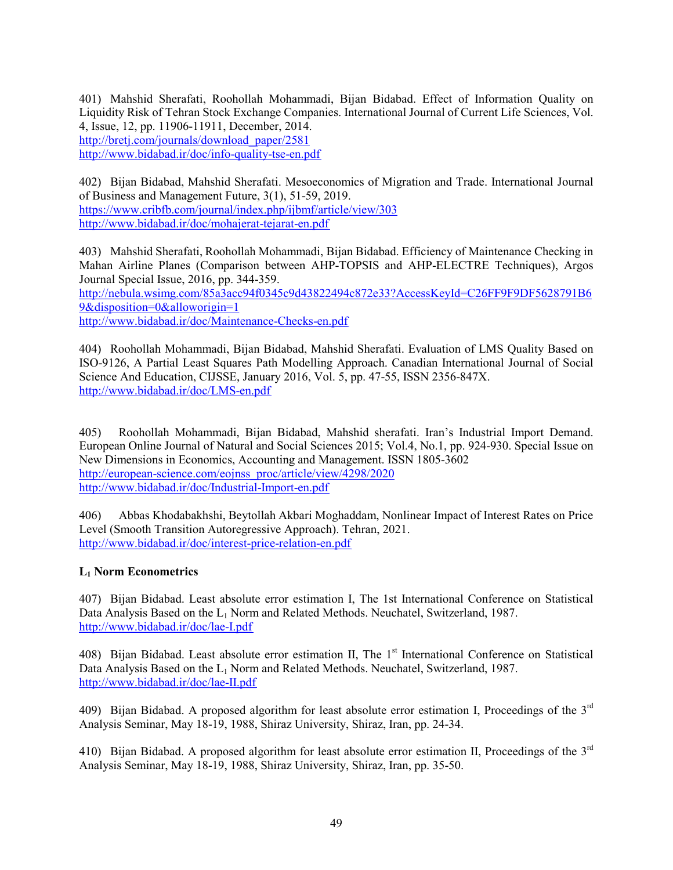401) Mahshid Sherafati, Roohollah Mohammadi, Bijan Bidabad. Effect of Information Quality on Liquidity Risk of Tehran Stock Exchange Companies. International Journal of Current Life Sciences, Vol. 4, Issue, 12, pp. 11906-11911, December, 2014. [http://bretj.com/journals/download\\_paper/2581](http://bretj.com/journals/download_paper/2581)  <http://www.bidabad.ir/doc/info-quality-tse-en.pdf>

402) Bijan Bidabad, Mahshid Sherafati. Mesoeconomics of Migration and Trade. International Journal of Business and Management Future, 3(1), 51-59, 2019. <https://www.cribfb.com/journal/index.php/ijbmf/article/view/303> <http://www.bidabad.ir/doc/mohajerat-tejarat-en.pdf>

403) Mahshid Sherafati, Roohollah Mohammadi, Bijan Bidabad. Efficiency of Maintenance Checking in Mahan Airline Planes (Comparison between AHP-TOPSIS and AHP-ELECTRE Techniques), Argos Journal Special Issue, 2016, pp. 344-359. <http://nebula.wsimg.com/85a3acc94f0345c9d43822494c872e33?AccessKeyId=C26FF9F9DF5628791B6> 9&disposition=0&alloworigin=1

<http://www.bidabad.ir/doc/Maintenance-Checks-en.pdf>

404) Roohollah Mohammadi, Bijan Bidabad, Mahshid Sherafati. Evaluation of LMS Quality Based on ISO-9126, A Partial Least Squares Path Modelling Approach. Canadian International Journal of Social Science And Education, CIJSSE, January 2016, Vol. 5, pp. 47-55, ISSN 2356-847X. <http://www.bidabad.ir/doc/LMS-en.pdf>

405) Roohollah Mohammadi, Bijan Bidabad, Mahshid sherafati. Iran's Industrial Import Demand. European Online Journal of Natural and Social Sciences 2015; Vol.4, No.1, pp. 924-930. Special Issue on New Dimensions in Economics, Accounting and Management. ISSN 1805-3602 [http://european-science.com/eojnss\\_proc/article/view/4298/2020](http://european-science.com/eojnss_proc/article/view/4298/2020)  <http://www.bidabad.ir/doc/Industrial-Import-en.pdf>

406) Abbas Khodabakhshi, Beytollah Akbari Moghaddam, Nonlinear Impact of Interest Rates on Price Level (Smooth Transition Autoregressive Approach). Tehran, 2021. <http://www.bidabad.ir/doc/interest-price-relation-en.pdf>

### **L1 Norm Econometrics**

407) Bijan Bidabad. Least absolute error estimation I, The 1st International Conference on Statistical Data Analysis Based on the  $L_1$  Norm and Related Methods. Neuchatel, Switzerland, 1987. <http://www.bidabad.ir/doc/lae-I.pdf>

408) Bijan Bidabad. Least absolute error estimation II, The 1<sup>st</sup> International Conference on Statistical Data Analysis Based on the  $L_1$  Norm and Related Methods. Neuchatel, Switzerland, 1987. <http://www.bidabad.ir/doc/lae-II.pdf>

409) Bijan Bidabad. A proposed algorithm for least absolute error estimation I, Proceedings of the 3<sup>rd</sup> Analysis Seminar, May 18-19, 1988, Shiraz University, Shiraz, Iran, pp. 24-34.

410) Bijan Bidabad. A proposed algorithm for least absolute error estimation II, Proceedings of the 3<sup>rd</sup> Analysis Seminar, May 18-19, 1988, Shiraz University, Shiraz, Iran, pp. 35-50.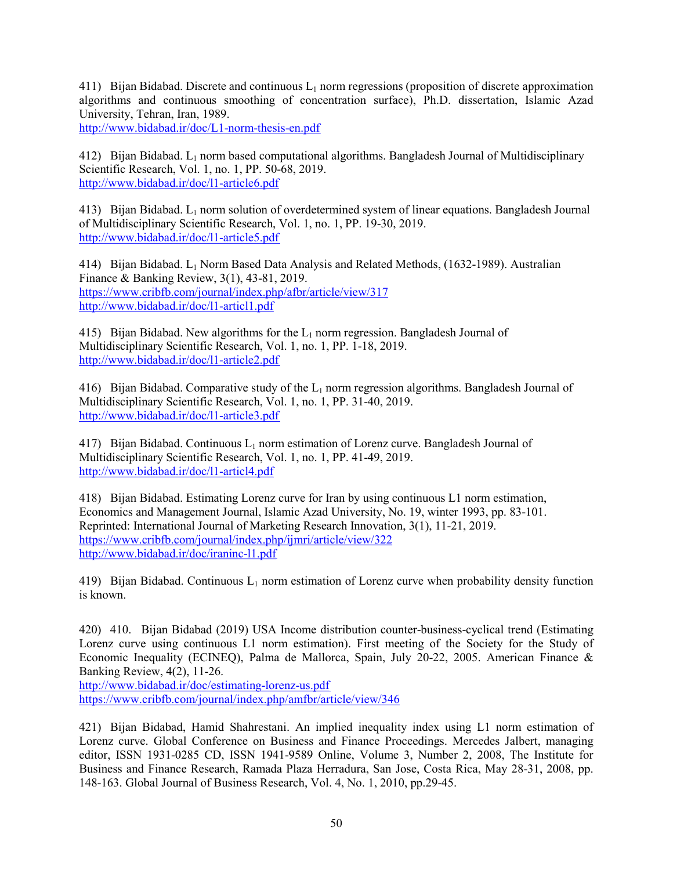411) Bijan Bidabad. Discrete and continuous  $L_1$  norm regressions (proposition of discrete approximation algorithms and continuous smoothing of concentration surface), Ph.D. dissertation, Islamic Azad University, Tehran, Iran, 1989.

<http://www.bidabad.ir/doc/L1-norm-thesis-en.pdf>

412) Bijan Bidabad.  $L_1$  norm based computational algorithms. Bangladesh Journal of Multidisciplinary Scientific Research, Vol. 1, no. 1, PP. 50-68, 2019. <http://www.bidabad.ir/doc/l1-article6.pdf>

413) Bijan Bidabad.  $L_1$  norm solution of overdetermined system of linear equations. Bangladesh Journal of Multidisciplinary Scientific Research, Vol. 1, no. 1, PP. 19-30, 2019. <http://www.bidabad.ir/doc/l1-article5.pdf>

414) Bijan Bidabad.  $L_1$  Norm Based Data Analysis and Related Methods, (1632-1989). Australian Finance & Banking Review, 3(1), 43-81, 2019. <https://www.cribfb.com/journal/index.php/afbr/article/view/317> <http://www.bidabad.ir/doc/l1-articl1.pdf>

415) Bijan Bidabad. New algorithms for the  $L_1$  norm regression. Bangladesh Journal of Multidisciplinary Scientific Research, Vol. 1, no. 1, PP. 1-18, 2019. <http://www.bidabad.ir/doc/l1-article2.pdf>

416) Bijan Bidabad. Comparative study of the  $L_1$  norm regression algorithms. Bangladesh Journal of Multidisciplinary Scientific Research, Vol. 1, no. 1, PP. 31-40, 2019. <http://www.bidabad.ir/doc/l1-article3.pdf>

417) Bijan Bidabad. Continuous  $L_1$  norm estimation of Lorenz curve. Bangladesh Journal of Multidisciplinary Scientific Research, Vol. 1, no. 1, PP. 41-49, 2019. <http://www.bidabad.ir/doc/l1-articl4.pdf>

418) Bijan Bidabad. Estimating Lorenz curve for Iran by using continuous L1 norm estimation, Economics and Management Journal, Islamic Azad University, No. 19, winter 1993, pp. 83-101. Reprinted: International Journal of Marketing Research Innovation, 3(1), 11-21, 2019. <https://www.cribfb.com/journal/index.php/ijmri/article/view/322> <http://www.bidabad.ir/doc/iraninc-l1.pdf>

419) Bijan Bidabad. Continuous  $L_1$  norm estimation of Lorenz curve when probability density function is known.

420) 410. Bijan Bidabad (2019) USA Income distribution counter-business-cyclical trend (Estimating Lorenz curve using continuous L1 norm estimation). First meeting of the Society for the Study of Economic Inequality (ECINEQ), Palma de Mallorca, Spain, July 20-22, 2005. American Finance & Banking Review, 4(2), 11-26.

<http://www.bidabad.ir/doc/estimating-lorenz-us.pdf> <https://www.cribfb.com/journal/index.php/amfbr/article/view/346>

421) Bijan Bidabad, Hamid Shahrestani. An implied inequality index using L1 norm estimation of Lorenz curve. Global Conference on Business and Finance Proceedings. Mercedes Jalbert, managing editor, ISSN 1931-0285 CD, ISSN 1941-9589 Online, Volume 3, Number 2, 2008, The Institute for Business and Finance Research, Ramada Plaza Herradura, San Jose, Costa Rica, May 28-31, 2008, pp. 148-163. Global Journal of Business Research, Vol. 4, No. 1, 2010, pp.29-45.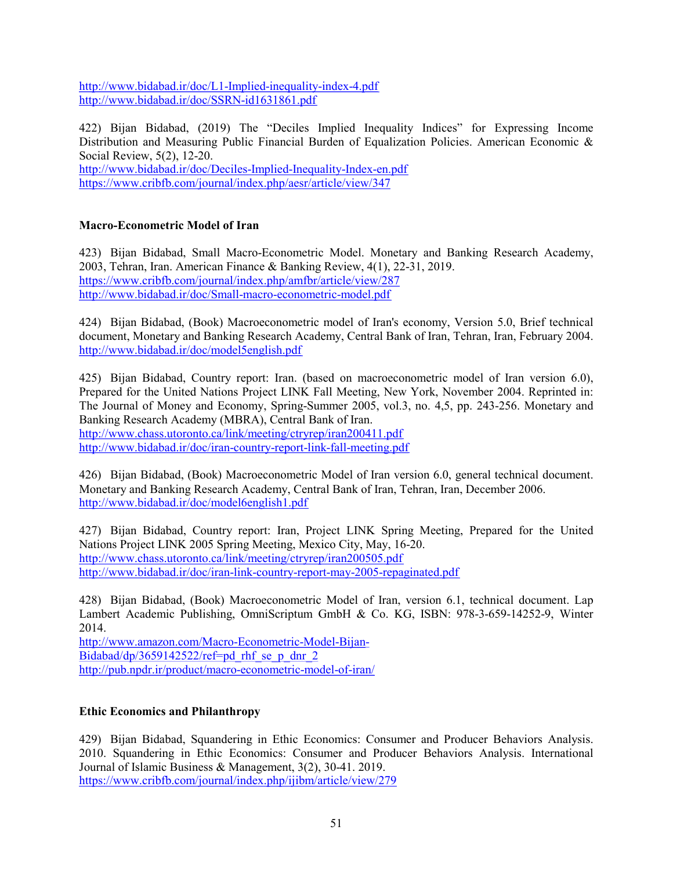<http://www.bidabad.ir/doc/L1-Implied-inequality-index-4.pdf> <http://www.bidabad.ir/doc/SSRN-id1631861.pdf>

422) Bijan Bidabad, (2019) The "Deciles Implied Inequality Indices" for Expressing Income Distribution and Measuring Public Financial Burden of Equalization Policies. American Economic & Social Review, 5(2), 12-20. <http://www.bidabad.ir/doc/Deciles-Implied-Inequality-Index-en.pdf> <https://www.cribfb.com/journal/index.php/aesr/article/view/347>

### **Macro-Econometric Model of Iran**

423) Bijan Bidabad, Small Macro-Econometric Model. Monetary and Banking Research Academy, 2003, Tehran, Iran. American Finance & Banking Review, 4(1), 22-31, 2019. <https://www.cribfb.com/journal/index.php/amfbr/article/view/287> <http://www.bidabad.ir/doc/Small-macro-econometric-model.pdf>

424) Bijan Bidabad, (Book) Macroeconometric model of Iran's economy, Version 5.0, Brief technical document, Monetary and Banking Research Academy, Central Bank of Iran, Tehran, Iran, February 2004. <http://www.bidabad.ir/doc/model5english.pdf>

425) Bijan Bidabad, Country report: Iran. (based on macroeconometric model of Iran version 6.0), Prepared for the United Nations Project LINK Fall Meeting, New York, November 2004. Reprinted in: The Journal of Money and Economy, Spring-Summer 2005, vol.3, no. 4,5, pp. 243-256. Monetary and Banking Research Academy (MBRA), Central Bank of Iran.

<http://www.chass.utoronto.ca/link/meeting/ctryrep/iran200411.pdf> <http://www.bidabad.ir/doc/iran-country-report-link-fall-meeting.pdf>

426) Bijan Bidabad, (Book) Macroeconometric Model of Iran version 6.0, general technical document. Monetary and Banking Research Academy, Central Bank of Iran, Tehran, Iran, December 2006. <http://www.bidabad.ir/doc/model6english1.pdf>

427) Bijan Bidabad, Country report: Iran, Project LINK Spring Meeting, Prepared for the United Nations Project LINK 2005 Spring Meeting, Mexico City, May, 16-20. <http://www.chass.utoronto.ca/link/meeting/ctryrep/iran200505.pdf> <http://www.bidabad.ir/doc/iran-link-country-report-may-2005-repaginated.pdf>

428) Bijan Bidabad, (Book) Macroeconometric Model of Iran, version 6.1, technical document. Lap Lambert Academic Publishing, OmniScriptum GmbH & Co. KG, ISBN: 978-3-659-14252-9, Winter 2014.

[http://www.amazon.com/Macro-Econometric-Model-Bijan-](http://www.amazon.com/Macro-Econometric-Model-Bijan)Bidabad/dp/3659142522/ref=pd\_rhf\_se\_p\_dnr\_2 <http://pub.npdr.ir/product/macro-econometric-model-of-iran/>

### **Ethic Economics and Philanthropy**

429) Bijan Bidabad, Squandering in Ethic Economics: Consumer and Producer Behaviors Analysis. 2010. Squandering in Ethic Economics: Consumer and Producer Behaviors Analysis. International Journal of Islamic Business & Management, 3(2), 30-41. 2019. <https://www.cribfb.com/journal/index.php/ijibm/article/view/279>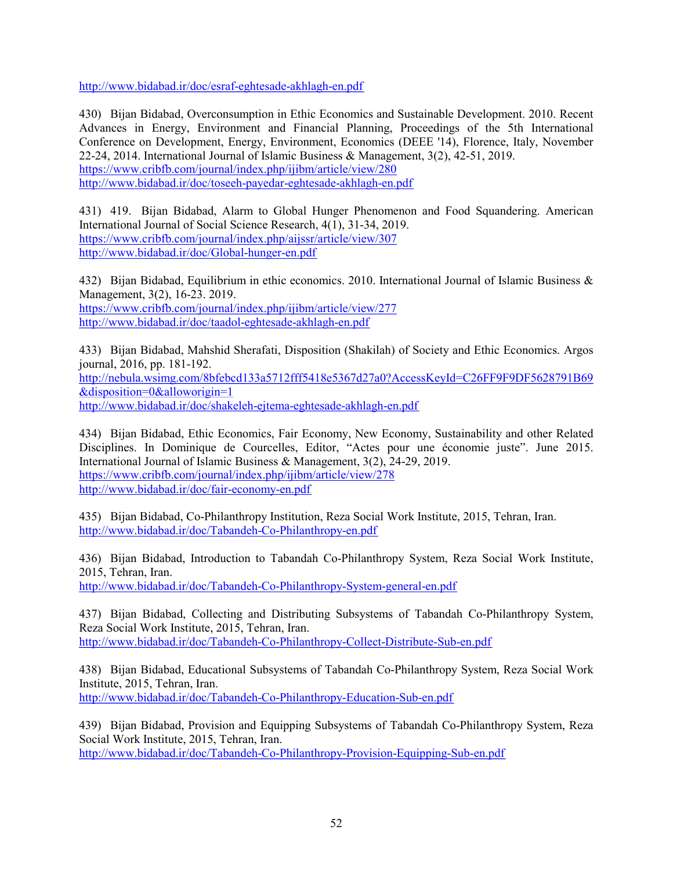<http://www.bidabad.ir/doc/esraf-eghtesade-akhlagh-en.pdf>

430) Bijan Bidabad, Overconsumption in Ethic Economics and Sustainable Development. 2010. Recent Advances in Energy, Environment and Financial Planning, Proceedings of the 5th International Conference on Development, Energy, Environment, Economics (DEEE '14), Florence, Italy, November 22-24, 2014. International Journal of Islamic Business & Management, 3(2), 42-51, 2019. <https://www.cribfb.com/journal/index.php/ijibm/article/view/280> <http://www.bidabad.ir/doc/toseeh-payedar-eghtesade-akhlagh-en.pdf>

431) 419. Bijan Bidabad, Alarm to Global Hunger Phenomenon and Food Squandering. American International Journal of Social Science Research, 4(1), 31-34, 2019. <https://www.cribfb.com/journal/index.php/aijssr/article/view/307> <http://www.bidabad.ir/doc/Global-hunger-en.pdf>

432) Bijan Bidabad, Equilibrium in ethic economics. 2010. International Journal of Islamic Business & Management, 3(2), 16-23. 2019. <https://www.cribfb.com/journal/index.php/ijibm/article/view/277>

<http://www.bidabad.ir/doc/taadol-eghtesade-akhlagh-en.pdf>

433) Bijan Bidabad, Mahshid Sherafati, Disposition (Shakilah) of Society and Ethic Economics. Argos journal, 2016, pp. 181-192. <http://nebula.wsimg.com/8bfebcd133a5712fff5418e5367d27a0?AccessKeyId=C26FF9F9DF5628791B69> &disposition=0&alloworigin=1 <http://www.bidabad.ir/doc/shakeleh-ejtema-eghtesade-akhlagh-en.pdf>

434) Bijan Bidabad, Ethic Economics, Fair Economy, New Economy, Sustainability and other Related Disciplines. In Dominique de Courcelles, Editor, "Actes pour une économie juste". June 2015. International Journal of Islamic Business & Management, 3(2), 24-29, 2019. <https://www.cribfb.com/journal/index.php/ijibm/article/view/278> <http://www.bidabad.ir/doc/fair-economy-en.pdf>

435) Bijan Bidabad, Co-Philanthropy Institution, Reza Social Work Institute, 2015, Tehran, Iran. <http://www.bidabad.ir/doc/Tabandeh-Co-Philanthropy-en.pdf>

436) Bijan Bidabad, Introduction to Tabandah Co-Philanthropy System, Reza Social Work Institute, 2015, Tehran, Iran.

<http://www.bidabad.ir/doc/Tabandeh-Co-Philanthropy-System-general-en.pdf>

437) Bijan Bidabad, Collecting and Distributing Subsystems of Tabandah Co-Philanthropy System, Reza Social Work Institute, 2015, Tehran, Iran. <http://www.bidabad.ir/doc/Tabandeh-Co-Philanthropy-Collect-Distribute-Sub-en.pdf>

438) Bijan Bidabad, Educational Subsystems of Tabandah Co-Philanthropy System, Reza Social Work Institute, 2015, Tehran, Iran. <http://www.bidabad.ir/doc/Tabandeh-Co-Philanthropy-Education-Sub-en.pdf>

439) Bijan Bidabad, Provision and Equipping Subsystems of Tabandah Co-Philanthropy System, Reza Social Work Institute, 2015, Tehran, Iran. <http://www.bidabad.ir/doc/Tabandeh-Co-Philanthropy-Provision-Equipping-Sub-en.pdf>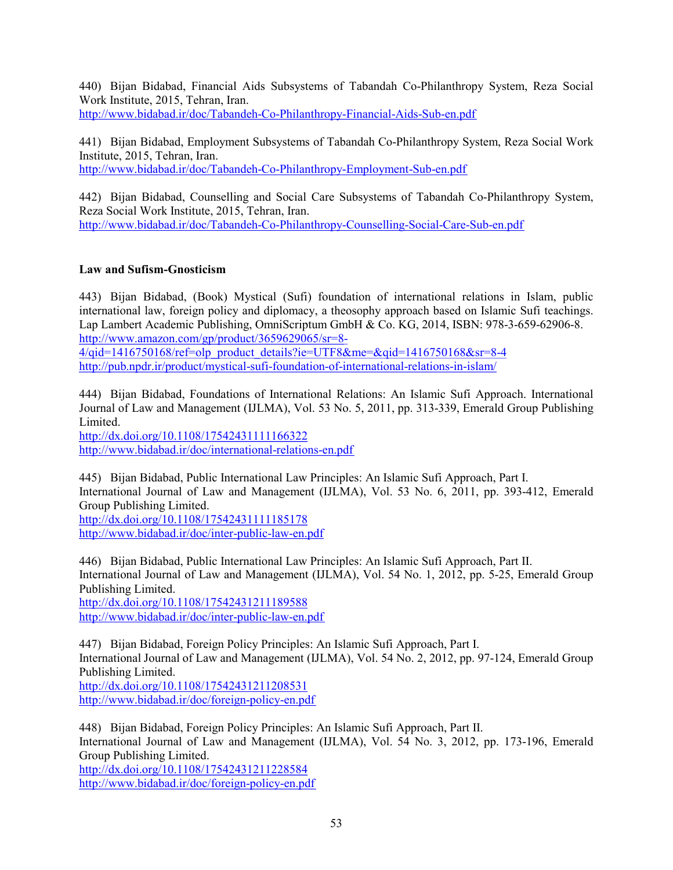440) Bijan Bidabad, Financial Aids Subsystems of Tabandah Co-Philanthropy System, Reza Social Work Institute, 2015, Tehran, Iran. <http://www.bidabad.ir/doc/Tabandeh-Co-Philanthropy-Financial-Aids-Sub-en.pdf>

441) Bijan Bidabad, Employment Subsystems of Tabandah Co-Philanthropy System, Reza Social Work Institute, 2015, Tehran, Iran. <http://www.bidabad.ir/doc/Tabandeh-Co-Philanthropy-Employment-Sub-en.pdf>

442) Bijan Bidabad, Counselling and Social Care Subsystems of Tabandah Co-Philanthropy System, Reza Social Work Institute, 2015, Tehran, Iran. <http://www.bidabad.ir/doc/Tabandeh-Co-Philanthropy-Counselling-Social-Care-Sub-en.pdf>

### **Law and Sufism-Gnosticism**

443) Bijan Bidabad, (Book) Mystical (Sufi) foundation of international relations in Islam, public international law, foreign policy and diplomacy, a theosophy approach based on Islamic Sufi teachings. Lap Lambert Academic Publishing, OmniScriptum GmbH & Co. KG, 2014, ISBN: 978-3-659-62906-8. <http://www.amazon.com/gp/product/3659629065/sr=8>-

4/qid=1416750168/ref=olp\_product\_details?ie=UTF8&me=&qid=1416750168&sr=8-4 <http://pub.npdr.ir/product/mystical-sufi-foundation-of-international-relations-in-islam/>

444) Bijan Bidabad, Foundations of International Relations: An Islamic Sufi Approach. International Journal of Law and Management (IJLMA), Vol. 53 No. 5, 2011, pp. 313-339, Emerald Group Publishing Limited.

<http://dx.doi.org/10.1108/17542431111166322> <http://www.bidabad.ir/doc/international-relations-en.pdf>

445) Bijan Bidabad, Public International Law Principles: An Islamic Sufi Approach, Part I. International Journal of Law and Management (IJLMA), Vol. 53 No. 6, 2011, pp. 393-412, Emerald Group Publishing Limited.

<http://dx.doi.org/10.1108/17542431111185178> <http://www.bidabad.ir/doc/inter-public-law-en.pdf>

446) Bijan Bidabad, Public International Law Principles: An Islamic Sufi Approach, Part II. International Journal of Law and Management (IJLMA), Vol. 54 No. 1, 2012, pp. 5-25, Emerald Group Publishing Limited.

<http://dx.doi.org/10.1108/17542431211189588> <http://www.bidabad.ir/doc/inter-public-law-en.pdf>

447) Bijan Bidabad, Foreign Policy Principles: An Islamic Sufi Approach, Part I. International Journal of Law and Management (IJLMA), Vol. 54 No. 2, 2012, pp. 97-124, Emerald Group Publishing Limited.

<http://dx.doi.org/10.1108/17542431211208531> <http://www.bidabad.ir/doc/foreign-policy-en.pdf>

448) Bijan Bidabad, Foreign Policy Principles: An Islamic Sufi Approach, Part II. International Journal of Law and Management (IJLMA), Vol. 54 No. 3, 2012, pp. 173-196, Emerald Group Publishing Limited.

<http://dx.doi.org/10.1108/17542431211228584> <http://www.bidabad.ir/doc/foreign-policy-en.pdf>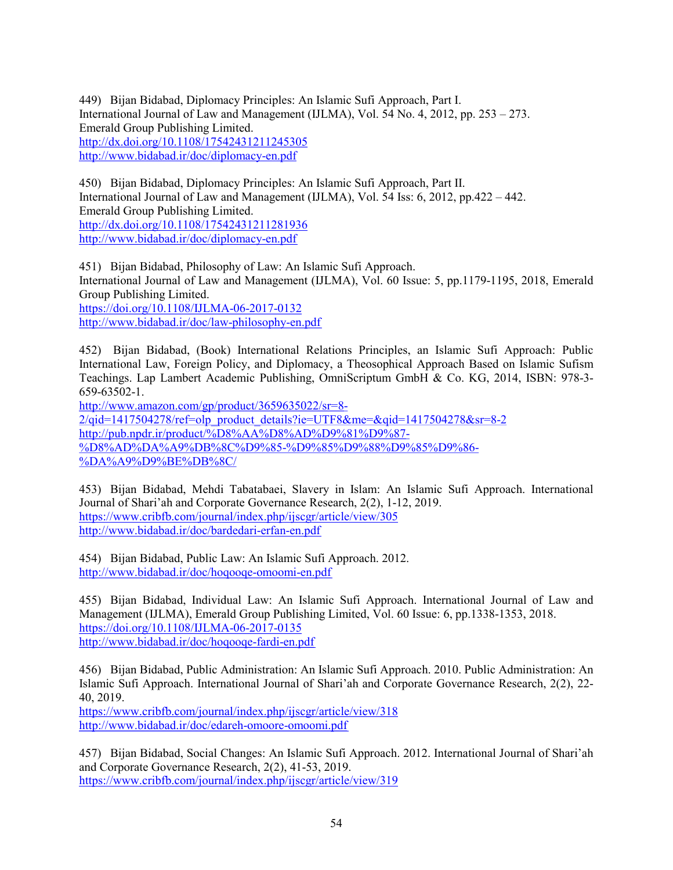449) Bijan Bidabad, Diplomacy Principles: An Islamic Sufi Approach, Part I. International Journal of Law and Management (IJLMA), Vol. 54 No. 4, 2012, pp. 253 – 273. Emerald Group Publishing Limited. <http://dx.doi.org/10.1108/17542431211245305>

<http://www.bidabad.ir/doc/diplomacy-en.pdf>

450) Bijan Bidabad, Diplomacy Principles: An Islamic Sufi Approach, Part II. International Journal of Law and Management (IJLMA), Vol. 54 Iss: 6, 2012, pp.422 – 442. Emerald Group Publishing Limited. <http://dx.doi.org/10.1108/17542431211281936> <http://www.bidabad.ir/doc/diplomacy-en.pdf>

451) Bijan Bidabad, Philosophy of Law: An Islamic Sufi Approach. International Journal of Law and Management (IJLMA), Vol. 60 Issue: 5, pp.1179-1195, 2018, Emerald Group Publishing Limited.

<https://doi.org/10.1108/IJLMA-06-2017-0132> <http://www.bidabad.ir/doc/law-philosophy-en.pdf>

452) Bijan Bidabad, (Book) International Relations Principles, an Islamic Sufi Approach: Public International Law, Foreign Policy, and Diplomacy, a Theosophical Approach Based on Islamic Sufism Teachings. Lap Lambert Academic Publishing, OmniScriptum GmbH & Co. KG, 2014, ISBN: 978-3- 659-63502-1.

<http://www.amazon.com/gp/product/3659635022/sr=8>- 2/qid=1417504278/ref=olp\_product\_details?ie=UTF8&me=&qid=1417504278&sr=8-2 <http://pub.npdr.ir/product/%D8%AA%D8%AD%D9%81%D9%87>- %D8%AD%DA%A9%DB%8C%D9%85-%D9%85%D9%88%D9%85%D9%86- %DA%A9%D9%BE%DB%8C/

453) Bijan Bidabad, Mehdi Tabatabaei, Slavery in Islam: An Islamic Sufi Approach. International Journal of Shari'ah and Corporate Governance Research, 2(2), 1-12, 2019. <https://www.cribfb.com/journal/index.php/ijscgr/article/view/305> <http://www.bidabad.ir/doc/bardedari-erfan-en.pdf>

454) Bijan Bidabad, Public Law: An Islamic Sufi Approach. 2012. <http://www.bidabad.ir/doc/hoqooqe-omoomi-en.pdf>

455) Bijan Bidabad, Individual Law: An Islamic Sufi Approach. International Journal of Law and Management (IJLMA), Emerald Group Publishing Limited, Vol. 60 Issue: 6, pp.1338-1353, 2018. <https://doi.org/10.1108/IJLMA-06-2017-0135> <http://www.bidabad.ir/doc/hoqooqe-fardi-en.pdf>

456) Bijan Bidabad, Public Administration: An Islamic Sufi Approach. 2010. Public Administration: An Islamic Sufi Approach. International Journal of Shari'ah and Corporate Governance Research, 2(2), 22- 40, 2019.

<https://www.cribfb.com/journal/index.php/ijscgr/article/view/318> <http://www.bidabad.ir/doc/edareh-omoore-omoomi.pdf>

457) Bijan Bidabad, Social Changes: An Islamic Sufi Approach. 2012. International Journal of Shari'ah and Corporate Governance Research, 2(2), 41-53, 2019. <https://www.cribfb.com/journal/index.php/ijscgr/article/view/319>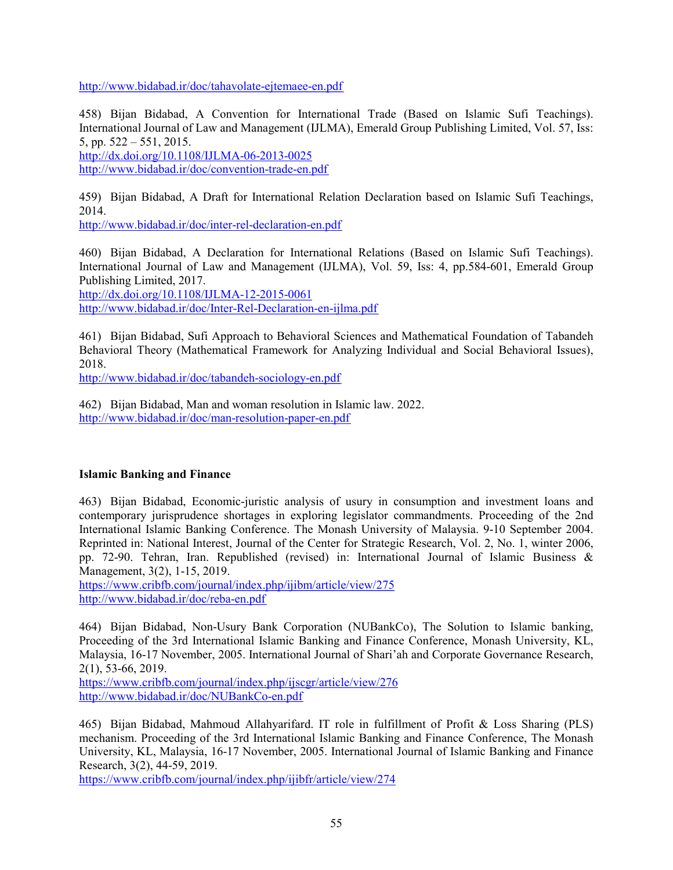<http://www.bidabad.ir/doc/tahavolate-ejtemaee-en.pdf>

458) Bijan Bidabad, A Convention for International Trade (Based on Islamic Sufi Teachings). International Journal of Law and Management (IJLMA), Emerald Group Publishing Limited, Vol. 57, Iss: 5, pp. 522 – 551, 2015.

<http://dx.doi.org/10.1108/IJLMA-06-2013-0025> <http://www.bidabad.ir/doc/convention-trade-en.pdf>

459) Bijan Bidabad, A Draft for International Relation Declaration based on Islamic Sufi Teachings, 2014.

<http://www.bidabad.ir/doc/inter-rel-declaration-en.pdf>

460) Bijan Bidabad, A Declaration for International Relations (Based on Islamic Sufi Teachings). International Journal of Law and Management (IJLMA), Vol. 59, Iss: 4, pp.584-601, Emerald Group Publishing Limited, 2017.

<http://dx.doi.org/10.1108/IJLMA-12-2015-0061> <http://www.bidabad.ir/doc/Inter-Rel-Declaration-en-ijlma.pdf>

461) Bijan Bidabad, Sufi Approach to Behavioral Sciences and Mathematical Foundation of Tabandeh Behavioral Theory (Mathematical Framework for Analyzing Individual and Social Behavioral Issues), 2018.

<http://www.bidabad.ir/doc/tabandeh-sociology-en.pdf>

462) Bijan Bidabad, Man and woman resolution in Islamic law. 2022. <http://www.bidabad.ir/doc/man-resolution-paper-en.pdf>

#### **Islamic Banking and Finance**

463) Bijan Bidabad, Economic-juristic analysis of usury in consumption and investment loans and contemporary jurisprudence shortages in exploring legislator commandments. Proceeding of the 2nd International Islamic Banking Conference. The Monash University of Malaysia. 9-10 September 2004. Reprinted in: National Interest, Journal of the Center for Strategic Research, Vol. 2, No. 1, winter 2006, pp. 72-90. Tehran, Iran. Republished (revised) in: International Journal of Islamic Business & Management, 3(2), 1-15, 2019.

<https://www.cribfb.com/journal/index.php/ijibm/article/view/275> <http://www.bidabad.ir/doc/reba-en.pdf>

464) Bijan Bidabad, Non-Usury Bank Corporation (NUBankCo), The Solution to Islamic banking, Proceeding of the 3rd International Islamic Banking and Finance Conference, Monash University, KL, Malaysia, 16-17 November, 2005. International Journal of Shari'ah and Corporate Governance Research, 2(1), 53-66, 2019.

<https://www.cribfb.com/journal/index.php/ijscgr/article/view/276> <http://www.bidabad.ir/doc/NUBankCo-en.pdf>

465) Bijan Bidabad, Mahmoud Allahyarifard. IT role in fulfillment of Profit & Loss Sharing (PLS) mechanism. Proceeding of the 3rd International Islamic Banking and Finance Conference, The Monash University, KL, Malaysia, 16-17 November, 2005. International Journal of Islamic Banking and Finance Research, 3(2), 44-59, 2019.

<https://www.cribfb.com/journal/index.php/ijibfr/article/view/274>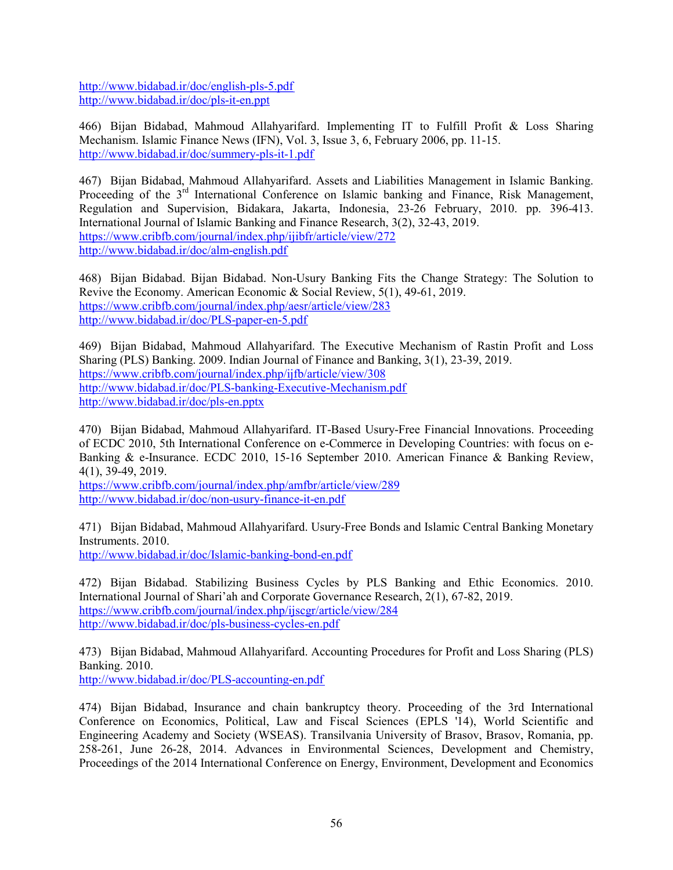<http://www.bidabad.ir/doc/english-pls-5.pdf> <http://www.bidabad.ir/doc/pls-it-en.ppt>

466) Bijan Bidabad, Mahmoud Allahyarifard. Implementing IT to Fulfill Profit & Loss Sharing Mechanism. Islamic Finance News (IFN), Vol. 3, Issue 3, 6, February 2006, pp. 11-15. <http://www.bidabad.ir/doc/summery-pls-it-1.pdf>

467) Bijan Bidabad, Mahmoud Allahyarifard. Assets and Liabilities Management in Islamic Banking. Proceeding of the 3<sup>rd</sup> International Conference on Islamic banking and Finance, Risk Management, Regulation and Supervision, Bidakara, Jakarta, Indonesia, 23-26 February, 2010. pp. 396-413. International Journal of Islamic Banking and Finance Research, 3(2), 32-43, 2019. <https://www.cribfb.com/journal/index.php/ijibfr/article/view/272> <http://www.bidabad.ir/doc/alm-english.pdf>

468) Bijan Bidabad. Bijan Bidabad. Non-Usury Banking Fits the Change Strategy: The Solution to Revive the Economy. American Economic & Social Review, 5(1), 49-61, 2019. <https://www.cribfb.com/journal/index.php/aesr/article/view/283> <http://www.bidabad.ir/doc/PLS-paper-en-5.pdf>

469) Bijan Bidabad, Mahmoud Allahyarifard. The Executive Mechanism of Rastin Profit and Loss Sharing (PLS) Banking. 2009. Indian Journal of Finance and Banking, 3(1), 23-39, 2019. <https://www.cribfb.com/journal/index.php/ijfb/article/view/308> <http://www.bidabad.ir/doc/PLS-banking-Executive-Mechanism.pdf> <http://www.bidabad.ir/doc/pls-en.pptx>

470) Bijan Bidabad, Mahmoud Allahyarifard. IT-Based Usury-Free Financial Innovations. Proceeding of ECDC 2010, 5th International Conference on e-Commerce in Developing Countries: with focus on e-Banking & e-Insurance. ECDC 2010, 15-16 September 2010. American Finance & Banking Review, 4(1), 39-49, 2019.

<https://www.cribfb.com/journal/index.php/amfbr/article/view/289> <http://www.bidabad.ir/doc/non-usury-finance-it-en.pdf>

471) Bijan Bidabad, Mahmoud Allahyarifard. Usury-Free Bonds and Islamic Central Banking Monetary Instruments. 2010.

<http://www.bidabad.ir/doc/Islamic-banking-bond-en.pdf>

472) Bijan Bidabad. Stabilizing Business Cycles by PLS Banking and Ethic Economics. 2010. International Journal of Shari'ah and Corporate Governance Research, 2(1), 67-82, 2019. <https://www.cribfb.com/journal/index.php/ijscgr/article/view/284> <http://www.bidabad.ir/doc/pls-business-cycles-en.pdf>

473) Bijan Bidabad, Mahmoud Allahyarifard. Accounting Procedures for Profit and Loss Sharing (PLS) Banking. 2010.

<http://www.bidabad.ir/doc/PLS-accounting-en.pdf>

474) Bijan Bidabad, Insurance and chain bankruptcy theory. Proceeding of the 3rd International Conference on Economics, Political, Law and Fiscal Sciences (EPLS '14), World Scientific and Engineering Academy and Society (WSEAS). Transilvania University of Brasov, Brasov, Romania, pp. 258-261, June 26-28, 2014. Advances in Environmental Sciences, Development and Chemistry, Proceedings of the 2014 International Conference on Energy, Environment, Development and Economics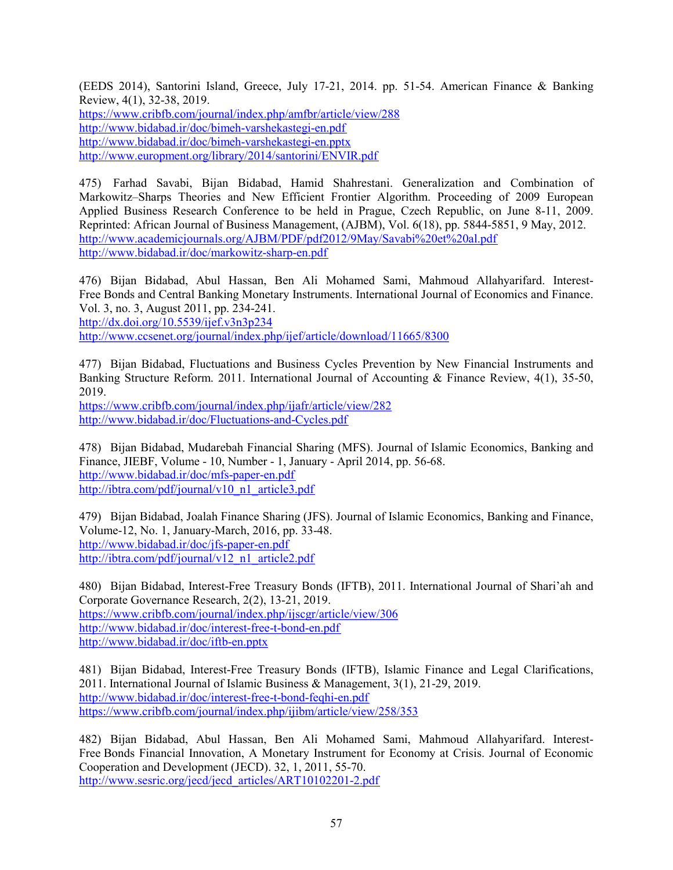(EEDS 2014), Santorini Island, Greece, July 17-21, 2014. pp. 51-54. American Finance & Banking Review, 4(1), 32-38, 2019.

<https://www.cribfb.com/journal/index.php/amfbr/article/view/288> <http://www.bidabad.ir/doc/bimeh-varshekastegi-en.pdf> <http://www.bidabad.ir/doc/bimeh-varshekastegi-en.pptx> <http://www.europment.org/library/2014/santorini/ENVIR.pdf>

475) Farhad Savabi, Bijan Bidabad, Hamid Shahrestani. Generalization and Combination of Markowitz–Sharps Theories and New Efficient Frontier Algorithm. Proceeding of 2009 European Applied Business Research Conference to be held in Prague, Czech Republic, on June 8-11, 2009. Reprinted: African Journal of Business Management, (AJBM), Vol. 6(18), pp. 5844-5851, 9 May, 2012. <http://www.academicjournals.org/AJBM/PDF/pdf2012/9May/Savabi%20et%20al.pdf> <http://www.bidabad.ir/doc/markowitz-sharp-en.pdf>

476) Bijan Bidabad, Abul Hassan, Ben Ali Mohamed Sami, Mahmoud Allahyarifard. Interest-Free Bonds and Central Banking Monetary Instruments. International Journal of Economics and Finance. Vol. 3, no. 3, August 2011, pp. 234-241. <http://dx.doi.org/10.5539/ijef.v3n3p234>

<http://www.ccsenet.org/journal/index.php/ijef/article/download/11665/8300>

477) Bijan Bidabad, Fluctuations and Business Cycles Prevention by New Financial Instruments and Banking Structure Reform. 2011. International Journal of Accounting & Finance Review, 4(1), 35-50, 2019.

<https://www.cribfb.com/journal/index.php/ijafr/article/view/282> <http://www.bidabad.ir/doc/Fluctuations-and-Cycles.pdf>

478) Bijan Bidabad, Mudarebah Financial Sharing (MFS). Journal of Islamic Economics, Banking and Finance, JIEBF, Volume - 10, Number - 1, January - April 2014, pp. 56-68. <http://www.bidabad.ir/doc/mfs-paper-en.pdf> [http://ibtra.com/pdf/journal/v10\\_n1\\_article3.pdf](http://ibtra.com/pdf/journal/v10_n1_article3.pdf)

479) Bijan Bidabad, Joalah Finance Sharing (JFS). Journal of Islamic Economics, Banking and Finance, Volume-12, No. 1, January-March, 2016, pp. 33-48. <http://www.bidabad.ir/doc/jfs-paper-en.pdf> [http://ibtra.com/pdf/journal/v12\\_n1\\_article2.pdf](http://ibtra.com/pdf/journal/v12_n1_article2.pdf) 

480) Bijan Bidabad, Interest-Free Treasury Bonds (IFTB), 2011. International Journal of Shari'ah and Corporate Governance Research, 2(2), 13-21, 2019. <https://www.cribfb.com/journal/index.php/ijscgr/article/view/306> <http://www.bidabad.ir/doc/interest-free-t-bond-en.pdf> <http://www.bidabad.ir/doc/iftb-en.pptx>

481) Bijan Bidabad, Interest-Free Treasury Bonds (IFTB), Islamic Finance and Legal Clarifications, 2011. International Journal of Islamic Business & Management, 3(1), 21-29, 2019. <http://www.bidabad.ir/doc/interest-free-t-bond-feqhi-en.pdf> <https://www.cribfb.com/journal/index.php/ijibm/article/view/258/353>

482) Bijan Bidabad, Abul Hassan, Ben Ali Mohamed Sami, Mahmoud Allahyarifard. Interest-Free Bonds Financial Innovation, A Monetary Instrument for Economy at Crisis. Journal of Economic Cooperation and Development (JECD). 32, 1, 2011, 55-70. [http://www.sesric.org/jecd/jecd\\_articles/ART10102201-2.pdf](http://www.sesric.org/jecd/jecd_articles/ART10102201-2.pdf)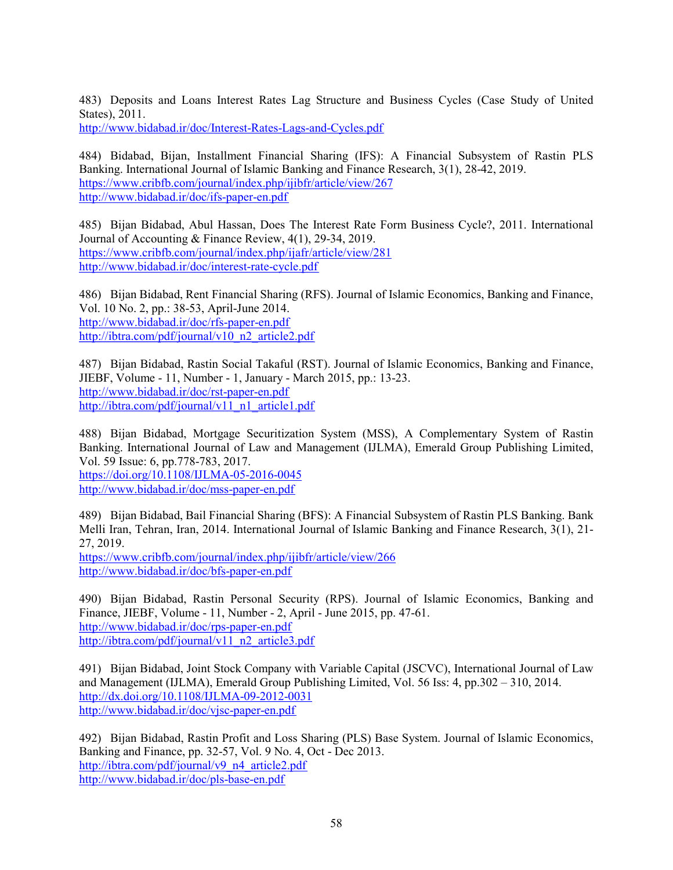483) Deposits and Loans Interest Rates Lag Structure and Business Cycles (Case Study of United States), 2011.

<http://www.bidabad.ir/doc/Interest-Rates-Lags-and-Cycles.pdf>

484) Bidabad, Bijan, Installment Financial Sharing (IFS): A Financial Subsystem of Rastin PLS Banking. International Journal of Islamic Banking and Finance Research, 3(1), 28-42, 2019. <https://www.cribfb.com/journal/index.php/ijibfr/article/view/267> <http://www.bidabad.ir/doc/ifs-paper-en.pdf>

485) Bijan Bidabad, Abul Hassan, Does The Interest Rate Form Business Cycle?, 2011. International Journal of Accounting & Finance Review, 4(1), 29-34, 2019. <https://www.cribfb.com/journal/index.php/ijafr/article/view/281> <http://www.bidabad.ir/doc/interest-rate-cycle.pdf>

486) Bijan Bidabad, Rent Financial Sharing (RFS). Journal of Islamic Economics, Banking and Finance, Vol. 10 No. 2, pp.: 38-53, April-June 2014. <http://www.bidabad.ir/doc/rfs-paper-en.pdf> [http://ibtra.com/pdf/journal/v10\\_n2\\_article2.pdf](http://ibtra.com/pdf/journal/v10_n2_article2.pdf) 

487) Bijan Bidabad, Rastin Social Takaful (RST). Journal of Islamic Economics, Banking and Finance, JIEBF, Volume - 11, Number - 1, January - March 2015, pp.: 13-23. <http://www.bidabad.ir/doc/rst-paper-en.pdf> http://ibtra.com/pdf/journal/v11\_n1\_article1.pdf

488) Bijan Bidabad, Mortgage Securitization System (MSS), A Complementary System of Rastin Banking. International Journal of Law and Management (IJLMA), Emerald Group Publishing Limited, Vol. 59 Issue: 6, pp.778-783, 2017. <https://doi.org/10.1108/IJLMA-05-2016-0045> <http://www.bidabad.ir/doc/mss-paper-en.pdf>

489) Bijan Bidabad, Bail Financial Sharing (BFS): A Financial Subsystem of Rastin PLS Banking. Bank Melli Iran, Tehran, Iran, 2014. International Journal of Islamic Banking and Finance Research, 3(1), 21- 27, 2019.

<https://www.cribfb.com/journal/index.php/ijibfr/article/view/266> <http://www.bidabad.ir/doc/bfs-paper-en.pdf>

490) Bijan Bidabad, Rastin Personal Security (RPS). Journal of Islamic Economics, Banking and Finance, JIEBF, Volume - 11, Number - 2, April - June 2015, pp. 47-61. <http://www.bidabad.ir/doc/rps-paper-en.pdf> [http://ibtra.com/pdf/journal/v11\\_n2\\_article3.pdf](http://ibtra.com/pdf/journal/v11_n2_article3.pdf)

491) Bijan Bidabad, Joint Stock Company with Variable Capital (JSCVC), International Journal of Law and Management (IJLMA), Emerald Group Publishing Limited, Vol. 56 Iss: 4, pp.302 – 310, 2014. <http://dx.doi.org/10.1108/IJLMA-09-2012-0031> <http://www.bidabad.ir/doc/vjsc-paper-en.pdf>

492) Bijan Bidabad, Rastin Profit and Loss Sharing (PLS) Base System. Journal of Islamic Economics, Banking and Finance, pp. 32-57, Vol. 9 No. 4, Oct - Dec 2013. [http://ibtra.com/pdf/journal/v9\\_n4\\_article2.pdf](http://ibtra.com/pdf/journal/v9_n4_article2.pdf)  <http://www.bidabad.ir/doc/pls-base-en.pdf>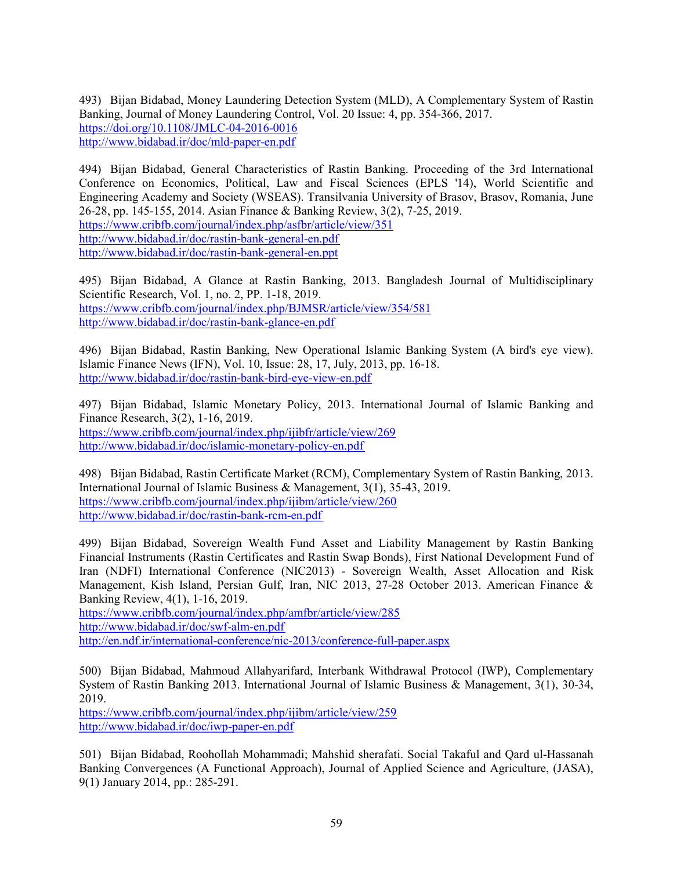493) Bijan Bidabad, Money Laundering Detection System (MLD), A Complementary System of Rastin Banking, Journal of Money Laundering Control, Vol. 20 Issue: 4, pp. 354-366, 2017. <https://doi.org/10.1108/JMLC-04-2016-0016> <http://www.bidabad.ir/doc/mld-paper-en.pdf>

494) Bijan Bidabad, General Characteristics of Rastin Banking. Proceeding of the 3rd International Conference on Economics, Political, Law and Fiscal Sciences (EPLS '14), World Scientific and Engineering Academy and Society (WSEAS). Transilvania University of Brasov, Brasov, Romania, June 26-28, pp. 145-155, 2014. Asian Finance & Banking Review, 3(2), 7-25, 2019. <https://www.cribfb.com/journal/index.php/asfbr/article/view/351> <http://www.bidabad.ir/doc/rastin-bank-general-en.pdf> <http://www.bidabad.ir/doc/rastin-bank-general-en.ppt>

495) Bijan Bidabad, A Glance at Rastin Banking, 2013. Bangladesh Journal of Multidisciplinary Scientific Research, Vol. 1, no. 2, PP. 1-18, 2019. <https://www.cribfb.com/journal/index.php/BJMSR/article/view/354/581> <http://www.bidabad.ir/doc/rastin-bank-glance-en.pdf>

496) Bijan Bidabad, Rastin Banking, New Operational Islamic Banking System (A bird's eye view). Islamic Finance News (IFN), Vol. 10, Issue: 28, 17, July, 2013, pp. 16-18. <http://www.bidabad.ir/doc/rastin-bank-bird-eye-view-en.pdf>

497) Bijan Bidabad, Islamic Monetary Policy, 2013. International Journal of Islamic Banking and Finance Research, 3(2), 1-16, 2019. <https://www.cribfb.com/journal/index.php/ijibfr/article/view/269> <http://www.bidabad.ir/doc/islamic-monetary-policy-en.pdf>

498) Bijan Bidabad, Rastin Certificate Market (RCM), Complementary System of Rastin Banking, 2013. International Journal of Islamic Business & Management, 3(1), 35-43, 2019. <https://www.cribfb.com/journal/index.php/ijibm/article/view/260> <http://www.bidabad.ir/doc/rastin-bank-rcm-en.pdf>

499) Bijan Bidabad, Sovereign Wealth Fund Asset and Liability Management by Rastin Banking Financial Instruments (Rastin Certificates and Rastin Swap Bonds), First National Development Fund of Iran (NDFI) International Conference (NIC2013) - Sovereign Wealth, Asset Allocation and Risk Management, Kish Island, Persian Gulf, Iran, NIC 2013, 27-28 October 2013. American Finance & Banking Review, 4(1), 1-16, 2019.

<https://www.cribfb.com/journal/index.php/amfbr/article/view/285> <http://www.bidabad.ir/doc/swf-alm-en.pdf> <http://en.ndf.ir/international-conference/nic-2013/conference-full-paper.aspx>

500) Bijan Bidabad, Mahmoud Allahyarifard, Interbank Withdrawal Protocol (IWP), Complementary System of Rastin Banking 2013. International Journal of Islamic Business & Management, 3(1), 30-34, 2019.

<https://www.cribfb.com/journal/index.php/ijibm/article/view/259> <http://www.bidabad.ir/doc/iwp-paper-en.pdf>

501) Bijan Bidabad, Roohollah Mohammadi; Mahshid sherafati. Social Takaful and Qard ul-Hassanah Banking Convergences (A Functional Approach), Journal of Applied Science and Agriculture, (JASA), 9(1) January 2014, pp.: 285-291.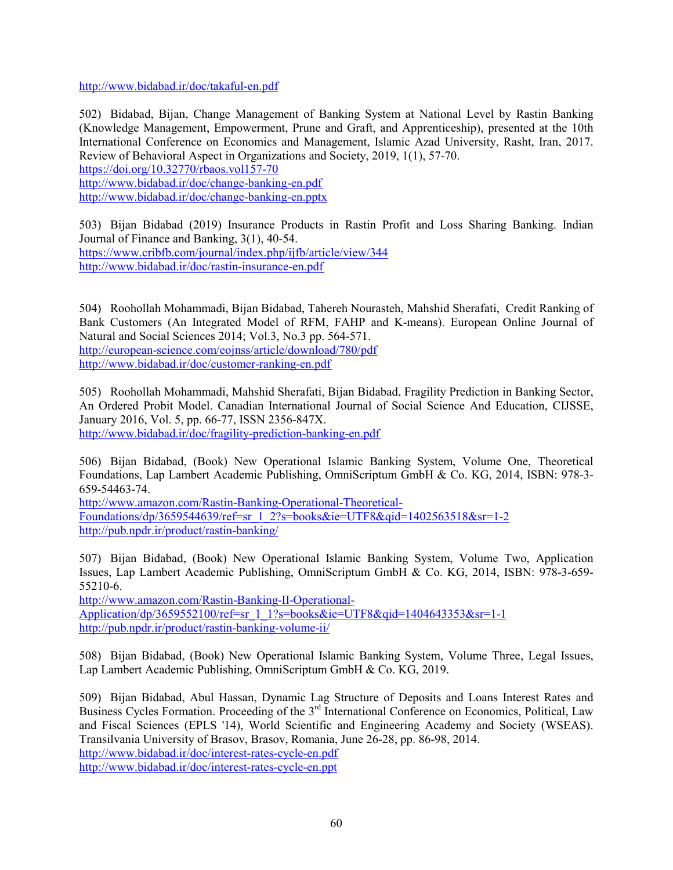<http://www.bidabad.ir/doc/takaful-en.pdf>

502) Bidabad, Bijan, Change Management of Banking System at National Level by Rastin Banking (Knowledge Management, Empowerment, Prune and Graft, and Apprenticeship), presented at the 10th International Conference on Economics and Management, Islamic Azad University, Rasht, Iran, 2017. Review of Behavioral Aspect in Organizations and Society, 2019, 1(1), 57-70. <https://doi.org/10.32770/rbaos.vol157-70> <http://www.bidabad.ir/doc/change-banking-en.pdf>

<http://www.bidabad.ir/doc/change-banking-en.pptx>

503) Bijan Bidabad (2019) Insurance Products in Rastin Profit and Loss Sharing Banking. Indian Journal of Finance and Banking, 3(1), 40-54. <https://www.cribfb.com/journal/index.php/ijfb/article/view/344> <http://www.bidabad.ir/doc/rastin-insurance-en.pdf>

504) Roohollah Mohammadi, Bijan Bidabad, Tahereh Nourasteh, Mahshid Sherafati, Credit Ranking of Bank Customers (An Integrated Model of RFM, FAHP and K-means). European Online Journal of Natural and Social Sciences 2014; Vol.3, No.3 pp. 564-571.

<http://european-science.com/eojnss/article/download/780/pdf> <http://www.bidabad.ir/doc/customer-ranking-en.pdf>

505) Roohollah Mohammadi, Mahshid Sherafati, Bijan Bidabad, Fragility Prediction in Banking Sector, An Ordered Probit Model. Canadian International Journal of Social Science And Education, CIJSSE, January 2016, Vol. 5, pp. 66-77, ISSN 2356-847X. <http://www.bidabad.ir/doc/fragility-prediction-banking-en.pdf>

506) Bijan Bidabad, (Book) New Operational Islamic Banking System, Volume One, Theoretical Foundations, Lap Lambert Academic Publishing, OmniScriptum GmbH & Co. KG, 2014, ISBN: 978-3- 659-54463-74.

[http://www.amazon.com/Rastin-Banking-Operational-Theoretical-](http://www.amazon.com/Rastin-Banking-Operational-Theoretical)Foundations/dp/3659544639/ref=sr\_1\_2?s=books&ie=UTF8&qid=1402563518&sr=1-2 <http://pub.npdr.ir/product/rastin-banking/>

507) Bijan Bidabad, (Book) New Operational Islamic Banking System, Volume Two, Application Issues, Lap Lambert Academic Publishing, OmniScriptum GmbH & Co. KG, 2014, ISBN: 978-3-659- 55210-6.

<http://www.amazon.com/Rastin-Banking-II-Operational>-Application/dp/3659552100/ref=sr\_1\_1?s=books&ie=UTF8&qid=1404643353&sr=1-1 <http://pub.npdr.ir/product/rastin-banking-volume-ii/>

508) Bijan Bidabad, (Book) New Operational Islamic Banking System, Volume Three, Legal Issues, Lap Lambert Academic Publishing, OmniScriptum GmbH & Co. KG, 2019.

509) Bijan Bidabad, Abul Hassan, Dynamic Lag Structure of Deposits and Loans Interest Rates and Business Cycles Formation. Proceeding of the 3<sup>rd</sup> International Conference on Economics, Political, Law and Fiscal Sciences (EPLS '14), World Scientific and Engineering Academy and Society (WSEAS). Transilvania University of Brasov, Brasov, Romania, June 26-28, pp. 86-98, 2014. <http://www.bidabad.ir/doc/interest-rates-cycle-en.pdf> <http://www.bidabad.ir/doc/interest-rates-cycle-en.ppt>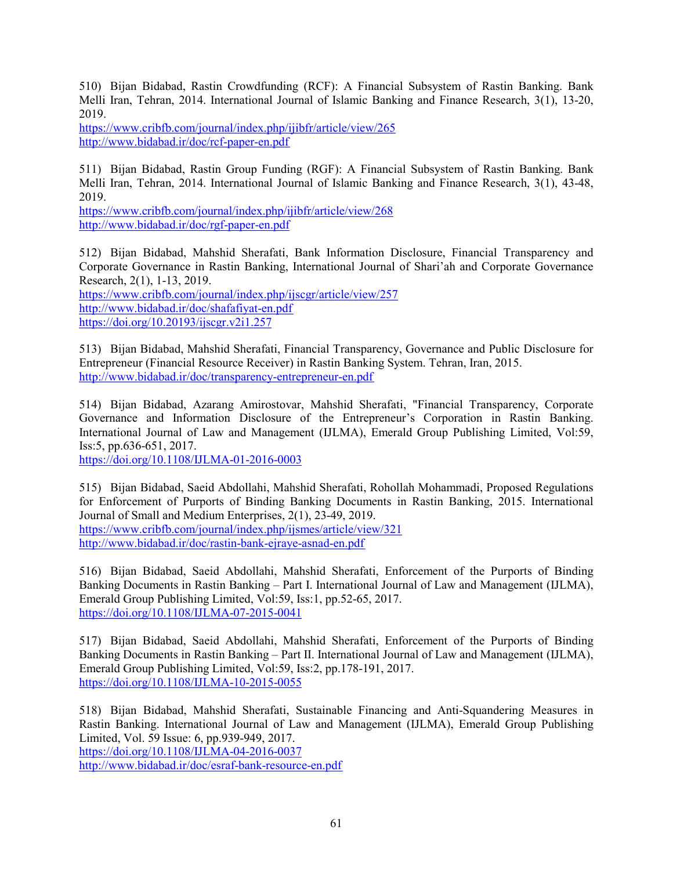510) Bijan Bidabad, Rastin Crowdfunding (RCF): A Financial Subsystem of Rastin Banking. Bank Melli Iran, Tehran, 2014. International Journal of Islamic Banking and Finance Research, 3(1), 13-20, 2019.

<https://www.cribfb.com/journal/index.php/ijibfr/article/view/265> <http://www.bidabad.ir/doc/rcf-paper-en.pdf>

511) Bijan Bidabad, Rastin Group Funding (RGF): A Financial Subsystem of Rastin Banking. Bank Melli Iran, Tehran, 2014. International Journal of Islamic Banking and Finance Research, 3(1), 43-48, 2019.

<https://www.cribfb.com/journal/index.php/ijibfr/article/view/268> <http://www.bidabad.ir/doc/rgf-paper-en.pdf>

512) Bijan Bidabad, Mahshid Sherafati, Bank Information Disclosure, Financial Transparency and Corporate Governance in Rastin Banking, International Journal of Shari'ah and Corporate Governance Research, 2(1), 1-13, 2019.

<https://www.cribfb.com/journal/index.php/ijscgr/article/view/257> <http://www.bidabad.ir/doc/shafafiyat-en.pdf> <https://doi.org/10.20193/ijscgr.v2i1.257>

513) Bijan Bidabad, Mahshid Sherafati, Financial Transparency, Governance and Public Disclosure for Entrepreneur (Financial Resource Receiver) in Rastin Banking System. Tehran, Iran, 2015. <http://www.bidabad.ir/doc/transparency-entrepreneur-en.pdf>

514) Bijan Bidabad, Azarang Amirostovar, Mahshid Sherafati, "Financial Transparency, Corporate Governance and Information Disclosure of the Entrepreneur's Corporation in Rastin Banking. International Journal of Law and Management (IJLMA), Emerald Group Publishing Limited, Vol:59, Iss:5, pp.636-651, 2017.

<https://doi.org/10.1108/IJLMA-01-2016-0003>

515) Bijan Bidabad, Saeid Abdollahi, Mahshid Sherafati, Rohollah Mohammadi, Proposed Regulations for Enforcement of Purports of Binding Banking Documents in Rastin Banking, 2015. International Journal of Small and Medium Enterprises, 2(1), 23-49, 2019. <https://www.cribfb.com/journal/index.php/ijsmes/article/view/321> <http://www.bidabad.ir/doc/rastin-bank-ejraye-asnad-en.pdf>

516) Bijan Bidabad, Saeid Abdollahi, Mahshid Sherafati, Enforcement of the Purports of Binding Banking Documents in Rastin Banking – Part I. International Journal of Law and Management (IJLMA), Emerald Group Publishing Limited, Vol:59, Iss:1, pp.52-65, 2017. <https://doi.org/10.1108/IJLMA-07-2015-0041>

517) Bijan Bidabad, Saeid Abdollahi, Mahshid Sherafati, Enforcement of the Purports of Binding Banking Documents in Rastin Banking – Part II. International Journal of Law and Management (IJLMA), Emerald Group Publishing Limited, Vol:59, Iss:2, pp.178-191, 2017. <https://doi.org/10.1108/IJLMA-10-2015-0055>

518) Bijan Bidabad, Mahshid Sherafati, Sustainable Financing and Anti-Squandering Measures in Rastin Banking. International Journal of Law and Management (IJLMA), Emerald Group Publishing Limited, Vol. 59 Issue: 6, pp.939-949, 2017. <https://doi.org/10.1108/IJLMA-04-2016-0037>

<http://www.bidabad.ir/doc/esraf-bank-resource-en.pdf>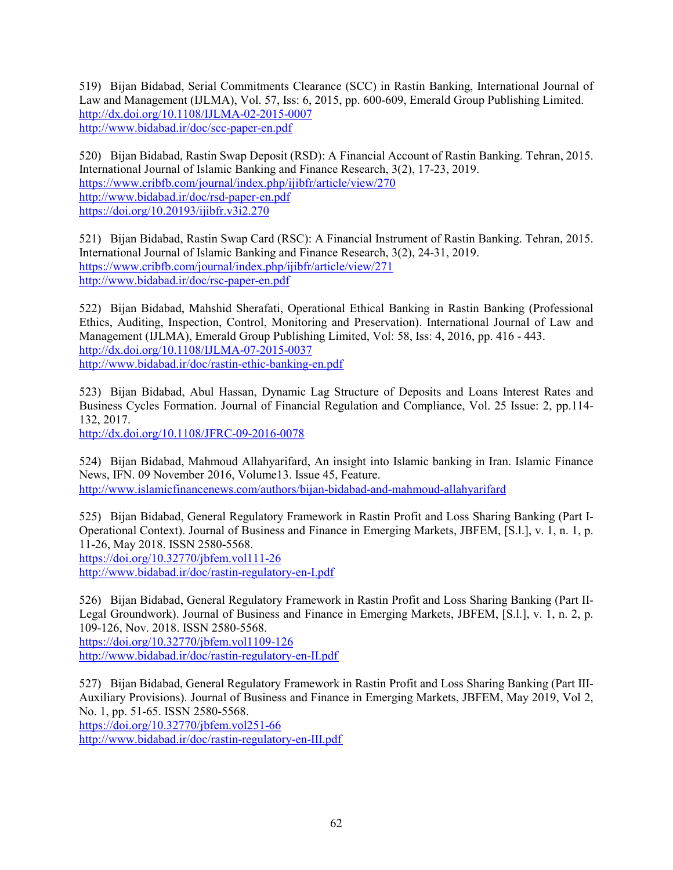519) Bijan Bidabad, Serial Commitments Clearance (SCC) in Rastin Banking, International Journal of Law and Management (IJLMA), Vol. 57, Iss: 6, 2015, pp. 600-609, Emerald Group Publishing Limited. <http://dx.doi.org/10.1108/IJLMA-02-2015-0007> <http://www.bidabad.ir/doc/scc-paper-en.pdf>

520) Bijan Bidabad, Rastin Swap Deposit (RSD): A Financial Account of Rastin Banking. Tehran, 2015. International Journal of Islamic Banking and Finance Research, 3(2), 17-23, 2019. <https://www.cribfb.com/journal/index.php/ijibfr/article/view/270> <http://www.bidabad.ir/doc/rsd-paper-en.pdf> <https://doi.org/10.20193/ijibfr.v3i2.270>

521) Bijan Bidabad, Rastin Swap Card (RSC): A Financial Instrument of Rastin Banking. Tehran, 2015. International Journal of Islamic Banking and Finance Research, 3(2), 24-31, 2019. <https://www.cribfb.com/journal/index.php/ijibfr/article/view/271> <http://www.bidabad.ir/doc/rsc-paper-en.pdf>

522) Bijan Bidabad, Mahshid Sherafati, Operational Ethical Banking in Rastin Banking (Professional Ethics, Auditing, Inspection, Control, Monitoring and Preservation). International Journal of Law and Management (IJLMA), Emerald Group Publishing Limited, Vol: 58, Iss: 4, 2016, pp. 416 - 443. <http://dx.doi.org/10.1108/IJLMA-07-2015-0037> <http://www.bidabad.ir/doc/rastin-ethic-banking-en.pdf>

523) Bijan Bidabad, Abul Hassan, Dynamic Lag Structure of Deposits and Loans Interest Rates and Business Cycles Formation. Journal of Financial Regulation and Compliance, Vol. 25 Issue: 2, pp.114- 132, 2017.

<http://dx.doi.org/10.1108/JFRC-09-2016-0078>

524) Bijan Bidabad, Mahmoud Allahyarifard, An insight into Islamic banking in Iran. Islamic Finance News, IFN. 09 November 2016, Volume13. Issue 45, Feature. <http://www.islamicfinancenews.com/authors/bijan-bidabad-and-mahmoud-allahyarifard>

525) Bijan Bidabad, General Regulatory Framework in Rastin Profit and Loss Sharing Banking (Part I-Operational Context). Journal of Business and Finance in Emerging Markets, JBFEM, [S.l.], v. 1, n. 1, p. 11-26, May 2018. ISSN 2580-5568. <https://doi.org/10.32770/jbfem.vol111-26>

<http://www.bidabad.ir/doc/rastin-regulatory-en-I.pdf>

526) Bijan Bidabad, General Regulatory Framework in Rastin Profit and Loss Sharing Banking (Part II-Legal Groundwork). Journal of Business and Finance in Emerging Markets, JBFEM, [S.l.], v. 1, n. 2, p. 109-126, Nov. 2018. ISSN 2580-5568.

<https://doi.org/10.32770/jbfem.vol1109-126> <http://www.bidabad.ir/doc/rastin-regulatory-en-II.pdf>

527) Bijan Bidabad, General Regulatory Framework in Rastin Profit and Loss Sharing Banking (Part III-Auxiliary Provisions). Journal of Business and Finance in Emerging Markets, JBFEM, May 2019, Vol 2, No. 1, pp. 51-65. ISSN 2580-5568.

<https://doi.org/10.32770/jbfem.vol251-66>

<http://www.bidabad.ir/doc/rastin-regulatory-en-III.pdf>